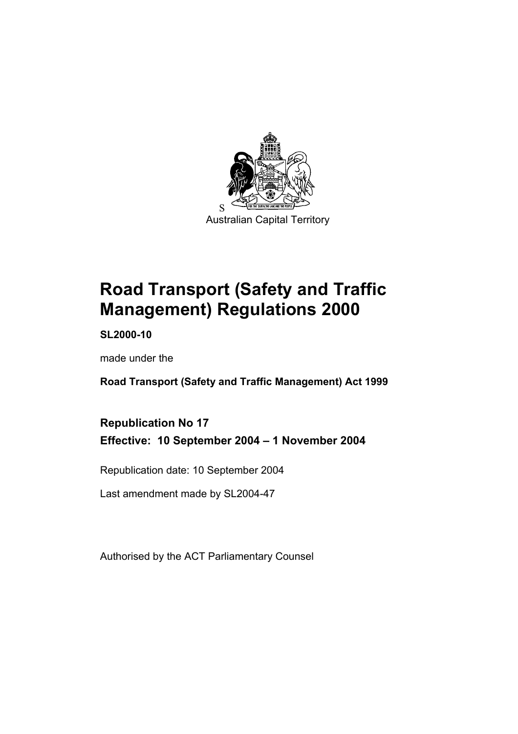

Australian Capital Territory

# **Road Transport (Safety and Traffic Management) Regulations 2000**

**SL2000-10** 

made under the

**Road Transport (Safety and Traffic Management) Act 1999** 

# **Republication No 17 Effective: 10 September 2004 – 1 November 2004**

Republication date: 10 September 2004

Last amendment made by SL2004-47

Authorised by the ACT Parliamentary Counsel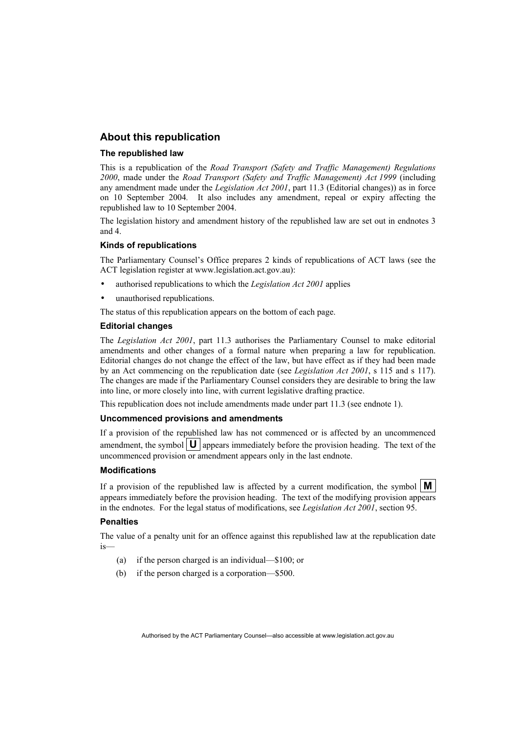#### **About this republication**

#### **The republished law**

This is a republication of the *Road Transport (Safety and Traffic Management) Regulations 2000*, made under the *Road Transport (Safety and Traffic Management) Act 1999* (including any amendment made under the *Legislation Act 2001*, part 11.3 (Editorial changes)) as in force on 10 September 2004*.* It also includes any amendment, repeal or expiry affecting the republished law to 10 September 2004.

The legislation history and amendment history of the republished law are set out in endnotes 3 and 4.

#### **Kinds of republications**

The Parliamentary Counsel's Office prepares 2 kinds of republications of ACT laws (see the ACT legislation register at www.legislation.act.gov.au):

- authorised republications to which the *Legislation Act 2001* applies
- unauthorised republications.

The status of this republication appears on the bottom of each page.

#### **Editorial changes**

The *Legislation Act 2001*, part 11.3 authorises the Parliamentary Counsel to make editorial amendments and other changes of a formal nature when preparing a law for republication. Editorial changes do not change the effect of the law, but have effect as if they had been made by an Act commencing on the republication date (see *Legislation Act 2001*, s 115 and s 117). The changes are made if the Parliamentary Counsel considers they are desirable to bring the law into line, or more closely into line, with current legislative drafting practice.

This republication does not include amendments made under part 11.3 (see endnote 1).

#### **Uncommenced provisions and amendments**

If a provision of the republished law has not commenced or is affected by an uncommenced amendment, the symbol  $\mathbf{U}$  appears immediately before the provision heading. The text of the uncommenced provision or amendment appears only in the last endnote.

#### **Modifications**

If a provision of the republished law is affected by a current modification, the symbol  $\mathbf{M}$ appears immediately before the provision heading. The text of the modifying provision appears in the endnotes. For the legal status of modifications, see *Legislation Act 2001*, section 95.

#### **Penalties**

The value of a penalty unit for an offence against this republished law at the republication date is—

- (a) if the person charged is an individual—\$100; or
- (b) if the person charged is a corporation—\$500.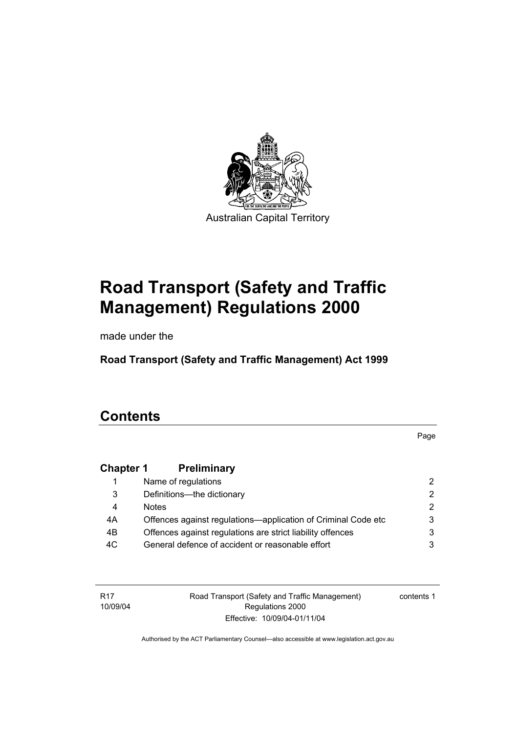

# **Road Transport (Safety and Traffic Management) Regulations 2000**

made under the

**Road Transport (Safety and Traffic Management) Act 1999** 

# **Contents**

Page

# **Chapter 1 Preliminary**

|     | Name of regulations                                           |               |
|-----|---------------------------------------------------------------|---------------|
| 3   | Definitions--- the dictionary                                 | 2.            |
| 4   | <b>Notes</b>                                                  | $\mathcal{P}$ |
| 4A  | Offences against regulations—application of Criminal Code etc | 3             |
| 4B  | Offences against regulations are strict liability offences    | 3             |
| 4C. | General defence of accident or reasonable effort              |               |

R17 10/09/04 Road Transport (Safety and Traffic Management) Regulations 2000 Effective: 10/09/04-01/11/04

contents 1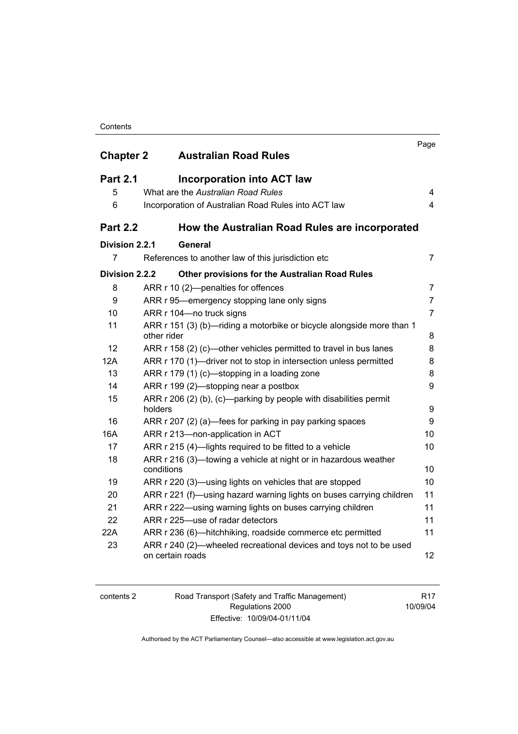#### **Contents**

| <b>Chapter 2</b> | <b>Australian Road Rules</b>                                                                                                      | Page           |
|------------------|-----------------------------------------------------------------------------------------------------------------------------------|----------------|
|                  |                                                                                                                                   |                |
| <b>Part 2.1</b>  | <b>Incorporation into ACT law</b>                                                                                                 |                |
| 5                | What are the Australian Road Rules                                                                                                | 4              |
| 6                | Incorporation of Australian Road Rules into ACT law                                                                               | $\overline{4}$ |
| <b>Part 2.2</b>  | How the Australian Road Rules are incorporated                                                                                    |                |
| Division 2.2.1   | General                                                                                                                           |                |
| 7                | References to another law of this jurisdiction etc                                                                                | $\overline{7}$ |
| Division 2.2.2   | <b>Other provisions for the Australian Road Rules</b>                                                                             |                |
| 8                | ARR r 10 (2)-penalties for offences                                                                                               | $\overline{7}$ |
| 9                | ARR r 95—emergency stopping lane only signs                                                                                       | $\overline{7}$ |
| 10               | ARR r 104-no truck signs                                                                                                          | $\overline{7}$ |
| 11               | ARR r 151 (3) (b)-riding a motorbike or bicycle alongside more than 1<br>other rider                                              | 8              |
| 12               | ARR r 158 (2) (c)—other vehicles permitted to travel in bus lanes                                                                 | 8              |
| 12A              | ARR r 170 (1)—driver not to stop in intersection unless permitted                                                                 | 8              |
| 13               | ARR r 179 (1) (c)—stopping in a loading zone                                                                                      | 8              |
| 14               | ARR r 199 (2)—stopping near a postbox                                                                                             | 9              |
| 15               | ARR r 206 (2) (b), (c)—parking by people with disabilities permit<br>holders                                                      | 9              |
| 16               | ARR r 207 (2) (a)—fees for parking in pay parking spaces                                                                          | 9              |
| 16A              | ARR r 213-non-application in ACT                                                                                                  | 10             |
| 17               | ARR r 215 (4)-lights required to be fitted to a vehicle                                                                           | 10             |
| 18               | ARR r 216 (3)-towing a vehicle at night or in hazardous weather                                                                   |                |
| 19               | conditions                                                                                                                        | 10<br>10       |
| 20               | ARR r 220 (3)—using lights on vehicles that are stopped                                                                           | 11             |
| 21               | ARR r 221 (f)—using hazard warning lights on buses carrying children<br>ARR r 222—using warning lights on buses carrying children | 11             |
| 22               | ARR r 225-use of radar detectors                                                                                                  | 11             |
| 22A              | ARR r 236 (6)—hitchhiking, roadside commerce etc permitted                                                                        | 11             |
| 23               | ARR r 240 (2)—wheeled recreational devices and toys not to be used<br>on certain roads                                            | 12             |

contents 2 Road Transport (Safety and Traffic Management) Regulations 2000 Effective: 10/09/04-01/11/04

R17 10/09/04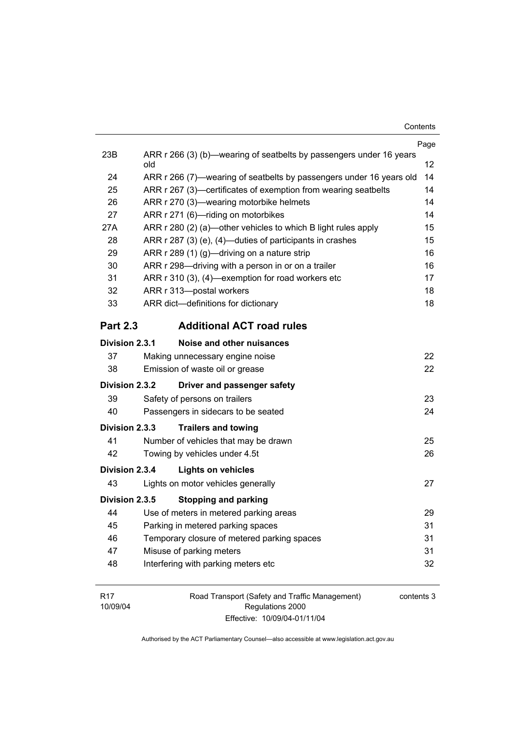|                 |                                                                            | Page |  |
|-----------------|----------------------------------------------------------------------------|------|--|
| 23B             | ARR r 266 (3) (b)—wearing of seatbelts by passengers under 16 years<br>old | 12   |  |
| 24              | ARR r 266 (7)—wearing of seatbelts by passengers under 16 years old        |      |  |
| 25              | ARR r 267 (3)—certificates of exemption from wearing seatbelts             |      |  |
| 26              | ARR r 270 (3)-wearing motorbike helmets                                    |      |  |
| 27              | ARR r 271 (6)-riding on motorbikes                                         |      |  |
| 27A             | ARR r 280 (2) (a)—other vehicles to which B light rules apply              |      |  |
| 28              | ARR r 287 (3) (e), (4)—duties of participants in crashes                   |      |  |
| 29              | ARR r 289 (1) (g)-driving on a nature strip                                |      |  |
| 30              | ARR r 298—driving with a person in or on a trailer                         | 16   |  |
| 31              | ARR r 310 (3), (4)-exemption for road workers etc                          | 17   |  |
| 32              | ARR r 313-postal workers                                                   | 18   |  |
| 33              | ARR dict-definitions for dictionary                                        | 18   |  |
| <b>Part 2.3</b> | <b>Additional ACT road rules</b>                                           |      |  |
| Division 2.3.1  | Noise and other nuisances                                                  |      |  |
| 37              | Making unnecessary engine noise                                            | 22   |  |
| 38              | Emission of waste oil or grease                                            | 22   |  |
| Division 2.3.2  | Driver and passenger safety                                                |      |  |
| 39              | Safety of persons on trailers                                              | 23   |  |
| 40              | Passengers in sidecars to be seated                                        | 24   |  |
| Division 2.3.3  | <b>Trailers and towing</b>                                                 |      |  |
| 41              | Number of vehicles that may be drawn                                       | 25   |  |
| 42              | Towing by vehicles under 4.5t                                              | 26   |  |
| Division 2.3.4  | <b>Lights on vehicles</b>                                                  |      |  |
| 43              | Lights on motor vehicles generally                                         | 27   |  |
| Division 2.3.5  | <b>Stopping and parking</b>                                                |      |  |
| 44              | Use of meters in metered parking areas                                     | 29   |  |
| 45              | Parking in metered parking spaces                                          | 31   |  |
| 46              | Temporary closure of metered parking spaces                                | 31   |  |
| 47              | Misuse of parking meters                                                   | 31   |  |
| 48              | Interfering with parking meters etc                                        | 32   |  |
|                 |                                                                            |      |  |

R17 10/09/04 Road Transport (Safety and Traffic Management) Regulations 2000 Effective: 10/09/04-01/11/04

contents 3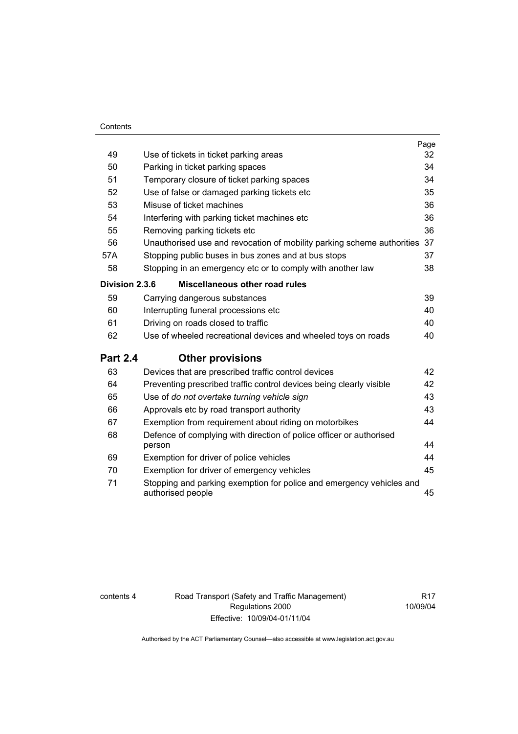#### **Contents**

|                 |                                                                                           | Page |  |  |
|-----------------|-------------------------------------------------------------------------------------------|------|--|--|
| 49              | Use of tickets in ticket parking areas                                                    | 32   |  |  |
| 50              | Parking in ticket parking spaces                                                          | 34   |  |  |
| 51              | Temporary closure of ticket parking spaces                                                |      |  |  |
| 52              | Use of false or damaged parking tickets etc                                               |      |  |  |
| 53              | Misuse of ticket machines                                                                 | 36   |  |  |
| 54              | Interfering with parking ticket machines etc                                              | 36   |  |  |
| 55              | Removing parking tickets etc                                                              | 36   |  |  |
| 56              | Unauthorised use and revocation of mobility parking scheme authorities                    | 37   |  |  |
| 57A             | Stopping public buses in bus zones and at bus stops                                       | 37   |  |  |
| 58              | Stopping in an emergency etc or to comply with another law                                | 38   |  |  |
| Division 2.3.6  | Miscellaneous other road rules                                                            |      |  |  |
| 59              | Carrying dangerous substances                                                             | 39   |  |  |
| 60              | Interrupting funeral processions etc                                                      | 40   |  |  |
| 61              | Driving on roads closed to traffic                                                        | 40   |  |  |
| 62              | Use of wheeled recreational devices and wheeled toys on roads                             | 40   |  |  |
| <b>Part 2.4</b> | <b>Other provisions</b>                                                                   |      |  |  |
| 63              | Devices that are prescribed traffic control devices                                       | 42   |  |  |
| 64              | Preventing prescribed traffic control devices being clearly visible                       | 42   |  |  |
| 65              | Use of do not overtake turning vehicle sign                                               | 43   |  |  |
| 66              | Approvals etc by road transport authority                                                 | 43   |  |  |
| 67              | Exemption from requirement about riding on motorbikes                                     | 44   |  |  |
| 68              | Defence of complying with direction of police officer or authorised<br>person             | 44   |  |  |
| 69              | Exemption for driver of police vehicles                                                   | 44   |  |  |
| 70              | Exemption for driver of emergency vehicles                                                | 45   |  |  |
| 71              | Stopping and parking exemption for police and emergency vehicles and<br>authorised people | 45   |  |  |

contents 4 Road Transport (Safety and Traffic Management) Regulations 2000 Effective: 10/09/04-01/11/04

R17 10/09/04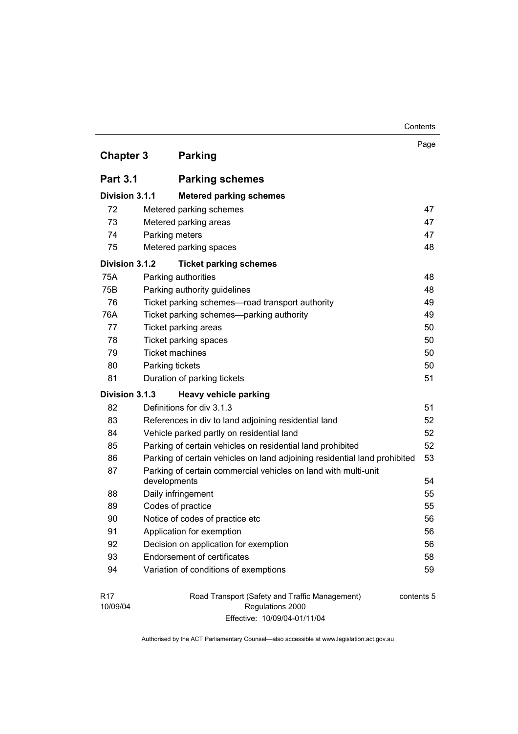| <b>Chapter 3</b>            | <b>Parking</b>                                                            | Page       |
|-----------------------------|---------------------------------------------------------------------------|------------|
| <b>Part 3.1</b>             | <b>Parking schemes</b>                                                    |            |
| Division 3.1.1              | <b>Metered parking schemes</b>                                            |            |
| 72                          | Metered parking schemes                                                   | 47         |
| 73                          | Metered parking areas                                                     | 47         |
| 74                          | Parking meters                                                            | 47         |
| 75                          | Metered parking spaces                                                    | 48         |
| Division 3.1.2              | <b>Ticket parking schemes</b>                                             |            |
| 75A                         | Parking authorities                                                       | 48         |
| 75B                         | Parking authority guidelines                                              | 48         |
| 76                          | Ticket parking schemes-road transport authority                           | 49         |
| 76A                         | Ticket parking schemes-parking authority                                  | 49         |
| 77                          | Ticket parking areas                                                      | 50         |
| 78                          | Ticket parking spaces                                                     | 50         |
| 79                          | <b>Ticket machines</b>                                                    | 50         |
| 80                          | Parking tickets                                                           | 50         |
| 81                          | Duration of parking tickets                                               | 51         |
| Division 3.1.3              | <b>Heavy vehicle parking</b>                                              |            |
| 82                          | Definitions for div 3.1.3                                                 | 51         |
| 83                          | References in div to land adjoining residential land                      | 52         |
| 84                          | Vehicle parked partly on residential land                                 | 52         |
| 85                          | Parking of certain vehicles on residential land prohibited                | 52         |
| 86                          | Parking of certain vehicles on land adjoining residential land prohibited | 53         |
| 87                          | Parking of certain commercial vehicles on land with multi-unit            |            |
|                             | developments                                                              | 54         |
| 88                          | Daily infringement                                                        | 55         |
| 89                          | Codes of practice                                                         | 55<br>56   |
| 90                          | Notice of codes of practice etc                                           |            |
| 91                          | Application for exemption                                                 |            |
| 92                          | Decision on application for exemption                                     |            |
| 93                          | <b>Endorsement of certificates</b>                                        | 58         |
| 94                          | Variation of conditions of exemptions                                     | 59         |
| R <sub>17</sub><br>10/09/04 | Road Transport (Safety and Traffic Management)<br>Regulations 2000        | contents 5 |

Contents

Effective: 10/09/04-01/11/04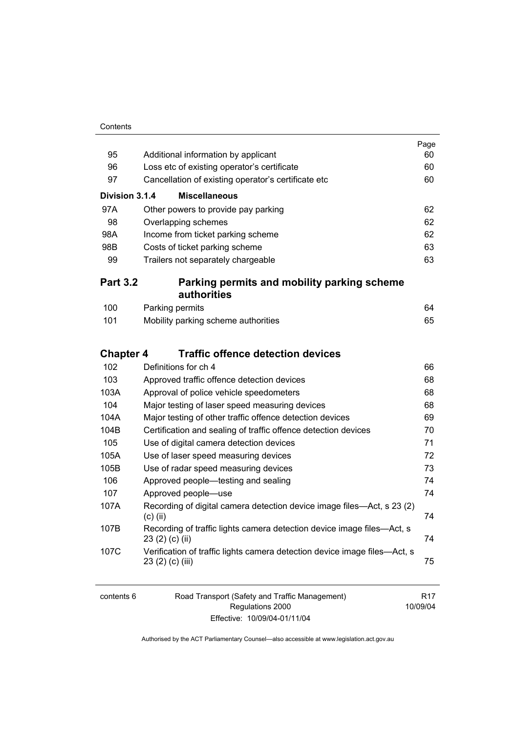| Contents |
|----------|
|          |

|                  |                                                                                               | Page<br>60 |  |  |
|------------------|-----------------------------------------------------------------------------------------------|------------|--|--|
| 95               | Additional information by applicant                                                           |            |  |  |
| 96               | Loss etc of existing operator's certificate                                                   |            |  |  |
| 97               | Cancellation of existing operator's certificate etc                                           |            |  |  |
| Division 3.1.4   | <b>Miscellaneous</b>                                                                          |            |  |  |
| 97A              | Other powers to provide pay parking                                                           | 62         |  |  |
| 98               | Overlapping schemes                                                                           | 62         |  |  |
| 98A              | Income from ticket parking scheme                                                             |            |  |  |
| 98B              | Costs of ticket parking scheme                                                                | 63         |  |  |
| 99               | Trailers not separately chargeable                                                            | 63         |  |  |
| <b>Part 3.2</b>  | Parking permits and mobility parking scheme<br>authorities                                    |            |  |  |
| 100              | Parking permits                                                                               | 64         |  |  |
| 101              | Mobility parking scheme authorities                                                           | 65         |  |  |
| <b>Chapter 4</b> | <b>Traffic offence detection devices</b>                                                      |            |  |  |
| 102              | Definitions for ch 4                                                                          | 66         |  |  |
| 103              | Approved traffic offence detection devices                                                    | 68         |  |  |
| 103A             | Approval of police vehicle speedometers                                                       | 68         |  |  |
| 104              | Major testing of laser speed measuring devices                                                | 68         |  |  |
| 104A             | Major testing of other traffic offence detection devices                                      | 69         |  |  |
| 104B             | Certification and sealing of traffic offence detection devices                                | 70         |  |  |
| 105              | Use of digital camera detection devices                                                       | 71         |  |  |
| 105A             | Use of laser speed measuring devices                                                          | 72         |  |  |
| 105B             | Use of radar speed measuring devices                                                          | 73         |  |  |
| 106              | Approved people—testing and sealing                                                           | 74         |  |  |
| 107              | Approved people-use                                                                           | 74         |  |  |
| 107A             | Recording of digital camera detection device image files—Act, s 23 (2)<br>$(c)$ (ii)          | 74         |  |  |
| 107B             | Recording of traffic lights camera detection device image files—Act, s<br>23 (2) (c) (ii)     | 74         |  |  |
| 107C             | Verification of traffic lights camera detection device image files—Act, s<br>23 (2) (c) (iii) | 75         |  |  |
|                  |                                                                                               |            |  |  |

| contents 6 | Road Transport (Safety and Traffic Management) | R <sub>17</sub> |
|------------|------------------------------------------------|-----------------|
|            | Regulations 2000                               | 10/09/04        |
|            | Effective: 10/09/04-01/11/04                   |                 |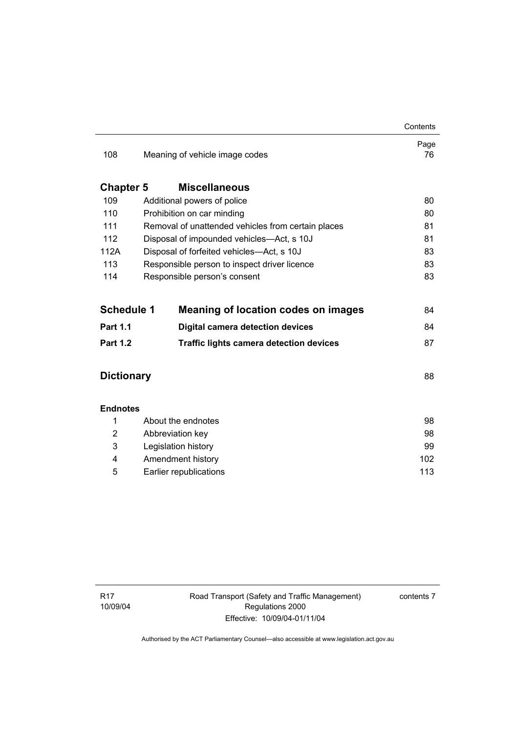|                   |                                                |                                                    | Contents   |
|-------------------|------------------------------------------------|----------------------------------------------------|------------|
| 108               | Meaning of vehicle image codes                 |                                                    | Page<br>76 |
| <b>Chapter 5</b>  |                                                | <b>Miscellaneous</b>                               |            |
| 109               | Additional powers of police                    | 80                                                 |            |
| 110               |                                                | Prohibition on car minding                         | 80         |
| 111               |                                                | Removal of unattended vehicles from certain places | 81         |
| 112               |                                                | Disposal of impounded vehicles—Act, s 10J          | 81         |
| 112A              |                                                | Disposal of forfeited vehicles-Act, s 10J          | 83         |
| 113               |                                                | Responsible person to inspect driver licence       | 83         |
| 114               |                                                | Responsible person's consent                       | 83         |
|                   |                                                |                                                    |            |
| <b>Schedule 1</b> |                                                | <b>Meaning of location codes on images</b>         | 84         |
| <b>Part 1.1</b>   |                                                | <b>Digital camera detection devices</b>            | 84         |
| <b>Part 1.2</b>   | <b>Traffic lights camera detection devices</b> |                                                    | 87         |
|                   |                                                |                                                    |            |
| <b>Dictionary</b> |                                                |                                                    | 88         |
|                   |                                                |                                                    |            |
| <b>Endnotes</b>   |                                                |                                                    |            |
| 1                 | About the endnotes                             |                                                    | 98         |
| 2                 | Abbreviation key                               |                                                    | 98         |
| 3                 | Legislation history                            |                                                    | 99         |
| 4                 | Amendment history                              |                                                    | 102        |
| 5                 | Earlier republications                         |                                                    | 113        |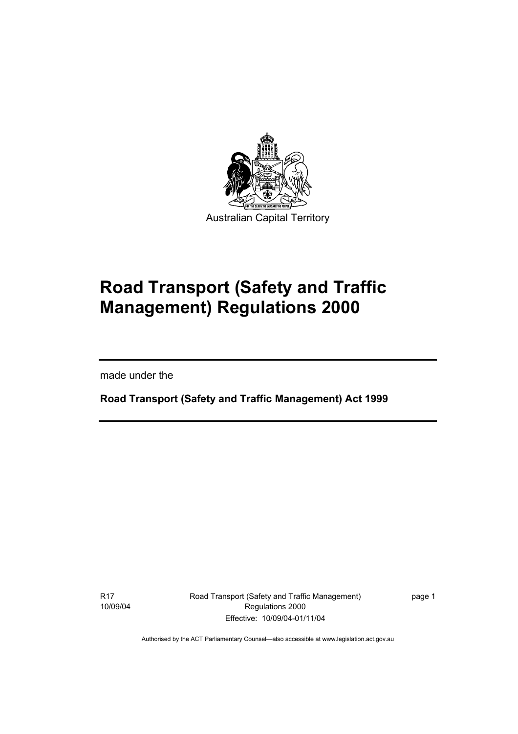

# **Road Transport (Safety and Traffic Management) Regulations 2000**

made under the

I

**Road Transport (Safety and Traffic Management) Act 1999** 

R17 10/09/04 Road Transport (Safety and Traffic Management) Regulations 2000 Effective: 10/09/04-01/11/04

page 1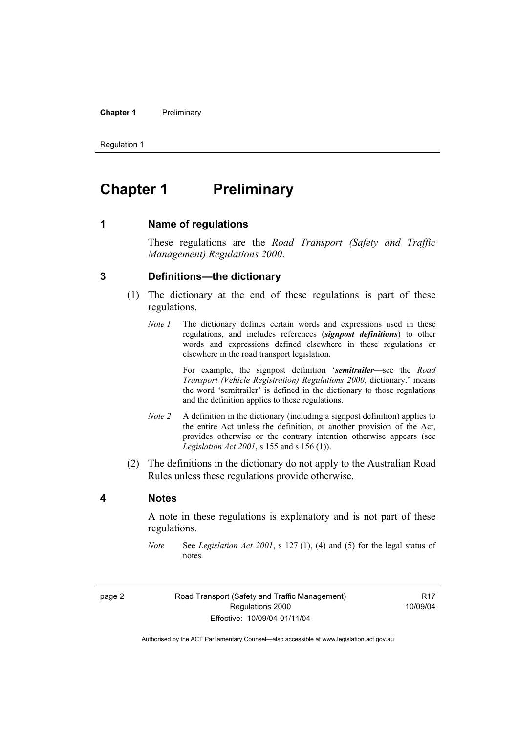#### **Chapter 1** Preliminary

Regulation 1

# **Chapter 1** Preliminary

**1 Name of regulations** 

These regulations are the *Road Transport (Safety and Traffic Management) Regulations 2000*.

#### **3 Definitions—the dictionary**

- (1) The dictionary at the end of these regulations is part of these regulations.
	- *Note 1* The dictionary defines certain words and expressions used in these regulations, and includes references (*signpost definitions*) to other words and expressions defined elsewhere in these regulations or elsewhere in the road transport legislation.

 For example, the signpost definition '*semitrailer*—see the *Road Transport (Vehicle Registration) Regulations 2000*, dictionary.' means the word 'semitrailer' is defined in the dictionary to those regulations and the definition applies to these regulations.

- *Note 2* A definition in the dictionary (including a signpost definition) applies to the entire Act unless the definition, or another provision of the Act, provides otherwise or the contrary intention otherwise appears (see *Legislation Act 2001*, s 155 and s 156 (1)).
- (2) The definitions in the dictionary do not apply to the Australian Road Rules unless these regulations provide otherwise.

#### **4 Notes**

A note in these regulations is explanatory and is not part of these regulations.

*Note* See *Legislation Act 2001*, s 127 (1), (4) and (5) for the legal status of notes.

R17 10/09/04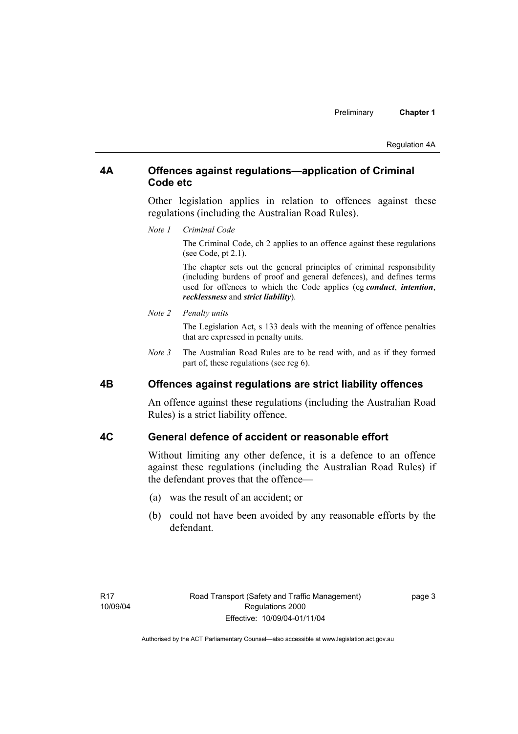## **4A Offences against regulations—application of Criminal Code etc**

Other legislation applies in relation to offences against these regulations (including the Australian Road Rules).

*Note 1 Criminal Code*

The Criminal Code, ch 2 applies to an offence against these regulations (see Code, pt 2.1).

The chapter sets out the general principles of criminal responsibility (including burdens of proof and general defences), and defines terms used for offences to which the Code applies (eg *conduct*, *intention*, *recklessness* and *strict liability*).

#### *Note 2 Penalty units*

The Legislation Act, s 133 deals with the meaning of offence penalties that are expressed in penalty units.

*Note 3* The Australian Road Rules are to be read with, and as if they formed part of, these regulations (see reg 6).

#### **4B Offences against regulations are strict liability offences**

An offence against these regulations (including the Australian Road Rules) is a strict liability offence.

## **4C General defence of accident or reasonable effort**

Without limiting any other defence, it is a defence to an offence against these regulations (including the Australian Road Rules) if the defendant proves that the offence—

- (a) was the result of an accident; or
- (b) could not have been avoided by any reasonable efforts by the defendant.

page 3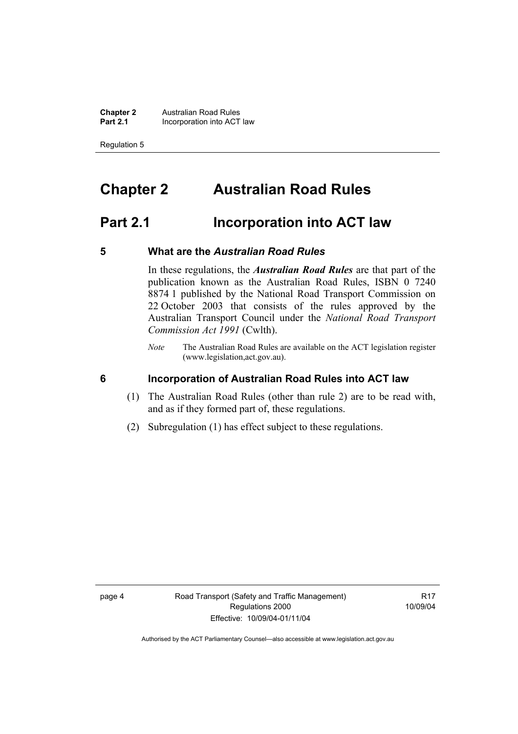**Chapter 2 Australian Road Rules**<br>**Part 2.1 Incorporation into ACT Incorporation into ACT law** 

Regulation 5

# **Chapter 2 Australian Road Rules**

# **Part 2.1 Incorporation into ACT law**

#### **5 What are the** *Australian Road Rules*

In these regulations, the *Australian Road Rules* are that part of the publication known as the Australian Road Rules, ISBN 0 7240 8874 1 published by the National Road Transport Commission on 22 October 2003 that consists of the rules approved by the Australian Transport Council under the *National Road Transport Commission Act 1991* (Cwlth).

*Note* The Australian Road Rules are available on the ACT legislation register (www.legislation,act.gov.au).

#### **6 Incorporation of Australian Road Rules into ACT law**

- (1) The Australian Road Rules (other than rule 2) are to be read with, and as if they formed part of, these regulations.
- (2) Subregulation (1) has effect subject to these regulations.

**R17** 10/09/04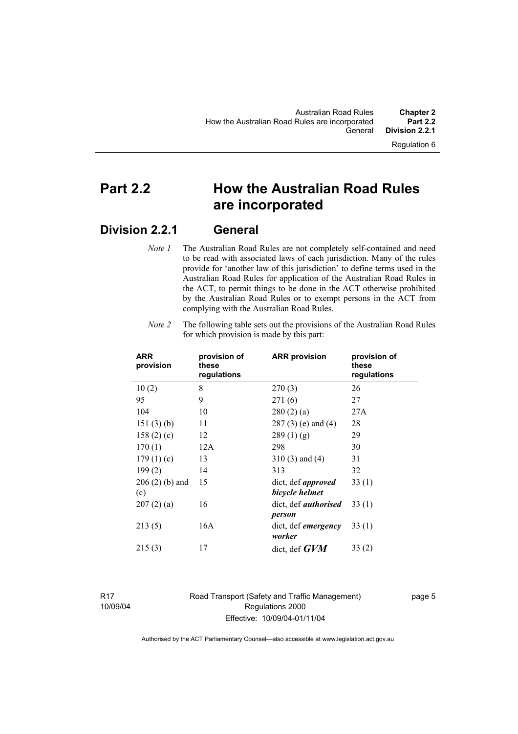# **Part 2.2 How the Australian Road Rules are incorporated**

# **Division 2.2.1 General**

*Note 1* The Australian Road Rules are not completely self-contained and need to be read with associated laws of each jurisdiction. Many of the rules provide for 'another law of this jurisdiction' to define terms used in the Australian Road Rules for application of the Australian Road Rules in the ACT, to permit things to be done in the ACT otherwise prohibited by the Australian Road Rules or to exempt persons in the ACT from complying with the Australian Road Rules.

| <b>ARR</b><br>provision | provision of<br>these<br>regulations | <b>ARR provision</b>                        | provision of<br>these<br>regulations |
|-------------------------|--------------------------------------|---------------------------------------------|--------------------------------------|
| 10(2)                   | 8                                    | 270(3)                                      | 26                                   |
| 95                      | 9                                    | 271(6)                                      | 27                                   |
| 104                     | 10                                   | 280(2)(a)                                   | 27A                                  |
| 151(3)(b)               | 11                                   | 287 (3) (e) and (4)                         | 28                                   |
| 158(2)(c)               | 12                                   | 289(1)(g)                                   | 29                                   |
| 170(1)                  | 12A                                  | 298                                         | 30                                   |
| 179(1)(c)               | 13                                   | $310(3)$ and $(4)$                          | 31                                   |
| 199(2)                  | 14                                   | 313                                         | 32                                   |
| $206(2)$ (b) and<br>(c) | 15                                   | dict, def <i>approved</i><br>bicycle helmet | 33(1)                                |
| 207(2)(a)               | 16                                   | dict, def <i>authorised</i><br>person       | 33 (1)                               |
| 213(5)                  | 16A                                  | dict, def <i>emergency</i><br>worker        | 33(1)                                |
| 215(3)                  | 17                                   | dict, def $GVM$                             | 33(2)                                |

*Note 2* The following table sets out the provisions of the Australian Road Rules for which provision is made by this part:

R17 10/09/04 Road Transport (Safety and Traffic Management) Regulations 2000 Effective: 10/09/04-01/11/04

page 5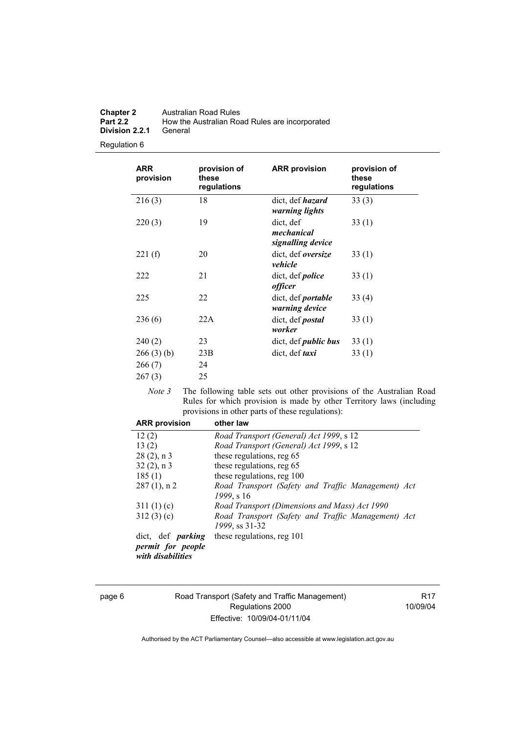| <b>Chapter 2</b> | Australian Road Rules                          |
|------------------|------------------------------------------------|
| <b>Part 2.2</b>  | How the Australian Road Rules are incorporated |
| Division 2.2.1   | General                                        |

Regulation 6

| provision of<br>these<br>regulations | <b>ARR</b> provision                         | provision of<br>these<br>regulations |
|--------------------------------------|----------------------------------------------|--------------------------------------|
| 18                                   | dict, def <i>hazard</i><br>warning lights    | 33(3)                                |
| 19                                   | dict, def<br>mechanical<br>signalling device | 33(1)                                |
| 20                                   | dict, def <i>oversize</i><br>vehicle         | 33(1)                                |
| 21                                   | dict, def <i>police</i><br><i>officer</i>    | 33(1)                                |
| 22                                   | dict, def <i>portable</i><br>warning device  | 33(4)                                |
| 22A                                  | dict, def <i>postal</i><br>worker            | 33(1)                                |
| 23                                   | dict, def <i>public bus</i>                  | 33(1)                                |
| 23B<br>24                            | dict, def <i>taxi</i>                        | 33(1)                                |
|                                      | 25                                           |                                      |

*Note 3* The following table sets out other provisions of the Australian Road Rules for which provision is made by other Territory laws (including provisions in other parts of these regulations):

| <b>ARR provision</b>                   | other law                                          |
|----------------------------------------|----------------------------------------------------|
| 12(2)                                  | Road Transport (General) Act 1999, s 12            |
| 13(2)                                  | Road Transport (General) Act 1999, s 12            |
| $28(2)$ , n 3                          | these regulations, reg 65                          |
| $32(2)$ , n 3                          | these regulations, reg 65                          |
| 185(1)                                 | these regulations, reg 100                         |
| $287(1)$ , n 2                         | Road Transport (Safety and Traffic Management) Act |
|                                        | 1999, s 16                                         |
| 311(1)(c)                              | Road Transport (Dimensions and Mass) Act 1990      |
| 312(3)(c)                              | Road Transport (Safety and Traffic Management) Act |
|                                        | 1999, ss 31-32                                     |
| dict, def <i>parking</i>               | these regulations, reg 101                         |
| permit for people<br>with disabilities |                                                    |

page 6 Road Transport (Safety and Traffic Management) Regulations 2000 Effective: 10/09/04-01/11/04

R17 10/09/04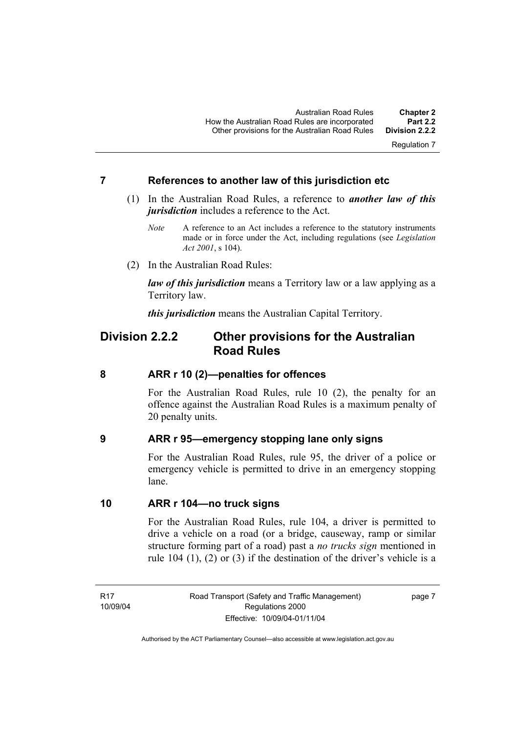Regulation 7

#### **7 References to another law of this jurisdiction etc**

- (1) In the Australian Road Rules, a reference to *another law of this jurisdiction* includes a reference to the Act.
	- *Note* A reference to an Act includes a reference to the statutory instruments made or in force under the Act, including regulations (see *Legislation Act 2001*, s 104).
- (2) In the Australian Road Rules:

*law of this jurisdiction* means a Territory law or a law applying as a Territory law.

*this jurisdiction* means the Australian Capital Territory.

# **Division 2.2.2 Other provisions for the Australian Road Rules**

#### **8 ARR r 10 (2)—penalties for offences**

For the Australian Road Rules, rule 10 (2), the penalty for an offence against the Australian Road Rules is a maximum penalty of 20 penalty units.

#### **9 ARR r 95—emergency stopping lane only signs**

For the Australian Road Rules, rule 95, the driver of a police or emergency vehicle is permitted to drive in an emergency stopping lane.

#### **10 ARR r 104—no truck signs**

For the Australian Road Rules, rule 104, a driver is permitted to drive a vehicle on a road (or a bridge, causeway, ramp or similar structure forming part of a road) past a *no trucks sign* mentioned in rule 104 (1), (2) or (3) if the destination of the driver's vehicle is a

R17 10/09/04 Road Transport (Safety and Traffic Management) Regulations 2000 Effective: 10/09/04-01/11/04

page 7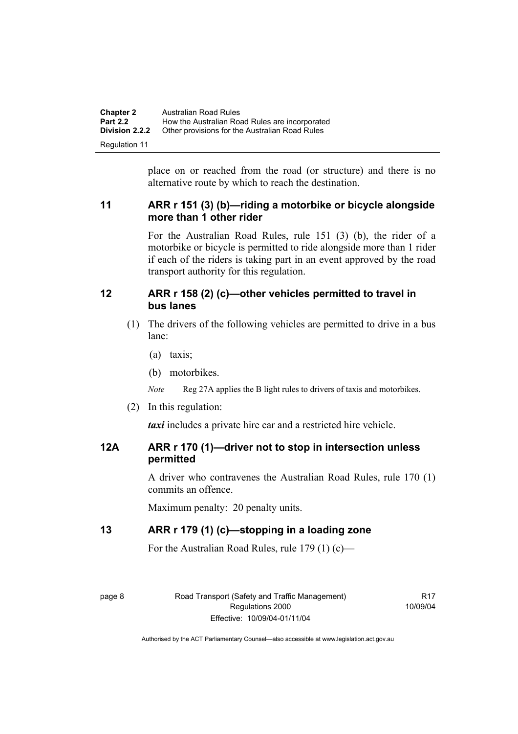| <b>Chapter 2</b>      | Australian Road Rules                          |
|-----------------------|------------------------------------------------|
| <b>Part 2.2</b>       | How the Australian Road Rules are incorporated |
| <b>Division 2.2.2</b> | Other provisions for the Australian Road Rules |
| Regulation 11         |                                                |

place on or reached from the road (or structure) and there is no alternative route by which to reach the destination.

# **11 ARR r 151 (3) (b)—riding a motorbike or bicycle alongside more than 1 other rider**

For the Australian Road Rules, rule 151 (3) (b), the rider of a motorbike or bicycle is permitted to ride alongside more than 1 rider if each of the riders is taking part in an event approved by the road transport authority for this regulation.

## **12 ARR r 158 (2) (c)—other vehicles permitted to travel in bus lanes**

- (1) The drivers of the following vehicles are permitted to drive in a bus lane:
	- (a) taxis;
	- (b) motorbikes.

*Note* Reg 27A applies the B light rules to drivers of taxis and motorbikes.

(2) In this regulation:

*taxi* includes a private hire car and a restricted hire vehicle.

# **12A ARR r 170 (1)—driver not to stop in intersection unless permitted**

A driver who contravenes the Australian Road Rules, rule 170 (1) commits an offence.

Maximum penalty: 20 penalty units.

# **13 ARR r 179 (1) (c)—stopping in a loading zone**

For the Australian Road Rules, rule 179 (1) (c)—

page 8 Road Transport (Safety and Traffic Management) Regulations 2000 Effective: 10/09/04-01/11/04

**R17** 10/09/04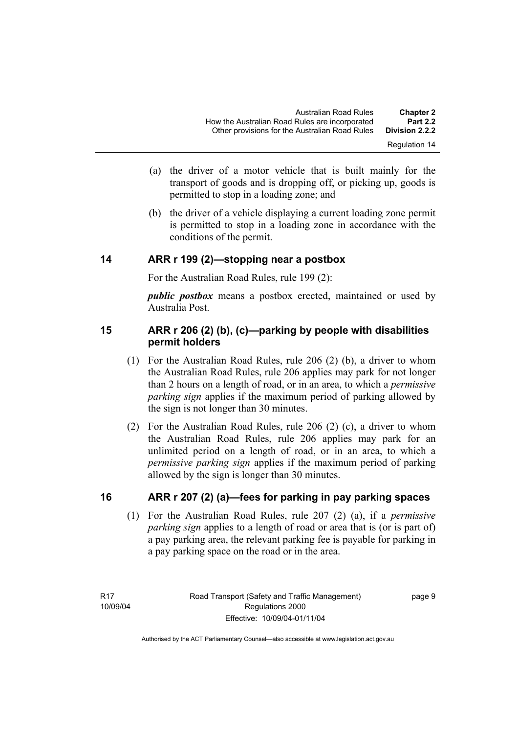- (a) the driver of a motor vehicle that is built mainly for the transport of goods and is dropping off, or picking up, goods is permitted to stop in a loading zone; and
- (b) the driver of a vehicle displaying a current loading zone permit is permitted to stop in a loading zone in accordance with the conditions of the permit.

## **14 ARR r 199 (2)—stopping near a postbox**

For the Australian Road Rules, rule 199 (2):

*public postbox* means a postbox erected, maintained or used by Australia Post.

# **15 ARR r 206 (2) (b), (c)—parking by people with disabilities permit holders**

- (1) For the Australian Road Rules, rule 206 (2) (b), a driver to whom the Australian Road Rules, rule 206 applies may park for not longer than 2 hours on a length of road, or in an area, to which a *permissive parking sign* applies if the maximum period of parking allowed by the sign is not longer than 30 minutes.
- (2) For the Australian Road Rules, rule 206 (2) (c), a driver to whom the Australian Road Rules, rule 206 applies may park for an unlimited period on a length of road, or in an area, to which a *permissive parking sign* applies if the maximum period of parking allowed by the sign is longer than 30 minutes.

# **16 ARR r 207 (2) (a)—fees for parking in pay parking spaces**

 (1) For the Australian Road Rules, rule 207 (2) (a), if a *permissive parking sign* applies to a length of road or area that is (or is part of) a pay parking area, the relevant parking fee is payable for parking in a pay parking space on the road or in the area.

page 9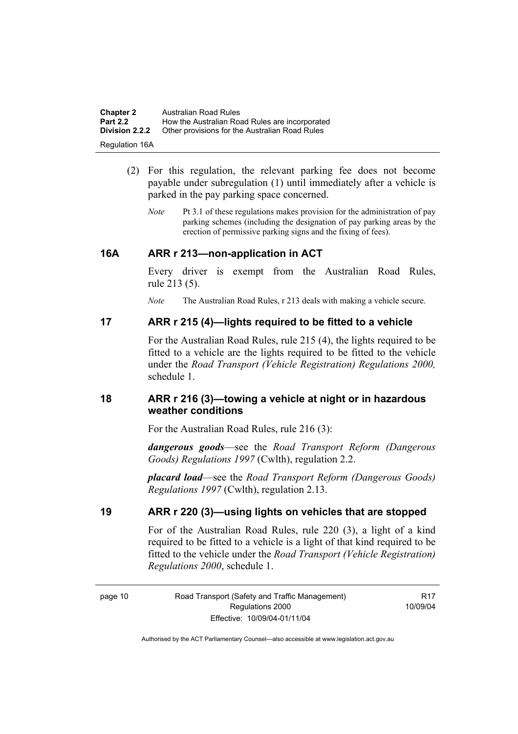| <b>Chapter 2</b>      | <b>Australian Road Rules</b>                   |
|-----------------------|------------------------------------------------|
| <b>Part 2.2</b>       | How the Australian Road Rules are incorporated |
| <b>Division 2.2.2</b> | Other provisions for the Australian Road Rules |
| <b>Regulation 16A</b> |                                                |

- (2) For this regulation, the relevant parking fee does not become payable under subregulation (1) until immediately after a vehicle is parked in the pay parking space concerned.
	- *Note* Pt 3.1 of these regulations makes provision for the administration of pay parking schemes (including the designation of pay parking areas by the erection of permissive parking signs and the fixing of fees).

#### **16A ARR r 213—non-application in ACT**

Every driver is exempt from the Australian Road Rules, rule 213 (5).

*Note* The Australian Road Rules, r 213 deals with making a vehicle secure.

#### **17 ARR r 215 (4)—lights required to be fitted to a vehicle**

For the Australian Road Rules, rule 215 (4), the lights required to be fitted to a vehicle are the lights required to be fitted to the vehicle under the *Road Transport (Vehicle Registration) Regulations 2000,*  schedule 1.

#### **18 ARR r 216 (3)—towing a vehicle at night or in hazardous weather conditions**

For the Australian Road Rules, rule 216 (3):

*dangerous goods*—see the *Road Transport Reform (Dangerous Goods) Regulations 1997* (Cwlth), regulation 2.2.

*placard load*—see the *Road Transport Reform (Dangerous Goods) Regulations 1997* (Cwlth), regulation 2.13.

## **19 ARR r 220 (3)—using lights on vehicles that are stopped**

For of the Australian Road Rules, rule 220 (3), a light of a kind required to be fitted to a vehicle is a light of that kind required to be fitted to the vehicle under the *Road Transport (Vehicle Registration) Regulations 2000*, schedule 1.

R17 10/09/04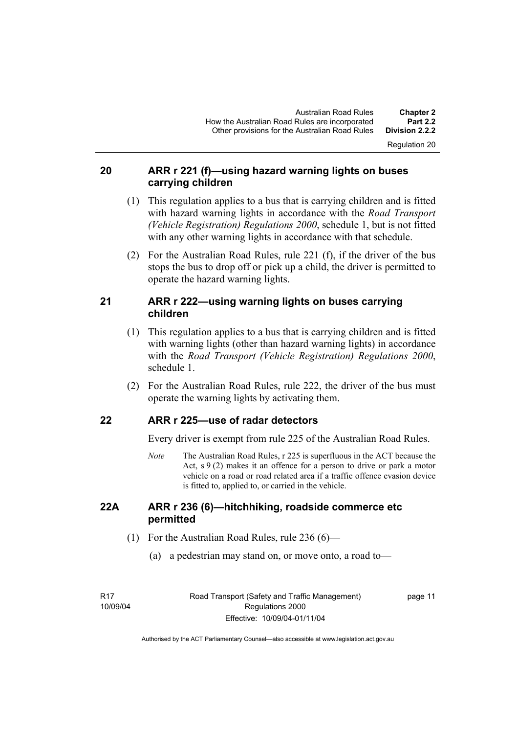Regulation 20

# **20 ARR r 221 (f)—using hazard warning lights on buses carrying children**

- (1) This regulation applies to a bus that is carrying children and is fitted with hazard warning lights in accordance with the *Road Transport (Vehicle Registration) Regulations 2000*, schedule 1, but is not fitted with any other warning lights in accordance with that schedule.
- (2) For the Australian Road Rules, rule 221 (f), if the driver of the bus stops the bus to drop off or pick up a child, the driver is permitted to operate the hazard warning lights.

# **21 ARR r 222—using warning lights on buses carrying children**

- (1) This regulation applies to a bus that is carrying children and is fitted with warning lights (other than hazard warning lights) in accordance with the *Road Transport (Vehicle Registration) Regulations 2000*, schedule 1.
- (2) For the Australian Road Rules, rule 222, the driver of the bus must operate the warning lights by activating them.

# **22 ARR r 225—use of radar detectors**

Every driver is exempt from rule 225 of the Australian Road Rules.

*Note* The Australian Road Rules, r 225 is superfluous in the ACT because the Act,  $s \theta(2)$  makes it an offence for a person to drive or park a motor vehicle on a road or road related area if a traffic offence evasion device is fitted to, applied to, or carried in the vehicle.

## **22A ARR r 236 (6)—hitchhiking, roadside commerce etc permitted**

- (1) For the Australian Road Rules, rule 236 (6)—
	- (a) a pedestrian may stand on, or move onto, a road to—

page 11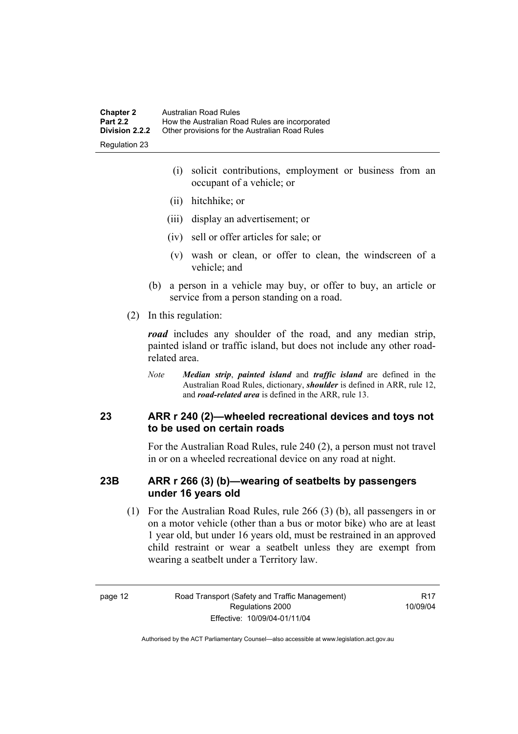- (i) solicit contributions, employment or business from an occupant of a vehicle; or
- (ii) hitchhike; or
- (iii) display an advertisement; or
- (iv) sell or offer articles for sale; or
- (v) wash or clean, or offer to clean, the windscreen of a vehicle; and
- (b) a person in a vehicle may buy, or offer to buy, an article or service from a person standing on a road.
- (2) In this regulation:

*road* includes any shoulder of the road, and any median strip, painted island or traffic island, but does not include any other roadrelated area.

*Note Median strip*, *painted island* and *traffic island* are defined in the Australian Road Rules, dictionary, *shoulder* is defined in ARR, rule 12, and *road-related area* is defined in the ARR, rule 13.

## **23 ARR r 240 (2)—wheeled recreational devices and toys not to be used on certain roads**

For the Australian Road Rules, rule 240 (2), a person must not travel in or on a wheeled recreational device on any road at night.

## **23B ARR r 266 (3) (b)—wearing of seatbelts by passengers under 16 years old**

 (1) For the Australian Road Rules, rule 266 (3) (b), all passengers in or on a motor vehicle (other than a bus or motor bike) who are at least 1 year old, but under 16 years old, must be restrained in an approved child restraint or wear a seatbelt unless they are exempt from wearing a seatbelt under a Territory law.

**R17** 10/09/04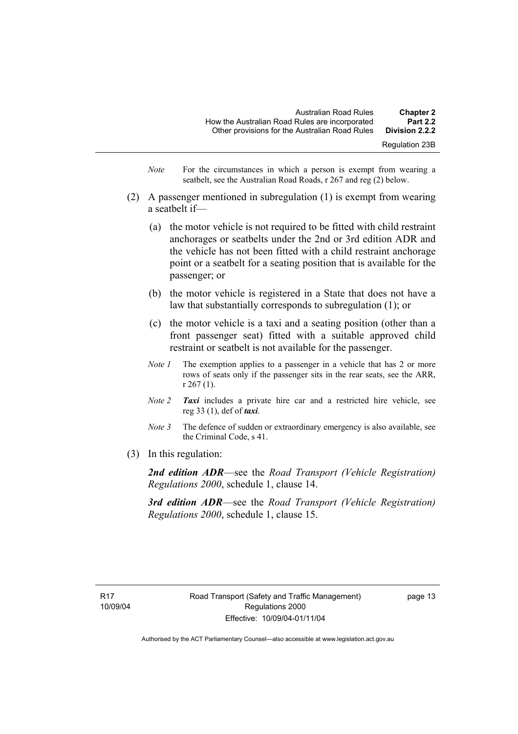- *Note* For the circumstances in which a person is exempt from wearing a seatbelt, see the Australian Road Roads, r 267 and reg (2) below.
- (2) A passenger mentioned in subregulation (1) is exempt from wearing a seatbelt if—
	- (a) the motor vehicle is not required to be fitted with child restraint anchorages or seatbelts under the 2nd or 3rd edition ADR and the vehicle has not been fitted with a child restraint anchorage point or a seatbelt for a seating position that is available for the passenger; or
	- (b) the motor vehicle is registered in a State that does not have a law that substantially corresponds to subregulation (1); or
	- (c) the motor vehicle is a taxi and a seating position (other than a front passenger seat) fitted with a suitable approved child restraint or seatbelt is not available for the passenger.
	- *Note 1* The exemption applies to a passenger in a vehicle that has 2 or more rows of seats only if the passenger sits in the rear seats, see the ARR, r 267 (1).
	- *Note 2 Taxi* includes a private hire car and a restricted hire vehicle, see reg 33 (1), def of *taxi*.
	- *Note 3* The defence of sudden or extraordinary emergency is also available, see the Criminal Code, s 41.
- (3) In this regulation:

*2nd edition ADR*—see the *Road Transport (Vehicle Registration) Regulations 2000*, schedule 1, clause 14.

*3rd edition ADR*—see the *Road Transport (Vehicle Registration) Regulations 2000*, schedule 1, clause 15.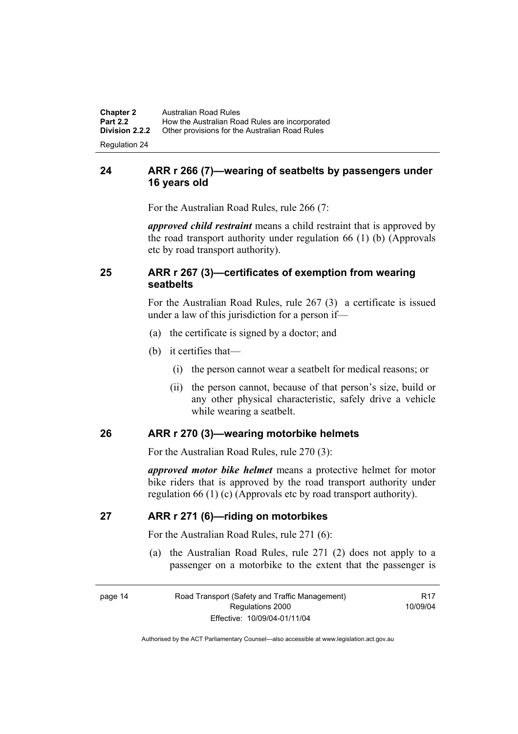**Chapter 2** Australian Road Rules<br>**Part 2.2** How the Australian Road **Part 2.2 How the Australian Road Rules are incorporated Division 2.2.2** Other provisions for the Australian Road Rules **Other provisions for the Australian Road Rules** 

Regulation 24

# **24 ARR r 266 (7)—wearing of seatbelts by passengers under 16 years old**

For the Australian Road Rules, rule 266 (7:

*approved child restraint* means a child restraint that is approved by the road transport authority under regulation 66 (1) (b) (Approvals etc by road transport authority).

# **25 ARR r 267 (3)—certificates of exemption from wearing seatbelts**

For the Australian Road Rules, rule 267 (3) a certificate is issued under a law of this jurisdiction for a person if—

- (a) the certificate is signed by a doctor; and
- (b) it certifies that—
	- (i) the person cannot wear a seatbelt for medical reasons; or
	- (ii) the person cannot, because of that person's size, build or any other physical characteristic, safely drive a vehicle while wearing a seatbelt.

#### **26 ARR r 270 (3)—wearing motorbike helmets**

For the Australian Road Rules, rule 270 (3):

*approved motor bike helmet* means a protective helmet for motor bike riders that is approved by the road transport authority under regulation 66 (1) (c) (Approvals etc by road transport authority).

#### **27 ARR r 271 (6)—riding on motorbikes**

For the Australian Road Rules, rule 271 (6):

 (a) the Australian Road Rules, rule 271 (2) does not apply to a passenger on a motorbike to the extent that the passenger is

R17 10/09/04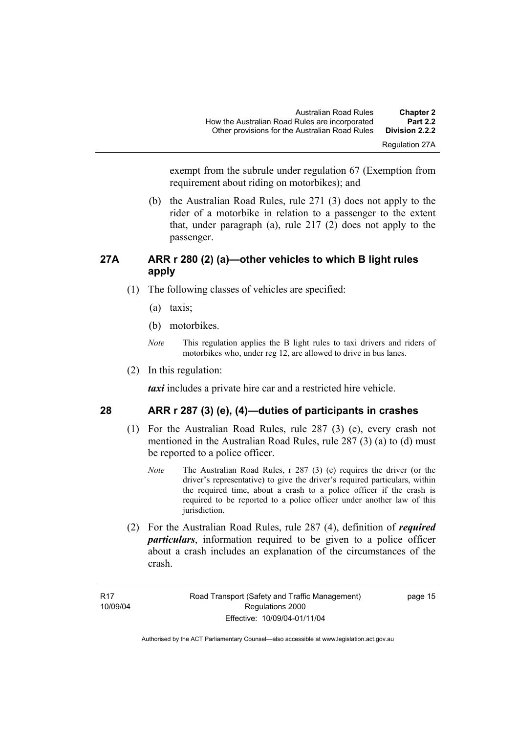Regulation 27A

exempt from the subrule under regulation 67 (Exemption from requirement about riding on motorbikes); and

 (b) the Australian Road Rules, rule 271 (3) does not apply to the rider of a motorbike in relation to a passenger to the extent that, under paragraph (a), rule  $217(2)$  does not apply to the passenger.

# **27A ARR r 280 (2) (a)—other vehicles to which B light rules apply**

- (1) The following classes of vehicles are specified:
	- (a) taxis;
	- (b) motorbikes.
	- *Note* This regulation applies the B light rules to taxi drivers and riders of motorbikes who, under reg 12, are allowed to drive in bus lanes.
- (2) In this regulation:

*taxi* includes a private hire car and a restricted hire vehicle.

# **28 ARR r 287 (3) (e), (4)—duties of participants in crashes**

- (1) For the Australian Road Rules, rule 287 (3) (e), every crash not mentioned in the Australian Road Rules, rule 287 (3) (a) to (d) must be reported to a police officer.
	- *Note* The Australian Road Rules, r 287 (3) (e) requires the driver (or the driver's representative) to give the driver's required particulars, within the required time, about a crash to a police officer if the crash is required to be reported to a police officer under another law of this jurisdiction.
- (2) For the Australian Road Rules, rule 287 (4), definition of *required particulars*, information required to be given to a police officer about a crash includes an explanation of the circumstances of the crash.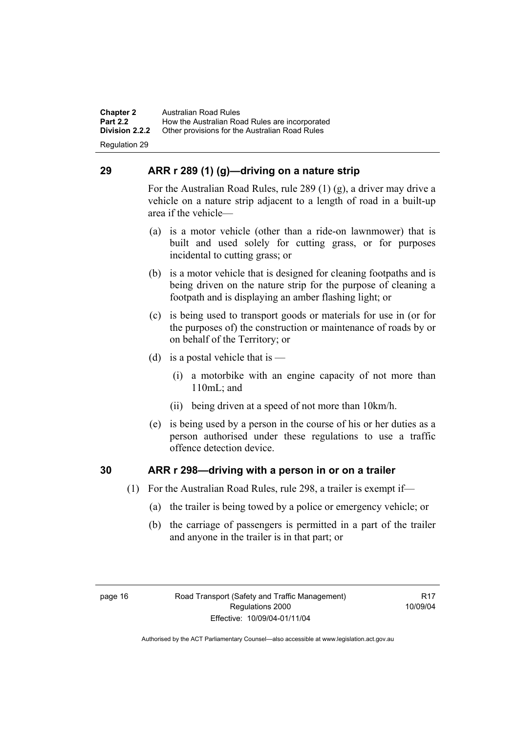**Chapter 2** Australian Road Rules<br>**Part 2.2** How the Australian Ro **Part 2.2 How the Australian Road Rules are incorporated Division 2.2.2** Other provisions for the Australian Road Rules **Other provisions for the Australian Road Rules** 

Regulation 29

# **29 ARR r 289 (1) (g)—driving on a nature strip**

For the Australian Road Rules, rule 289 (1) (g), a driver may drive a vehicle on a nature strip adjacent to a length of road in a built-up area if the vehicle—

- (a) is a motor vehicle (other than a ride-on lawnmower) that is built and used solely for cutting grass, or for purposes incidental to cutting grass; or
- (b) is a motor vehicle that is designed for cleaning footpaths and is being driven on the nature strip for the purpose of cleaning a footpath and is displaying an amber flashing light; or
- (c) is being used to transport goods or materials for use in (or for the purposes of) the construction or maintenance of roads by or on behalf of the Territory; or
- (d) is a postal vehicle that is  $-$ 
	- (i) a motorbike with an engine capacity of not more than 110mL; and
	- (ii) being driven at a speed of not more than 10km/h.
- (e) is being used by a person in the course of his or her duties as a person authorised under these regulations to use a traffic offence detection device.

# **30 ARR r 298—driving with a person in or on a trailer**

- (1) For the Australian Road Rules, rule 298, a trailer is exempt if—
	- (a) the trailer is being towed by a police or emergency vehicle; or
	- (b) the carriage of passengers is permitted in a part of the trailer and anyone in the trailer is in that part; or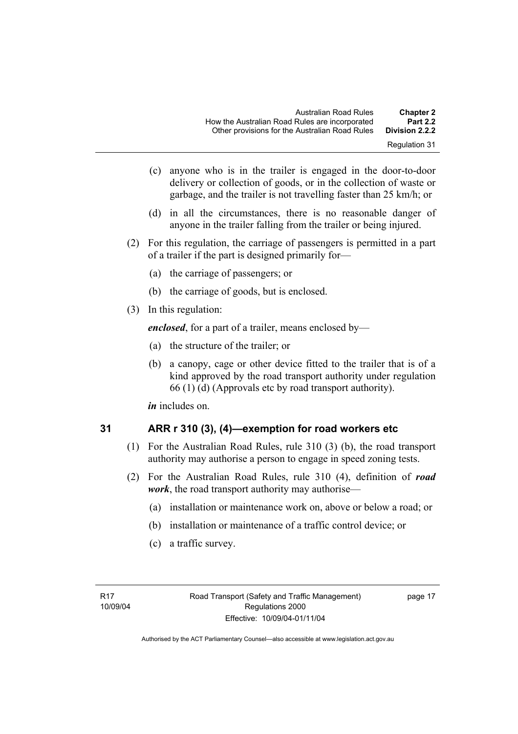- Regulation 31
- (c) anyone who is in the trailer is engaged in the door-to-door delivery or collection of goods, or in the collection of waste or garbage, and the trailer is not travelling faster than 25 km/h; or
- (d) in all the circumstances, there is no reasonable danger of anyone in the trailer falling from the trailer or being injured.
- (2) For this regulation, the carriage of passengers is permitted in a part of a trailer if the part is designed primarily for—
	- (a) the carriage of passengers; or
	- (b) the carriage of goods, but is enclosed.
- (3) In this regulation:

*enclosed*, for a part of a trailer, means enclosed by—

- (a) the structure of the trailer; or
- (b) a canopy, cage or other device fitted to the trailer that is of a kind approved by the road transport authority under regulation 66 (1) (d) (Approvals etc by road transport authority).

*in* includes on.

$$
31
$$

# **31 ARR r 310 (3), (4)—exemption for road workers etc**

- (1) For the Australian Road Rules, rule 310 (3) (b), the road transport authority may authorise a person to engage in speed zoning tests.
- (2) For the Australian Road Rules, rule 310 (4), definition of *road work*, the road transport authority may authorise—
	- (a) installation or maintenance work on, above or below a road; or
	- (b) installation or maintenance of a traffic control device; or
	- (c) a traffic survey.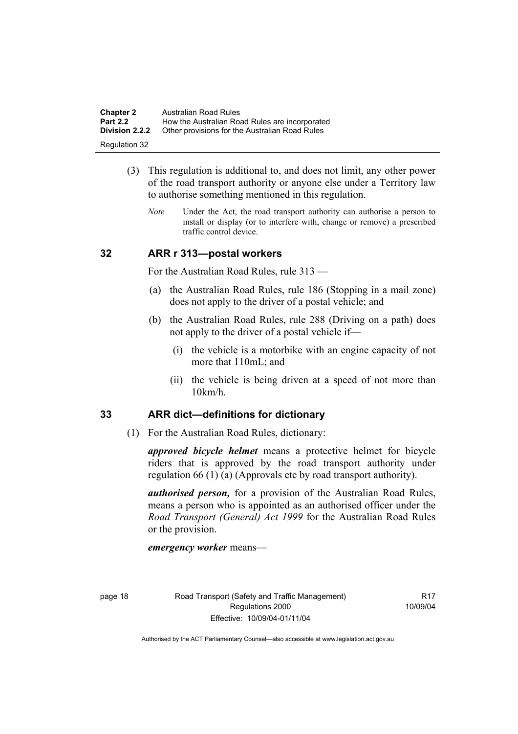| <b>Chapter 2</b>      | Australian Road Rules                          |
|-----------------------|------------------------------------------------|
| <b>Part 2.2</b>       | How the Australian Road Rules are incorporated |
| <b>Division 2.2.2</b> | Other provisions for the Australian Road Rules |
| Regulation 32         |                                                |

- (3) This regulation is additional to, and does not limit, any other power of the road transport authority or anyone else under a Territory law to authorise something mentioned in this regulation.
	- *Note* Under the Act, the road transport authority can authorise a person to install or display (or to interfere with, change or remove) a prescribed traffic control device.

#### **32 ARR r 313—postal workers**

For the Australian Road Rules, rule 313 —

- (a) the Australian Road Rules, rule 186 (Stopping in a mail zone) does not apply to the driver of a postal vehicle; and
- (b) the Australian Road Rules, rule 288 (Driving on a path) does not apply to the driver of a postal vehicle if—
	- (i) the vehicle is a motorbike with an engine capacity of not more that 110mL; and
	- (ii) the vehicle is being driven at a speed of not more than 10km/h.

#### **33 ARR dict—definitions for dictionary**

(1) For the Australian Road Rules, dictionary:

*approved bicycle helmet* means a protective helmet for bicycle riders that is approved by the road transport authority under regulation 66 (1) (a) (Approvals etc by road transport authority).

*authorised person,* for a provision of the Australian Road Rules, means a person who is appointed as an authorised officer under the *Road Transport (General) Act 1999* for the Australian Road Rules or the provision.

*emergency worker* means—

**R17** 10/09/04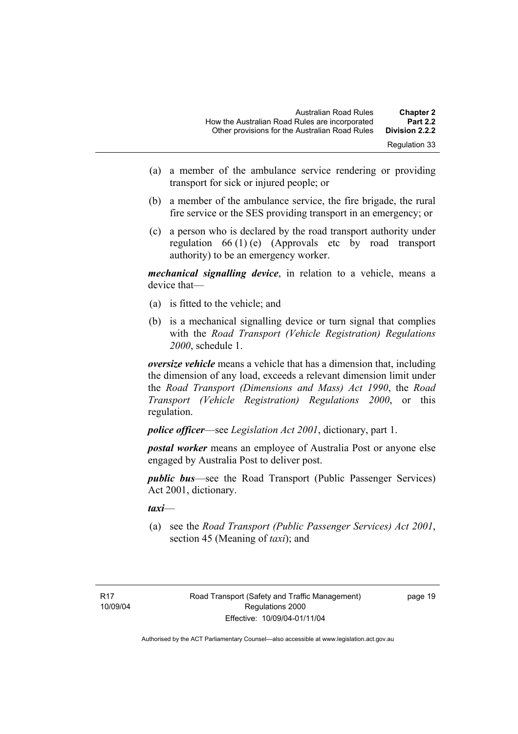- (a) a member of the ambulance service rendering or providing transport for sick or injured people; or
- (b) a member of the ambulance service, the fire brigade, the rural fire service or the SES providing transport in an emergency; or
- (c) a person who is declared by the road transport authority under regulation 66 (1) (e) (Approvals etc by road transport authority) to be an emergency worker.

*mechanical signalling device*, in relation to a vehicle, means a device that—

- (a) is fitted to the vehicle; and
- (b) is a mechanical signalling device or turn signal that complies with the *Road Transport (Vehicle Registration) Regulations 2000*, schedule 1.

*oversize vehicle* means a vehicle that has a dimension that, including the dimension of any load, exceeds a relevant dimension limit under the *Road Transport (Dimensions and Mass) Act 1990*, the *Road Transport (Vehicle Registration) Regulations 2000*, or this regulation.

*police officer*—see *Legislation Act 2001*, dictionary, part 1.

*postal worker* means an employee of Australia Post or anyone else engaged by Australia Post to deliver post.

*public bus*—see the Road Transport (Public Passenger Services) Act 2001, dictionary.

*taxi*—

 (a) see the *Road Transport (Public Passenger Services) Act 2001*, section 45 (Meaning of *taxi*); and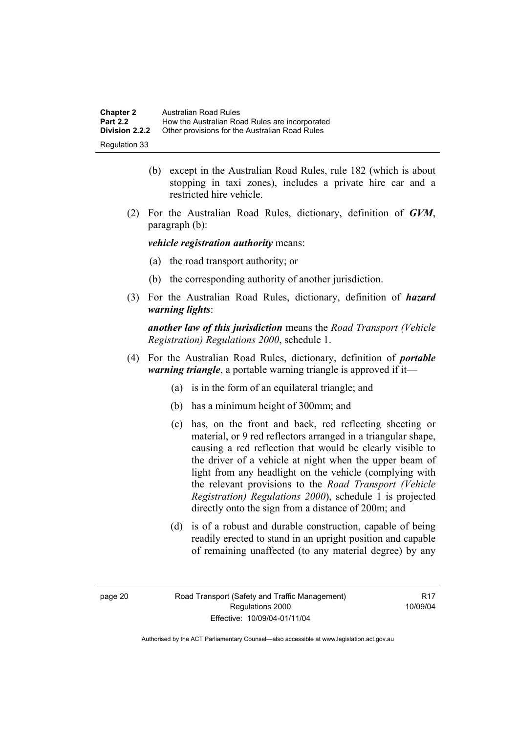| <b>Chapter 2</b>      | Australian Road Rules                          |
|-----------------------|------------------------------------------------|
| <b>Part 2.2</b>       | How the Australian Road Rules are incorporated |
| <b>Division 2.2.2</b> | Other provisions for the Australian Road Rules |
| Regulation 33         |                                                |

- (b) except in the Australian Road Rules, rule 182 (which is about stopping in taxi zones), includes a private hire car and a restricted hire vehicle.
- (2) For the Australian Road Rules, dictionary, definition of *GVM*, paragraph (b):

*vehicle registration authority* means:

- (a) the road transport authority; or
- (b) the corresponding authority of another jurisdiction.
- (3) For the Australian Road Rules, dictionary, definition of *hazard warning lights*:

*another law of this jurisdiction* means the *Road Transport (Vehicle Registration) Regulations 2000*, schedule 1.

- (4) For the Australian Road Rules, dictionary, definition of *portable warning triangle*, a portable warning triangle is approved if it—
	- (a) is in the form of an equilateral triangle; and
	- (b) has a minimum height of 300mm; and
	- (c) has, on the front and back, red reflecting sheeting or material, or 9 red reflectors arranged in a triangular shape, causing a red reflection that would be clearly visible to the driver of a vehicle at night when the upper beam of light from any headlight on the vehicle (complying with the relevant provisions to the *Road Transport (Vehicle Registration) Regulations 2000*), schedule 1 is projected directly onto the sign from a distance of 200m; and
	- (d) is of a robust and durable construction, capable of being readily erected to stand in an upright position and capable of remaining unaffected (to any material degree) by any

**R17** 10/09/04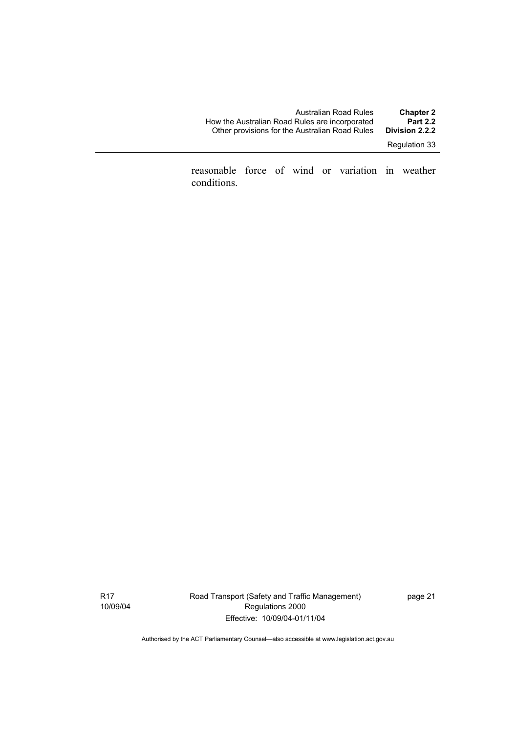| Australian Road Rules                          | <b>Chapter 2</b> |
|------------------------------------------------|------------------|
| How the Australian Road Rules are incorporated | <b>Part 2.2</b>  |
| Other provisions for the Australian Road Rules | Division 2.2.2   |
|                                                |                  |

Regulation 33

reasonable force of wind or variation in weather conditions.

Road Transport (Safety and Traffic Management) Regulations 2000 Effective: 10/09/04-01/11/04

page 21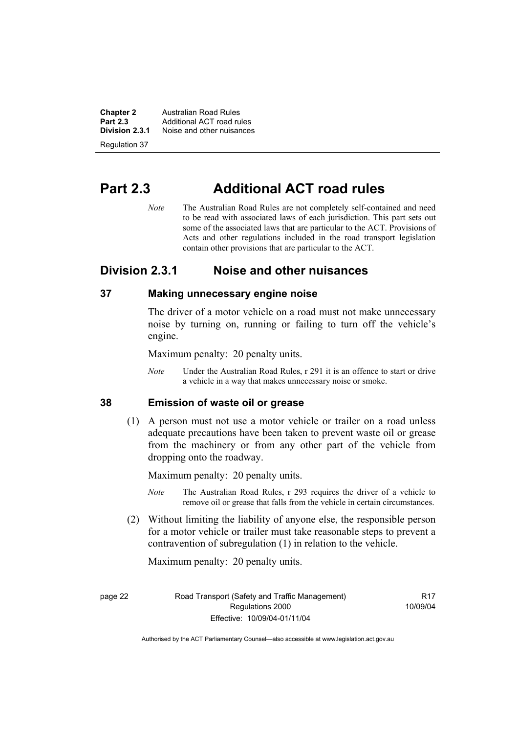**Chapter 2 Australian Road Rules**<br>**Part 2.3 Additional ACT road rules Part 2.3** Additional ACT road rules<br>**Division 2.3.1** Noise and other nuisances **Division 2.3.1** Noise and other nuisances

Regulation 37

# **Part 2.3 Additional ACT road rules**

*Note* The Australian Road Rules are not completely self-contained and need to be read with associated laws of each jurisdiction. This part sets out some of the associated laws that are particular to the ACT. Provisions of Acts and other regulations included in the road transport legislation contain other provisions that are particular to the ACT.

# **Division 2.3.1 Noise and other nuisances**

## **37 Making unnecessary engine noise**

The driver of a motor vehicle on a road must not make unnecessary noise by turning on, running or failing to turn off the vehicle's engine.

Maximum penalty: 20 penalty units.

*Note* Under the Australian Road Rules, r 291 it is an offence to start or drive a vehicle in a way that makes unnecessary noise or smoke.

#### **38 Emission of waste oil or grease**

 (1) A person must not use a motor vehicle or trailer on a road unless adequate precautions have been taken to prevent waste oil or grease from the machinery or from any other part of the vehicle from dropping onto the roadway.

Maximum penalty: 20 penalty units.

- *Note* The Australian Road Rules, r 293 requires the driver of a vehicle to remove oil or grease that falls from the vehicle in certain circumstances.
- (2) Without limiting the liability of anyone else, the responsible person for a motor vehicle or trailer must take reasonable steps to prevent a contravention of subregulation (1) in relation to the vehicle.

Maximum penalty: 20 penalty units.

page 22 Road Transport (Safety and Traffic Management) Regulations 2000 Effective: 10/09/04-01/11/04

**R17** 10/09/04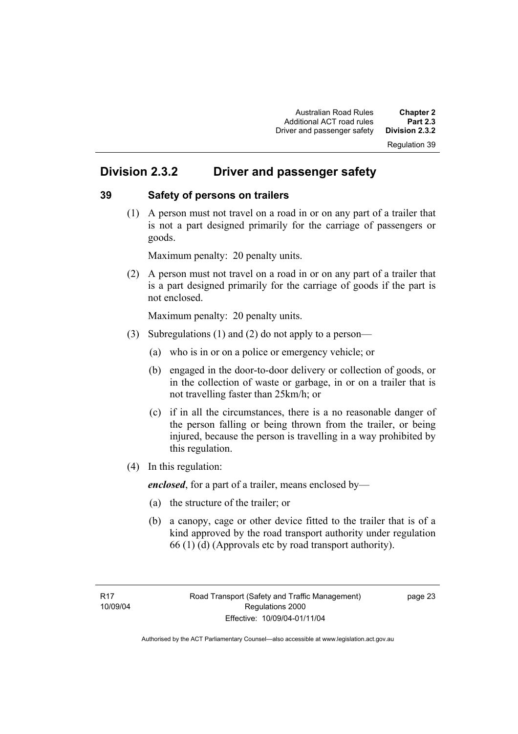# Regulation 39

# **Division 2.3.2 Driver and passenger safety**

#### **39 Safety of persons on trailers**

 (1) A person must not travel on a road in or on any part of a trailer that is not a part designed primarily for the carriage of passengers or goods.

Maximum penalty: 20 penalty units.

 (2) A person must not travel on a road in or on any part of a trailer that is a part designed primarily for the carriage of goods if the part is not enclosed.

Maximum penalty: 20 penalty units.

- (3) Subregulations (1) and (2) do not apply to a person—
	- (a) who is in or on a police or emergency vehicle; or
	- (b) engaged in the door-to-door delivery or collection of goods, or in the collection of waste or garbage, in or on a trailer that is not travelling faster than 25km/h; or
	- (c) if in all the circumstances, there is a no reasonable danger of the person falling or being thrown from the trailer, or being injured, because the person is travelling in a way prohibited by this regulation.
- (4) In this regulation:

*enclosed*, for a part of a trailer, means enclosed by—

- (a) the structure of the trailer; or
- (b) a canopy, cage or other device fitted to the trailer that is of a kind approved by the road transport authority under regulation 66 (1) (d) (Approvals etc by road transport authority).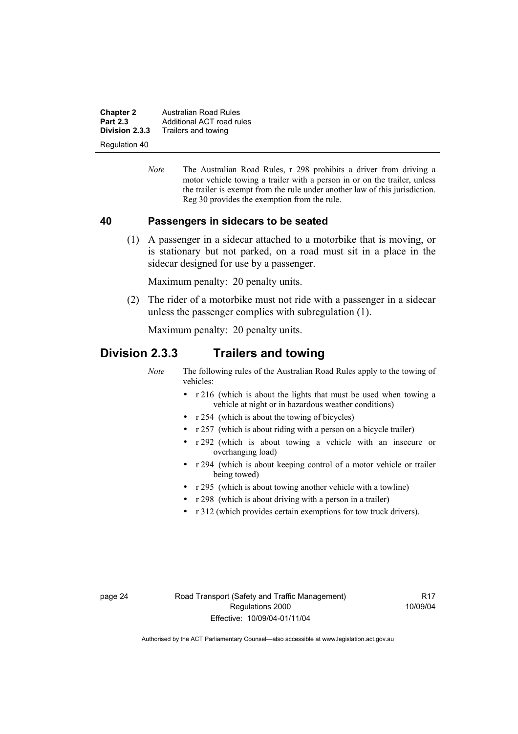**Chapter 2 Australian Road Rules**<br>**Part 2.3 Additional ACT road rules Part 2.3** Additional ACT road rules<br>**Division 2.3.3** Trailers and towing **Division 2.3.3** Trailers and towing

Regulation 40

*Note* The Australian Road Rules, r 298 prohibits a driver from driving a motor vehicle towing a trailer with a person in or on the trailer, unless the trailer is exempt from the rule under another law of this jurisdiction. Reg 30 provides the exemption from the rule.

#### **40 Passengers in sidecars to be seated**

 (1) A passenger in a sidecar attached to a motorbike that is moving, or is stationary but not parked, on a road must sit in a place in the sidecar designed for use by a passenger.

Maximum penalty: 20 penalty units.

 (2) The rider of a motorbike must not ride with a passenger in a sidecar unless the passenger complies with subregulation (1).

Maximum penalty: 20 penalty units.

# **Division 2.3.3 Trailers and towing**

*Note* The following rules of the Australian Road Rules apply to the towing of vehicles:

- r 216 (which is about the lights that must be used when towing a vehicle at night or in hazardous weather conditions)
- r 254 (which is about the towing of bicycles)
- r 257 (which is about riding with a person on a bicycle trailer)
- r 292 (which is about towing a vehicle with an insecure or overhanging load)
- r 294 (which is about keeping control of a motor vehicle or trailer being towed)
- r 295 (which is about towing another vehicle with a towline)
- r 298 (which is about driving with a person in a trailer)
- r 312 (which provides certain exemptions for tow truck drivers).

**R17** 10/09/04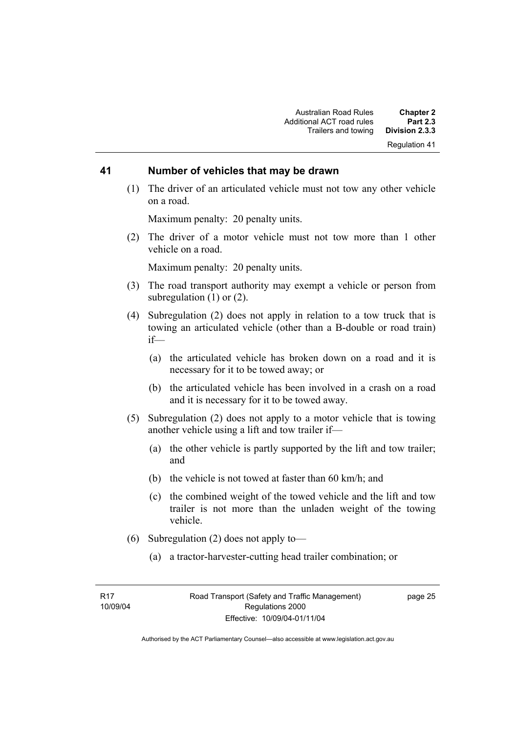#### **41 Number of vehicles that may be drawn**

 (1) The driver of an articulated vehicle must not tow any other vehicle on a road.

Maximum penalty: 20 penalty units.

 (2) The driver of a motor vehicle must not tow more than 1 other vehicle on a road.

Maximum penalty: 20 penalty units.

- (3) The road transport authority may exempt a vehicle or person from subregulation (1) or (2).
- (4) Subregulation (2) does not apply in relation to a tow truck that is towing an articulated vehicle (other than a B-double or road train) if—
	- (a) the articulated vehicle has broken down on a road and it is necessary for it to be towed away; or
	- (b) the articulated vehicle has been involved in a crash on a road and it is necessary for it to be towed away.
- (5) Subregulation (2) does not apply to a motor vehicle that is towing another vehicle using a lift and tow trailer if—
	- (a) the other vehicle is partly supported by the lift and tow trailer; and
	- (b) the vehicle is not towed at faster than 60 km/h; and
	- (c) the combined weight of the towed vehicle and the lift and tow trailer is not more than the unladen weight of the towing vehicle.
- (6) Subregulation (2) does not apply to—
	- (a) a tractor-harvester-cutting head trailer combination; or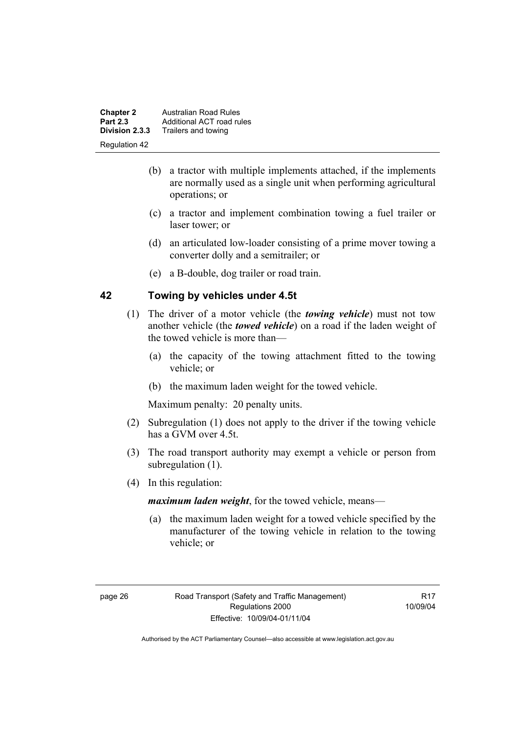| <b>Chapter 2</b> | Australian Road Rules     |
|------------------|---------------------------|
| <b>Part 2.3</b>  | Additional ACT road rules |
| Division 2.3.3   | Trailers and towing       |
| Regulation 42    |                           |

- (b) a tractor with multiple implements attached, if the implements are normally used as a single unit when performing agricultural operations; or
- (c) a tractor and implement combination towing a fuel trailer or laser tower; or
- (d) an articulated low-loader consisting of a prime mover towing a converter dolly and a semitrailer; or
- (e) a B-double, dog trailer or road train.

#### **42 Towing by vehicles under 4.5t**

- (1) The driver of a motor vehicle (the *towing vehicle*) must not tow another vehicle (the *towed vehicle*) on a road if the laden weight of the towed vehicle is more than—
	- (a) the capacity of the towing attachment fitted to the towing vehicle; or
	- (b) the maximum laden weight for the towed vehicle.

Maximum penalty: 20 penalty units.

- (2) Subregulation (1) does not apply to the driver if the towing vehicle has a GVM over 4.5t.
- (3) The road transport authority may exempt a vehicle or person from subregulation  $(1)$ .
- (4) In this regulation:

*maximum laden weight*, for the towed vehicle, means—

 (a) the maximum laden weight for a towed vehicle specified by the manufacturer of the towing vehicle in relation to the towing vehicle; or

**R17** 10/09/04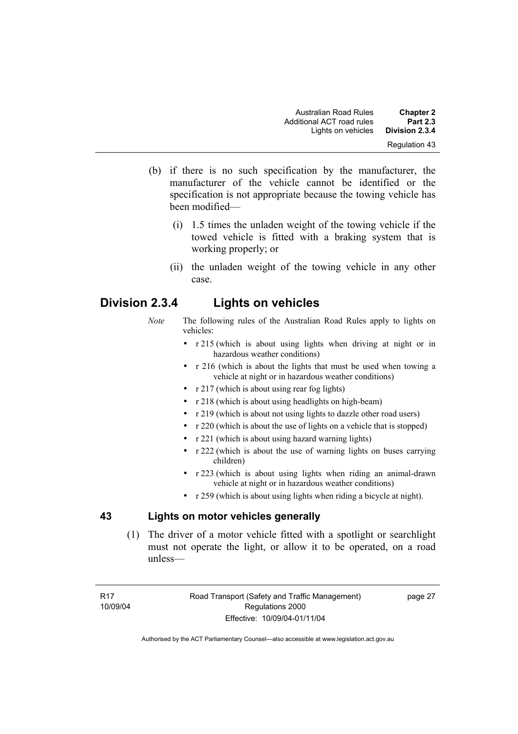- (b) if there is no such specification by the manufacturer, the manufacturer of the vehicle cannot be identified or the specification is not appropriate because the towing vehicle has been modified—
	- (i) 1.5 times the unladen weight of the towing vehicle if the towed vehicle is fitted with a braking system that is working properly; or
	- (ii) the unladen weight of the towing vehicle in any other case.

# **Division 2.3.4 Lights on vehicles**

- *Note* The following rules of the Australian Road Rules apply to lights on vehicles:
	- r 215 (which is about using lights when driving at night or in hazardous weather conditions)
	- r 216 (which is about the lights that must be used when towing a vehicle at night or in hazardous weather conditions)
	- r 217 (which is about using rear fog lights)
	- r 218 (which is about using headlights on high-beam)
	- r 219 (which is about not using lights to dazzle other road users)
	- r 220 (which is about the use of lights on a vehicle that is stopped)
	- r 221 (which is about using hazard warning lights)
	- r 222 (which is about the use of warning lights on buses carrying children)
	- r 223 (which is about using lights when riding an animal-drawn vehicle at night or in hazardous weather conditions)
	- r 259 (which is about using lights when riding a bicycle at night).

## **43 Lights on motor vehicles generally**

 (1) The driver of a motor vehicle fitted with a spotlight or searchlight must not operate the light, or allow it to be operated, on a road unless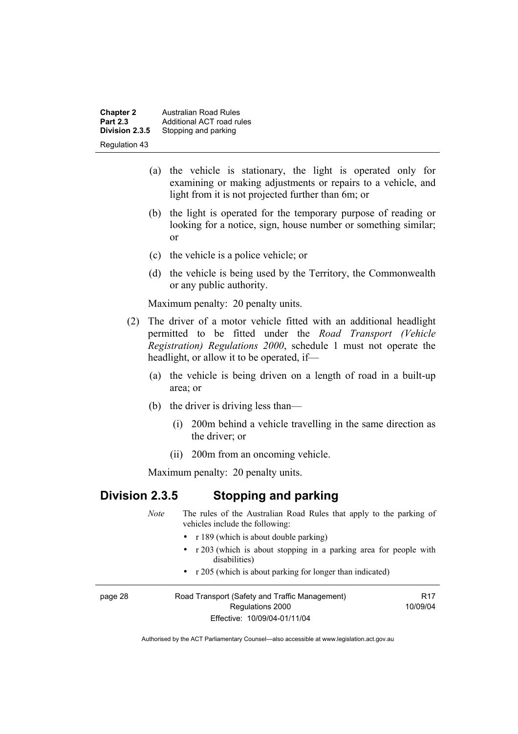**Chapter 2 Australian Road Rules**<br>**Part 2.3 Additional ACT road rules Part 2.3** Additional ACT road rules<br>**Division 2.3.5** Stopping and parking **Stopping and parking** Regulation 43

- (a) the vehicle is stationary, the light is operated only for examining or making adjustments or repairs to a vehicle, and light from it is not projected further than 6m; or
- (b) the light is operated for the temporary purpose of reading or looking for a notice, sign, house number or something similar; or
- (c) the vehicle is a police vehicle; or
- (d) the vehicle is being used by the Territory, the Commonwealth or any public authority.

Maximum penalty: 20 penalty units.

- (2) The driver of a motor vehicle fitted with an additional headlight permitted to be fitted under the *Road Transport (Vehicle Registration) Regulations 2000*, schedule 1 must not operate the headlight, or allow it to be operated, if—
	- (a) the vehicle is being driven on a length of road in a built-up area; or
	- (b) the driver is driving less than—
		- (i) 200m behind a vehicle travelling in the same direction as the driver; or
		- (ii) 200m from an oncoming vehicle.

Maximum penalty: 20 penalty units.

## **Division 2.3.5 Stopping and parking**

|         | <b>Note</b> | The rules of the Australian Road Rules that apply to the parking of<br>vehicles include the following: |          |
|---------|-------------|--------------------------------------------------------------------------------------------------------|----------|
|         |             | • $r189$ (which is about double parking)                                                               |          |
|         |             | • r 203 (which is about stopping in a parking area for people with<br>disabilities)                    |          |
|         |             | • $r \ge 205$ (which is about parking for longer than indicated)                                       |          |
| page 28 |             | Road Transport (Safety and Traffic Management)                                                         | R17      |
|         |             | Regulations 2000                                                                                       | 10/09/04 |
|         |             | Effective: 10/09/04-01/11/04                                                                           |          |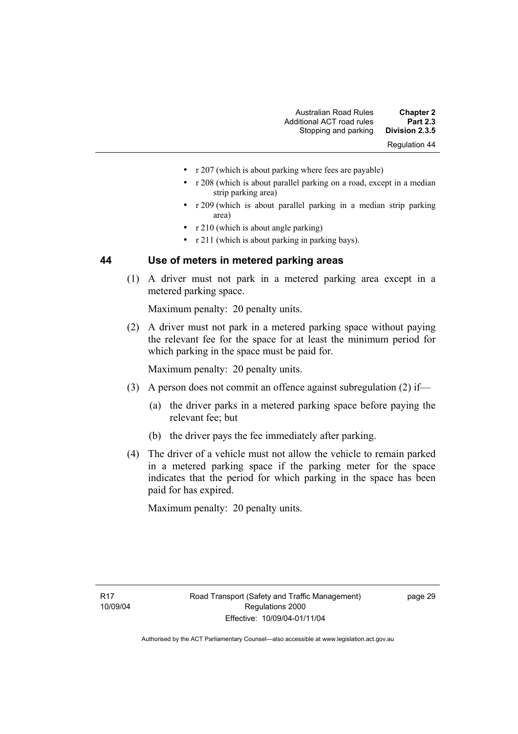- r 207 (which is about parking where fees are payable)
- r 208 (which is about parallel parking on a road, except in a median strip parking area)
- r 209 (which is about parallel parking in a median strip parking area)
- r 210 (which is about angle parking)
- r 211 (which is about parking in parking bays).

## **44 Use of meters in metered parking areas**

 (1) A driver must not park in a metered parking area except in a metered parking space.

Maximum penalty: 20 penalty units.

 (2) A driver must not park in a metered parking space without paying the relevant fee for the space for at least the minimum period for which parking in the space must be paid for.

Maximum penalty: 20 penalty units.

- (3) A person does not commit an offence against subregulation (2) if—
	- (a) the driver parks in a metered parking space before paying the relevant fee; but
	- (b) the driver pays the fee immediately after parking.
- (4) The driver of a vehicle must not allow the vehicle to remain parked in a metered parking space if the parking meter for the space indicates that the period for which parking in the space has been paid for has expired.

Maximum penalty: 20 penalty units.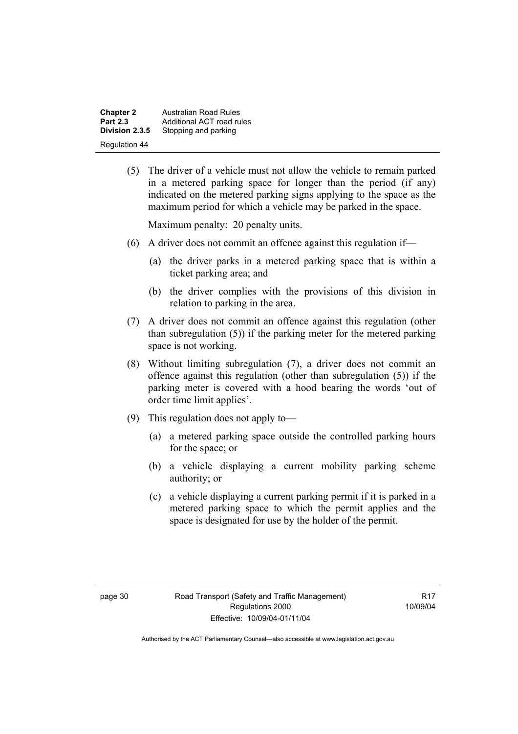**Chapter 2 Australian Road Rules**<br>**Part 2.3 Additional ACT road rules Part 2.3** Additional ACT road rules<br>**Division 2.3.5** Stopping and parking **Stopping and parking** Regulation 44

> (5) The driver of a vehicle must not allow the vehicle to remain parked in a metered parking space for longer than the period (if any) indicated on the metered parking signs applying to the space as the maximum period for which a vehicle may be parked in the space.

Maximum penalty: 20 penalty units.

- (6) A driver does not commit an offence against this regulation if—
	- (a) the driver parks in a metered parking space that is within a ticket parking area; and
	- (b) the driver complies with the provisions of this division in relation to parking in the area.
- (7) A driver does not commit an offence against this regulation (other than subregulation (5)) if the parking meter for the metered parking space is not working.
- (8) Without limiting subregulation (7), a driver does not commit an offence against this regulation (other than subregulation (5)) if the parking meter is covered with a hood bearing the words 'out of order time limit applies'.
- (9) This regulation does not apply to—
	- (a) a metered parking space outside the controlled parking hours for the space; or
	- (b) a vehicle displaying a current mobility parking scheme authority; or
	- (c) a vehicle displaying a current parking permit if it is parked in a metered parking space to which the permit applies and the space is designated for use by the holder of the permit.

**R17** 10/09/04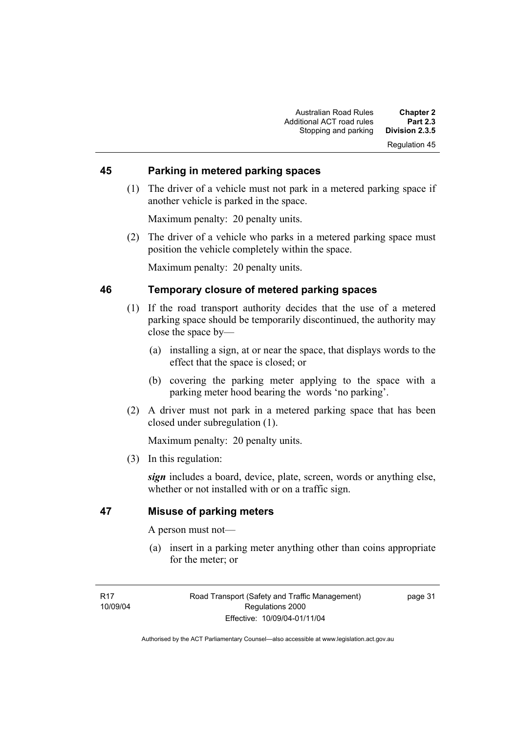## **45 Parking in metered parking spaces**

 (1) The driver of a vehicle must not park in a metered parking space if another vehicle is parked in the space.

Maximum penalty: 20 penalty units.

 (2) The driver of a vehicle who parks in a metered parking space must position the vehicle completely within the space.

Maximum penalty: 20 penalty units.

## **46 Temporary closure of metered parking spaces**

- (1) If the road transport authority decides that the use of a metered parking space should be temporarily discontinued, the authority may close the space by—
	- (a) installing a sign, at or near the space, that displays words to the effect that the space is closed; or
	- (b) covering the parking meter applying to the space with a parking meter hood bearing the words 'no parking'.
- (2) A driver must not park in a metered parking space that has been closed under subregulation (1).

Maximum penalty: 20 penalty units.

(3) In this regulation:

*sign* includes a board, device, plate, screen, words or anything else, whether or not installed with or on a traffic sign.

## **47 Misuse of parking meters**

A person must not—

 (a) insert in a parking meter anything other than coins appropriate for the meter; or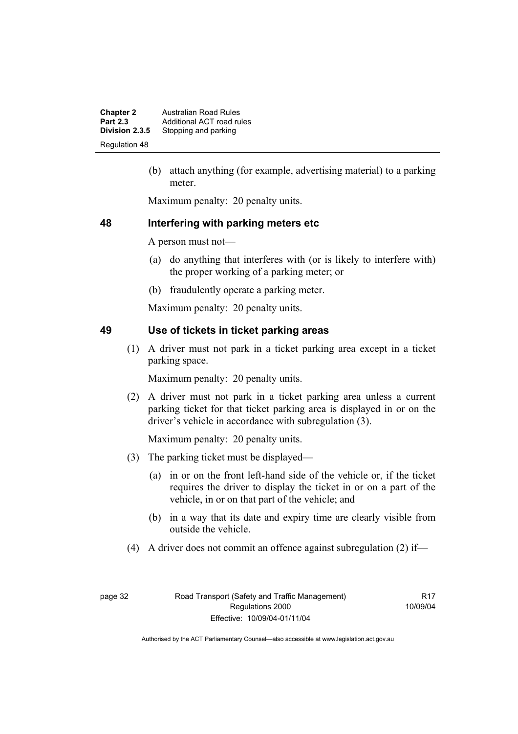**Chapter 2 Australian Road Rules**<br>**Part 2.3 Additional ACT road rules Part 2.3** Additional ACT road rules<br>**Division 2.3.5** Stopping and parking Stopping and parking Regulation 48

> (b) attach anything (for example, advertising material) to a parking meter.

Maximum penalty: 20 penalty units.

#### **48 Interfering with parking meters etc**

A person must not—

- (a) do anything that interferes with (or is likely to interfere with) the proper working of a parking meter; or
- (b) fraudulently operate a parking meter.

Maximum penalty: 20 penalty units.

## **49 Use of tickets in ticket parking areas**

 (1) A driver must not park in a ticket parking area except in a ticket parking space.

Maximum penalty: 20 penalty units.

 (2) A driver must not park in a ticket parking area unless a current parking ticket for that ticket parking area is displayed in or on the driver's vehicle in accordance with subregulation (3).

Maximum penalty: 20 penalty units.

- (3) The parking ticket must be displayed—
	- (a) in or on the front left-hand side of the vehicle or, if the ticket requires the driver to display the ticket in or on a part of the vehicle, in or on that part of the vehicle; and
	- (b) in a way that its date and expiry time are clearly visible from outside the vehicle.
- (4) A driver does not commit an offence against subregulation (2) if—

**R17** 10/09/04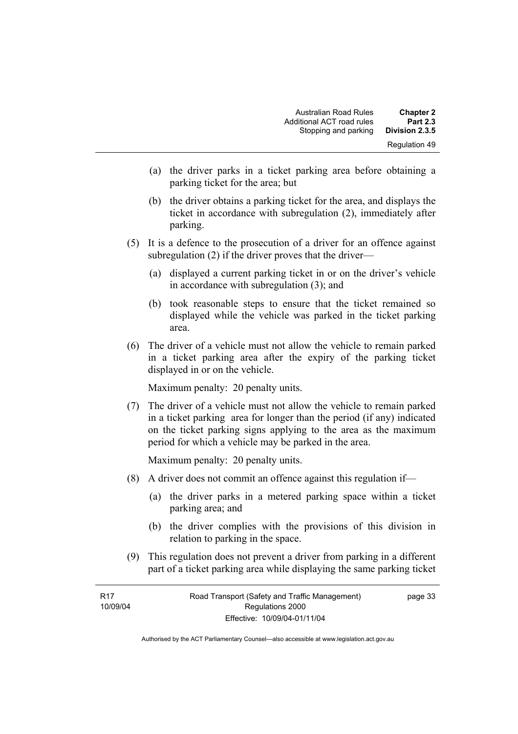- (a) the driver parks in a ticket parking area before obtaining a parking ticket for the area; but
- (b) the driver obtains a parking ticket for the area, and displays the ticket in accordance with subregulation (2), immediately after parking.
- (5) It is a defence to the prosecution of a driver for an offence against subregulation (2) if the driver proves that the driver—
	- (a) displayed a current parking ticket in or on the driver's vehicle in accordance with subregulation (3); and
	- (b) took reasonable steps to ensure that the ticket remained so displayed while the vehicle was parked in the ticket parking area.
- (6) The driver of a vehicle must not allow the vehicle to remain parked in a ticket parking area after the expiry of the parking ticket displayed in or on the vehicle.

Maximum penalty: 20 penalty units.

 (7) The driver of a vehicle must not allow the vehicle to remain parked in a ticket parking area for longer than the period (if any) indicated on the ticket parking signs applying to the area as the maximum period for which a vehicle may be parked in the area.

Maximum penalty: 20 penalty units.

- (8) A driver does not commit an offence against this regulation if—
	- (a) the driver parks in a metered parking space within a ticket parking area; and
	- (b) the driver complies with the provisions of this division in relation to parking in the space.
- (9) This regulation does not prevent a driver from parking in a different part of a ticket parking area while displaying the same parking ticket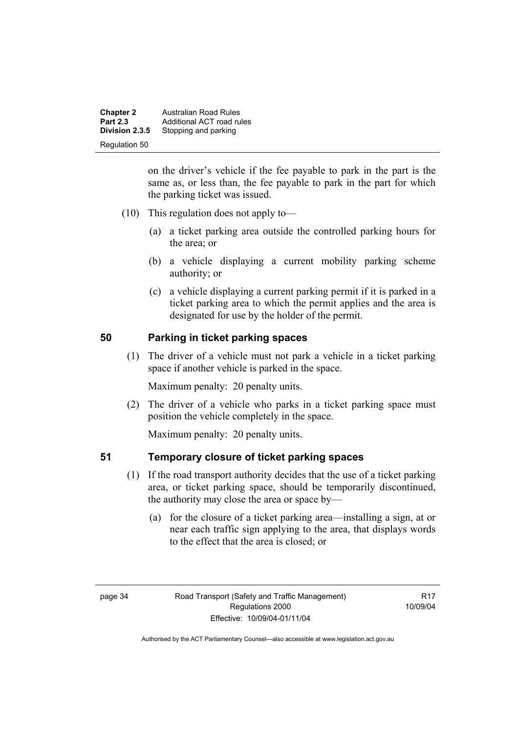**Chapter 2 Australian Road Rules**<br>**Part 2.3 Additional ACT road rules Part 2.3** Additional ACT road rules<br>**Division 2.3.5** Stopping and parking Stopping and parking Regulation 50

> on the driver's vehicle if the fee payable to park in the part is the same as, or less than, the fee payable to park in the part for which the parking ticket was issued.

- (10) This regulation does not apply to—
	- (a) a ticket parking area outside the controlled parking hours for the area; or
	- (b) a vehicle displaying a current mobility parking scheme authority; or
	- (c) a vehicle displaying a current parking permit if it is parked in a ticket parking area to which the permit applies and the area is designated for use by the holder of the permit.

#### **50 Parking in ticket parking spaces**

 (1) The driver of a vehicle must not park a vehicle in a ticket parking space if another vehicle is parked in the space.

Maximum penalty: 20 penalty units.

 (2) The driver of a vehicle who parks in a ticket parking space must position the vehicle completely in the space.

Maximum penalty: 20 penalty units.

#### **51 Temporary closure of ticket parking spaces**

- (1) If the road transport authority decides that the use of a ticket parking area, or ticket parking space, should be temporarily discontinued, the authority may close the area or space by—
	- (a) for the closure of a ticket parking area—installing a sign, at or near each traffic sign applying to the area, that displays words to the effect that the area is closed; or

**R17** 10/09/04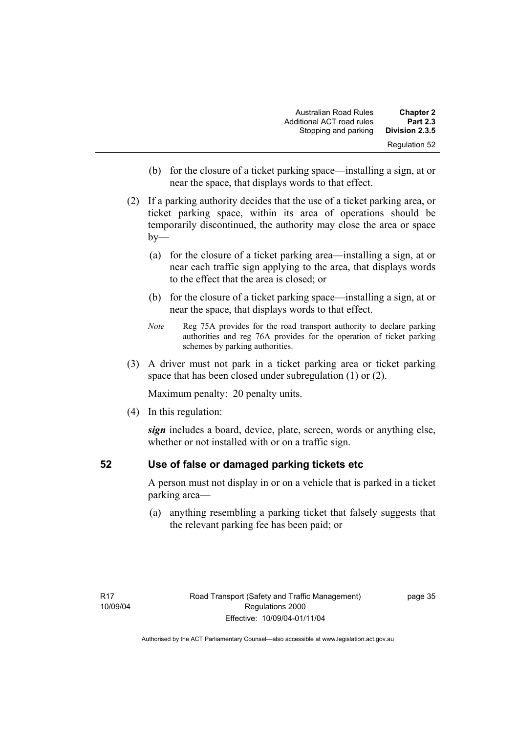| <b>Chapter 2</b> | <b>Australian Road Rules</b> |
|------------------|------------------------------|
| <b>Part 2.3</b>  | Additional ACT road rules    |
| Division 2.3.5   | Stopping and parking         |
| Regulation 52    |                              |

- (b) for the closure of a ticket parking space—installing a sign, at or near the space, that displays words to that effect.
- (2) If a parking authority decides that the use of a ticket parking area, or ticket parking space, within its area of operations should be temporarily discontinued, the authority may close the area or space  $by-$ 
	- (a) for the closure of a ticket parking area—installing a sign, at or near each traffic sign applying to the area, that displays words to the effect that the area is closed; or
	- (b) for the closure of a ticket parking space—installing a sign, at or near the space, that displays words to that effect.
	- *Note* Reg 75A provides for the road transport authority to declare parking authorities and reg 76A provides for the operation of ticket parking schemes by parking authorities.
- (3) A driver must not park in a ticket parking area or ticket parking space that has been closed under subregulation (1) or (2).

Maximum penalty: 20 penalty units.

(4) In this regulation:

*sign* includes a board, device, plate, screen, words or anything else, whether or not installed with or on a traffic sign.

## **52 Use of false or damaged parking tickets etc**

A person must not display in or on a vehicle that is parked in a ticket parking area—

 (a) anything resembling a parking ticket that falsely suggests that the relevant parking fee has been paid; or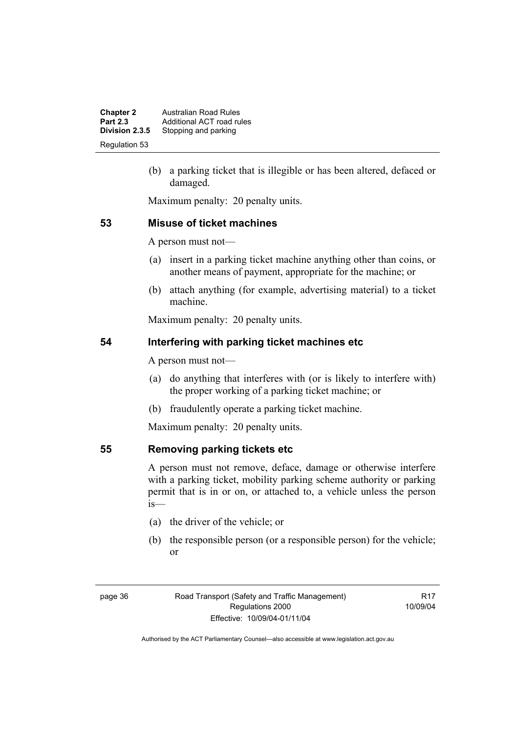**Chapter 2 Australian Road Rules**<br>**Part 2.3 Additional ACT road rules Part 2.3** Additional ACT road rules<br>**Division 2.3.5** Stopping and parking **Stopping and parking** Regulation 53

> (b) a parking ticket that is illegible or has been altered, defaced or damaged.

Maximum penalty: 20 penalty units.

#### **53 Misuse of ticket machines**

A person must not—

- (a) insert in a parking ticket machine anything other than coins, or another means of payment, appropriate for the machine; or
- (b) attach anything (for example, advertising material) to a ticket machine.

Maximum penalty: 20 penalty units.

## **54 Interfering with parking ticket machines etc**

A person must not—

- (a) do anything that interferes with (or is likely to interfere with) the proper working of a parking ticket machine; or
- (b) fraudulently operate a parking ticket machine.

Maximum penalty: 20 penalty units.

#### **55 Removing parking tickets etc**

A person must not remove, deface, damage or otherwise interfere with a parking ticket, mobility parking scheme authority or parking permit that is in or on, or attached to, a vehicle unless the person is—

- (a) the driver of the vehicle; or
- (b) the responsible person (or a responsible person) for the vehicle; or

R17 10/09/04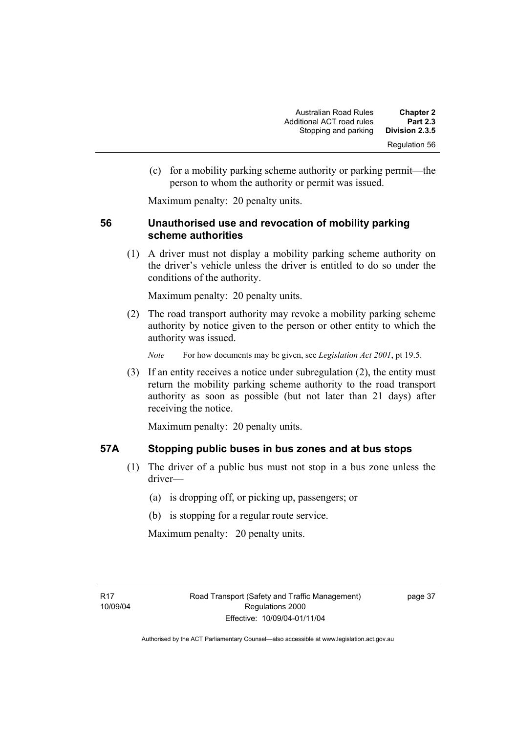(c) for a mobility parking scheme authority or parking permit—the person to whom the authority or permit was issued.

Maximum penalty: 20 penalty units.

## **56 Unauthorised use and revocation of mobility parking scheme authorities**

 (1) A driver must not display a mobility parking scheme authority on the driver's vehicle unless the driver is entitled to do so under the conditions of the authority.

Maximum penalty: 20 penalty units.

 (2) The road transport authority may revoke a mobility parking scheme authority by notice given to the person or other entity to which the authority was issued.

*Note* For how documents may be given, see *Legislation Act 2001*, pt 19.5.

 (3) If an entity receives a notice under subregulation (2), the entity must return the mobility parking scheme authority to the road transport authority as soon as possible (but not later than 21 days) after receiving the notice.

Maximum penalty: 20 penalty units.

#### **57A Stopping public buses in bus zones and at bus stops**

- (1) The driver of a public bus must not stop in a bus zone unless the driver—
	- (a) is dropping off, or picking up, passengers; or
	- (b) is stopping for a regular route service.

Maximum penalty: 20 penalty units.

page 37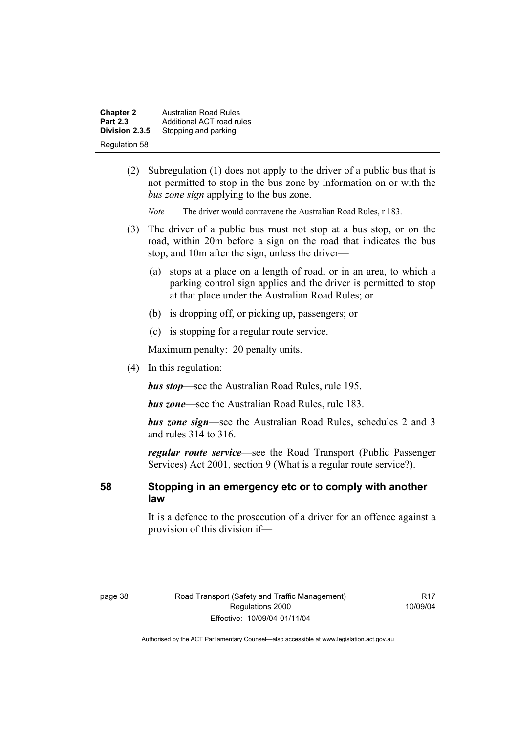| <b>Chapter 2</b> | Australian Road Rules     |
|------------------|---------------------------|
| <b>Part 2.3</b>  | Additional ACT road rules |
| Division 2.3.5   | Stopping and parking      |
| Regulation 58    |                           |

- (2) Subregulation (1) does not apply to the driver of a public bus that is not permitted to stop in the bus zone by information on or with the *bus zone sign* applying to the bus zone.
	- *Note* The driver would contravene the Australian Road Rules, r 183.
- (3) The driver of a public bus must not stop at a bus stop, or on the road, within 20m before a sign on the road that indicates the bus stop, and 10m after the sign, unless the driver—
	- (a) stops at a place on a length of road, or in an area, to which a parking control sign applies and the driver is permitted to stop at that place under the Australian Road Rules; or
	- (b) is dropping off, or picking up, passengers; or
	- (c) is stopping for a regular route service.

Maximum penalty: 20 penalty units.

(4) In this regulation:

*bus stop*—see the Australian Road Rules, rule 195.

*bus zone*—see the Australian Road Rules, rule 183.

*bus zone sign*—see the Australian Road Rules, schedules 2 and 3 and rules 314 to 316.

*regular route service*—see the Road Transport (Public Passenger Services) Act 2001, section 9 (What is a regular route service?).

**58 Stopping in an emergency etc or to comply with another law**

> It is a defence to the prosecution of a driver for an offence against a provision of this division if—

**R17** 10/09/04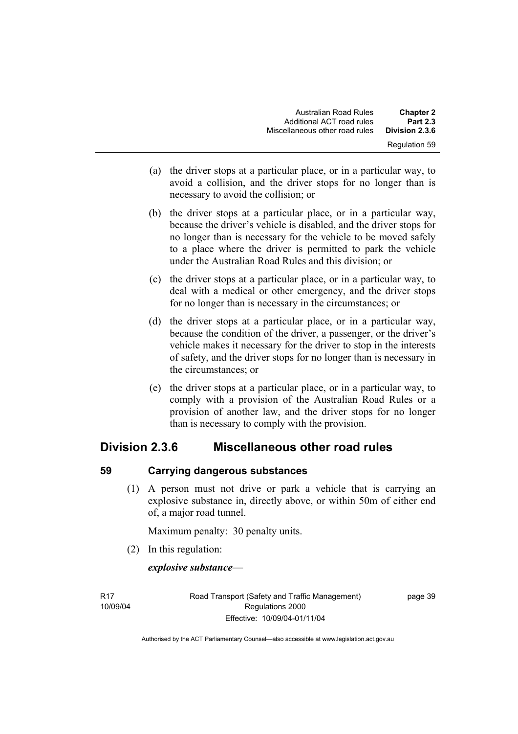| <b>Chapter 2</b>     | <b>Australian Road Rules</b>   |
|----------------------|--------------------------------|
| <b>Part 2.3</b>      | Additional ACT road rules      |
| Division 2.3.6       | Miscellaneous other road rules |
| <b>Regulation 59</b> |                                |

- (a) the driver stops at a particular place, or in a particular way, to avoid a collision, and the driver stops for no longer than is necessary to avoid the collision; or
- (b) the driver stops at a particular place, or in a particular way, because the driver's vehicle is disabled, and the driver stops for no longer than is necessary for the vehicle to be moved safely to a place where the driver is permitted to park the vehicle under the Australian Road Rules and this division; or
- (c) the driver stops at a particular place, or in a particular way, to deal with a medical or other emergency, and the driver stops for no longer than is necessary in the circumstances; or
- (d) the driver stops at a particular place, or in a particular way, because the condition of the driver, a passenger, or the driver's vehicle makes it necessary for the driver to stop in the interests of safety, and the driver stops for no longer than is necessary in the circumstances; or
- (e) the driver stops at a particular place, or in a particular way, to comply with a provision of the Australian Road Rules or a provision of another law, and the driver stops for no longer than is necessary to comply with the provision.

# **Division 2.3.6 Miscellaneous other road rules**

## **59 Carrying dangerous substances**

 (1) A person must not drive or park a vehicle that is carrying an explosive substance in, directly above, or within 50m of either end of, a major road tunnel.

Maximum penalty: 30 penalty units.

(2) In this regulation:

*explosive substance*—

R17 10/09/04 Road Transport (Safety and Traffic Management) Regulations 2000 Effective: 10/09/04-01/11/04

page 39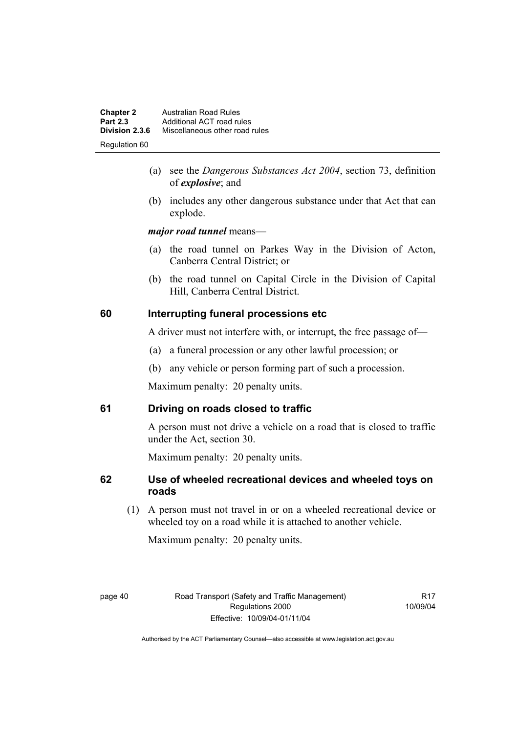| <b>Chapter 2</b> | <b>Australian Road Rules</b>   |
|------------------|--------------------------------|
| <b>Part 2.3</b>  | Additional ACT road rules      |
| Division 2.3.6   | Miscellaneous other road rules |
| Regulation 60    |                                |

- (a) see the *Dangerous Substances Act 2004*, section 73, definition of *explosive*; and
- (b) includes any other dangerous substance under that Act that can explode.

*major road tunnel* means—

- (a) the road tunnel on Parkes Way in the Division of Acton, Canberra Central District; or
- (b) the road tunnel on Capital Circle in the Division of Capital Hill, Canberra Central District.

## **60 Interrupting funeral processions etc**

A driver must not interfere with, or interrupt, the free passage of—

- (a) a funeral procession or any other lawful procession; or
- (b) any vehicle or person forming part of such a procession.

Maximum penalty: 20 penalty units.

## **61 Driving on roads closed to traffic**

A person must not drive a vehicle on a road that is closed to traffic under the Act, section 30.

Maximum penalty: 20 penalty units.

## **62 Use of wheeled recreational devices and wheeled toys on roads**

 (1) A person must not travel in or on a wheeled recreational device or wheeled toy on a road while it is attached to another vehicle.

Maximum penalty: 20 penalty units.

R17 10/09/04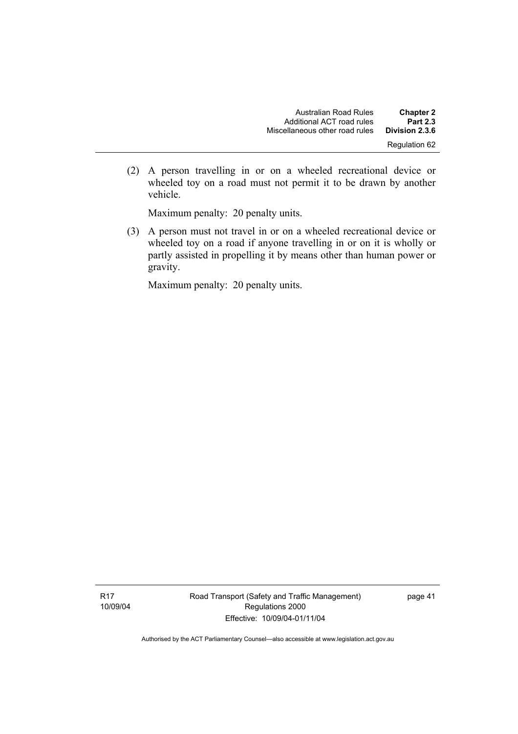(2) A person travelling in or on a wheeled recreational device or wheeled toy on a road must not permit it to be drawn by another vehicle.

Maximum penalty: 20 penalty units.

 (3) A person must not travel in or on a wheeled recreational device or wheeled toy on a road if anyone travelling in or on it is wholly or partly assisted in propelling it by means other than human power or gravity.

Maximum penalty: 20 penalty units.

Road Transport (Safety and Traffic Management) Regulations 2000 Effective: 10/09/04-01/11/04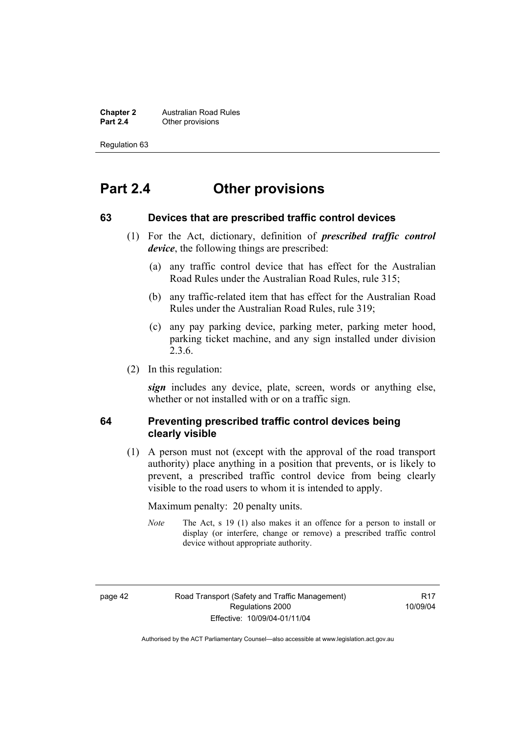**Chapter 2 Australian Road Rules**<br>**Part 2.4 Other provisions Other provisions** 

Regulation 63

# **Part 2.4 Other provisions**

#### **63 Devices that are prescribed traffic control devices**

- (1) For the Act, dictionary, definition of *prescribed traffic control device*, the following things are prescribed:
	- (a) any traffic control device that has effect for the Australian Road Rules under the Australian Road Rules, rule 315;
	- (b) any traffic-related item that has effect for the Australian Road Rules under the Australian Road Rules, rule 319;
	- (c) any pay parking device, parking meter, parking meter hood, parking ticket machine, and any sign installed under division 2.3.6.
- (2) In this regulation:

*sign* includes any device, plate, screen, words or anything else, whether or not installed with or on a traffic sign.

#### **64 Preventing prescribed traffic control devices being clearly visible**

 (1) A person must not (except with the approval of the road transport authority) place anything in a position that prevents, or is likely to prevent, a prescribed traffic control device from being clearly visible to the road users to whom it is intended to apply.

Maximum penalty: 20 penalty units.

*Note* The Act, s 19 (1) also makes it an offence for a person to install or display (or interfere, change or remove) a prescribed traffic control device without appropriate authority.

page 42 Road Transport (Safety and Traffic Management) Regulations 2000 Effective: 10/09/04-01/11/04

**R17** 10/09/04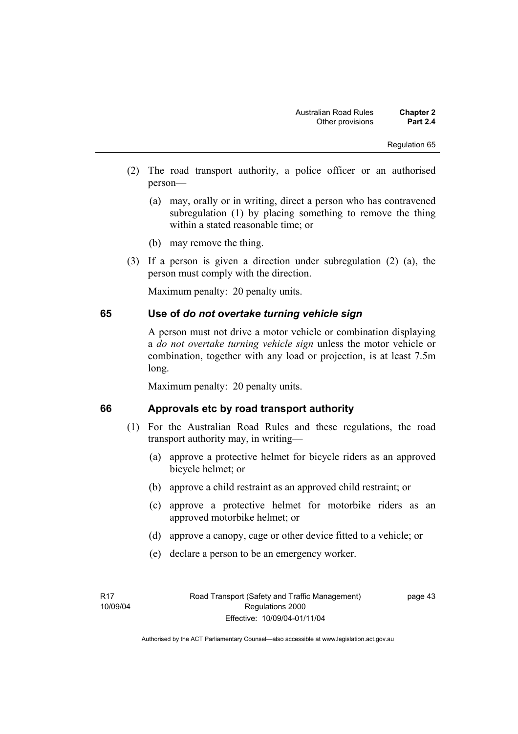- (2) The road transport authority, a police officer or an authorised person—
	- (a) may, orally or in writing, direct a person who has contravened subregulation (1) by placing something to remove the thing within a stated reasonable time; or
	- (b) may remove the thing.
- (3) If a person is given a direction under subregulation (2) (a), the person must comply with the direction.

Maximum penalty: 20 penalty units.

#### **65 Use of** *do not overtake turning vehicle sign*

A person must not drive a motor vehicle or combination displaying a *do not overtake turning vehicle sign* unless the motor vehicle or combination, together with any load or projection, is at least 7.5m long.

Maximum penalty: 20 penalty units.

## **66 Approvals etc by road transport authority**

- (1) For the Australian Road Rules and these regulations, the road transport authority may, in writing—
	- (a) approve a protective helmet for bicycle riders as an approved bicycle helmet; or
	- (b) approve a child restraint as an approved child restraint; or
	- (c) approve a protective helmet for motorbike riders as an approved motorbike helmet; or
	- (d) approve a canopy, cage or other device fitted to a vehicle; or
	- (e) declare a person to be an emergency worker.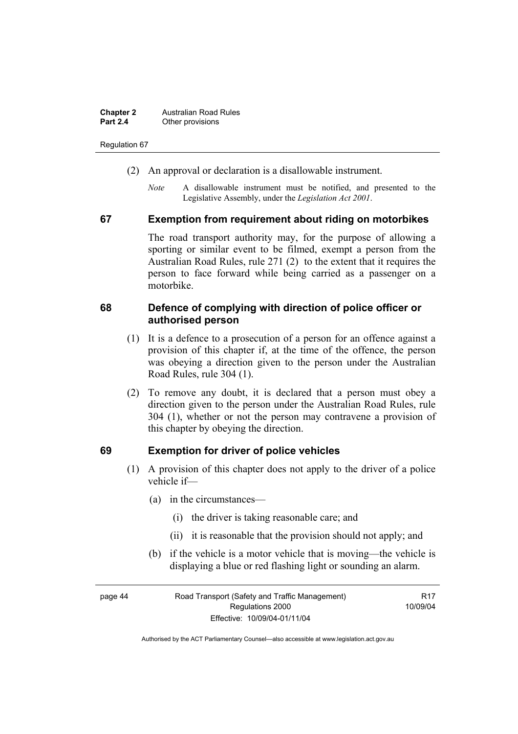| <b>Chapter 2</b> | <b>Australian Road Rules</b> |
|------------------|------------------------------|
| <b>Part 2.4</b>  | Other provisions             |

Regulation 67

- (2) An approval or declaration is a disallowable instrument.
	- *Note* A disallowable instrument must be notified, and presented to the Legislative Assembly, under the *Legislation Act 2001*.

#### **67 Exemption from requirement about riding on motorbikes**

The road transport authority may, for the purpose of allowing a sporting or similar event to be filmed, exempt a person from the Australian Road Rules, rule 271 (2) to the extent that it requires the person to face forward while being carried as a passenger on a motorbike.

#### **68 Defence of complying with direction of police officer or authorised person**

- (1) It is a defence to a prosecution of a person for an offence against a provision of this chapter if, at the time of the offence, the person was obeying a direction given to the person under the Australian Road Rules, rule 304 (1).
- (2) To remove any doubt, it is declared that a person must obey a direction given to the person under the Australian Road Rules, rule 304 (1), whether or not the person may contravene a provision of this chapter by obeying the direction.

#### **69 Exemption for driver of police vehicles**

- (1) A provision of this chapter does not apply to the driver of a police vehicle if—
	- (a) in the circumstances—
		- (i) the driver is taking reasonable care; and
		- (ii) it is reasonable that the provision should not apply; and
	- (b) if the vehicle is a motor vehicle that is moving—the vehicle is displaying a blue or red flashing light or sounding an alarm.

page 44 Road Transport (Safety and Traffic Management) Regulations 2000 Effective: 10/09/04-01/11/04 R17 10/09/04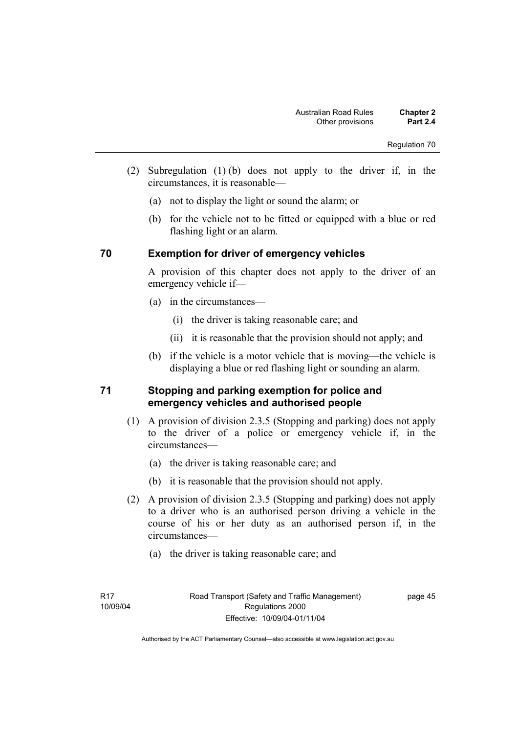- (2) Subregulation (1) (b) does not apply to the driver if, in the circumstances, it is reasonable—
	- (a) not to display the light or sound the alarm; or
	- (b) for the vehicle not to be fitted or equipped with a blue or red flashing light or an alarm.

## **70 Exemption for driver of emergency vehicles**

A provision of this chapter does not apply to the driver of an emergency vehicle if—

- (a) in the circumstances—
	- (i) the driver is taking reasonable care; and
	- (ii) it is reasonable that the provision should not apply; and
- (b) if the vehicle is a motor vehicle that is moving—the vehicle is displaying a blue or red flashing light or sounding an alarm.

## **71 Stopping and parking exemption for police and emergency vehicles and authorised people**

- (1) A provision of division 2.3.5 (Stopping and parking) does not apply to the driver of a police or emergency vehicle if, in the circumstances—
	- (a) the driver is taking reasonable care; and
	- (b) it is reasonable that the provision should not apply.
- (2) A provision of division 2.3.5 (Stopping and parking) does not apply to a driver who is an authorised person driving a vehicle in the course of his or her duty as an authorised person if, in the circumstances—
	- (a) the driver is taking reasonable care; and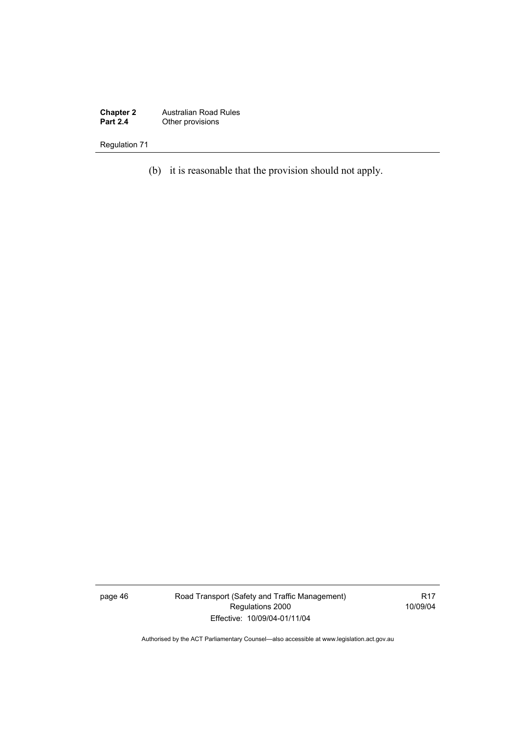**Chapter 2** Australian Road Rules **Part 2.4 Other provisions** 

Regulation 71

(b) it is reasonable that the provision should not apply.

page 46 Road Transport (Safety and Traffic Management) Regulations 2000 Effective: 10/09/04-01/11/04

R17 10/09/04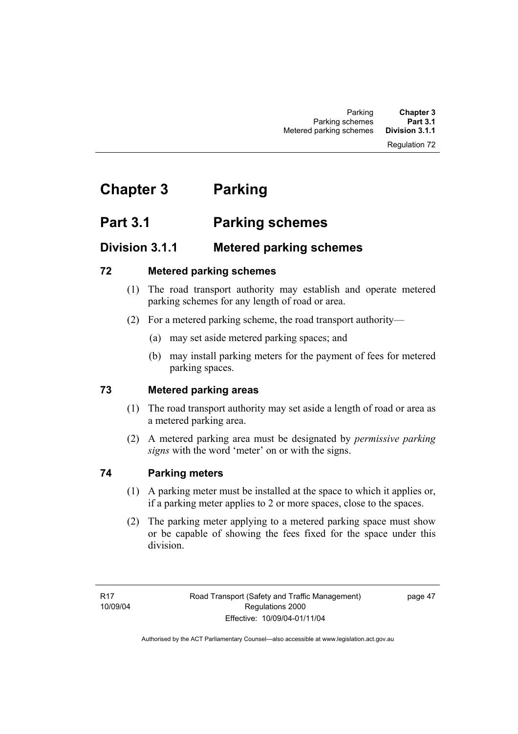#### Regulation 72

# **Chapter 3 Parking**

# **Part 3.1 Parking schemes**

# **Division 3.1.1 Metered parking schemes**

## **72 Metered parking schemes**

- (1) The road transport authority may establish and operate metered parking schemes for any length of road or area.
- (2) For a metered parking scheme, the road transport authority—
	- (a) may set aside metered parking spaces; and
	- (b) may install parking meters for the payment of fees for metered parking spaces.

## **73 Metered parking areas**

- (1) The road transport authority may set aside a length of road or area as a metered parking area.
- (2) A metered parking area must be designated by *permissive parking signs* with the word 'meter' on or with the signs.

## **74 Parking meters**

- (1) A parking meter must be installed at the space to which it applies or, if a parking meter applies to 2 or more spaces, close to the spaces.
- (2) The parking meter applying to a metered parking space must show or be capable of showing the fees fixed for the space under this division.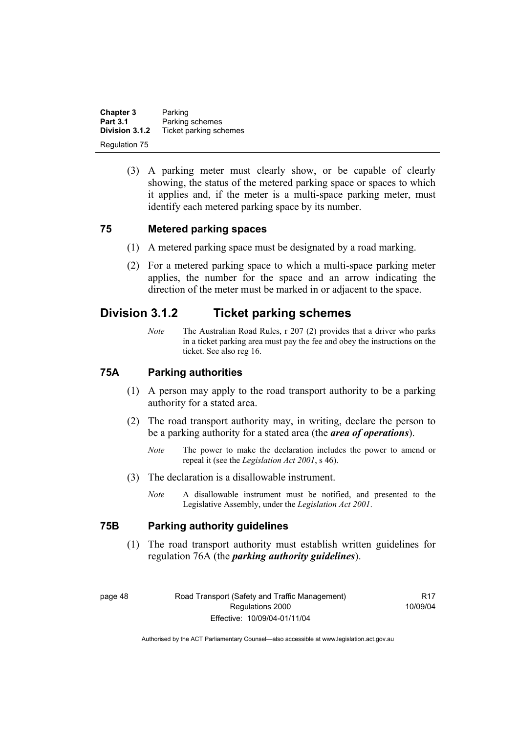**Chapter 3** Parking<br>**Part 3.1** Parking **Part 3.1 Parking schemes**<br>**Division 3.1.2** Ticket parking sch **Division 3.1.2** Ticket parking schemes Regulation 75

> (3) A parking meter must clearly show, or be capable of clearly showing, the status of the metered parking space or spaces to which it applies and, if the meter is a multi-space parking meter, must identify each metered parking space by its number.

#### **75 Metered parking spaces**

- (1) A metered parking space must be designated by a road marking.
- (2) For a metered parking space to which a multi-space parking meter applies, the number for the space and an arrow indicating the direction of the meter must be marked in or adjacent to the space.

# **Division 3.1.2 Ticket parking schemes**

*Note* The Australian Road Rules, r 207 (2) provides that a driver who parks in a ticket parking area must pay the fee and obey the instructions on the ticket. See also reg 16.

#### **75A Parking authorities**

- (1) A person may apply to the road transport authority to be a parking authority for a stated area.
- (2) The road transport authority may, in writing, declare the person to be a parking authority for a stated area (the *area of operations*).
	- *Note* The power to make the declaration includes the power to amend or repeal it (see the *Legislation Act 2001*, s 46).
- (3) The declaration is a disallowable instrument.
	- *Note* A disallowable instrument must be notified, and presented to the Legislative Assembly, under the *Legislation Act 2001*.

## **75B Parking authority guidelines**

 (1) The road transport authority must establish written guidelines for regulation 76A (the *parking authority guidelines*).

**R17** 10/09/04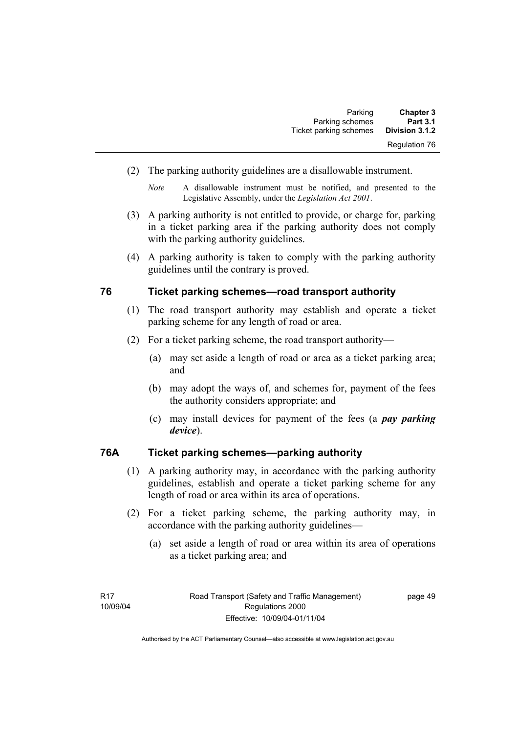| <b>Chapter 3</b>     | Parking                |
|----------------------|------------------------|
| <b>Part 3.1</b>      | Parking schemes        |
| Division 3.1.2       | Ticket parking schemes |
| <b>Regulation 76</b> |                        |

(2) The parking authority guidelines are a disallowable instrument.

- (3) A parking authority is not entitled to provide, or charge for, parking in a ticket parking area if the parking authority does not comply with the parking authority guidelines.
- (4) A parking authority is taken to comply with the parking authority guidelines until the contrary is proved.

#### **76 Ticket parking schemes—road transport authority**

- (1) The road transport authority may establish and operate a ticket parking scheme for any length of road or area.
- (2) For a ticket parking scheme, the road transport authority—
	- (a) may set aside a length of road or area as a ticket parking area; and
	- (b) may adopt the ways of, and schemes for, payment of the fees the authority considers appropriate; and
	- (c) may install devices for payment of the fees (a *pay parking device*).

## **76A Ticket parking schemes—parking authority**

- (1) A parking authority may, in accordance with the parking authority guidelines, establish and operate a ticket parking scheme for any length of road or area within its area of operations.
- (2) For a ticket parking scheme, the parking authority may, in accordance with the parking authority guidelines—
	- (a) set aside a length of road or area within its area of operations as a ticket parking area; and

*Note* A disallowable instrument must be notified, and presented to the Legislative Assembly, under the *Legislation Act 2001*.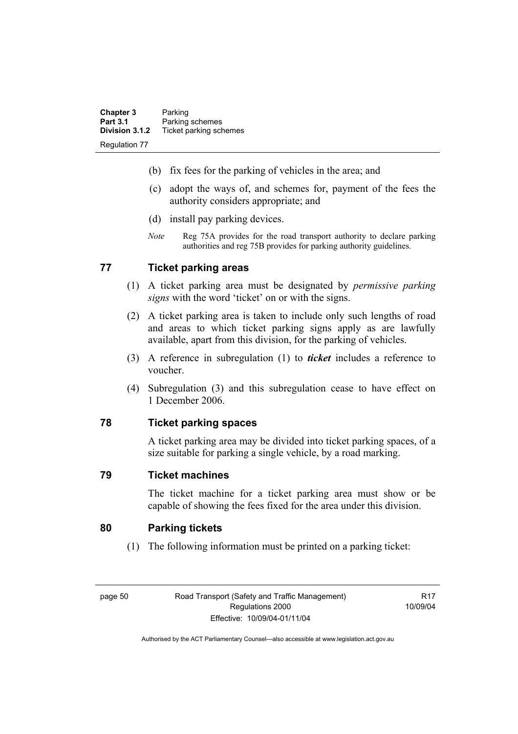| <b>Chapter 3</b>     | Parking                |
|----------------------|------------------------|
| <b>Part 3.1</b>      | Parking schemes        |
| Division 3.1.2       | Ticket parking schemes |
| <b>Regulation 77</b> |                        |

- (b) fix fees for the parking of vehicles in the area; and
- (c) adopt the ways of, and schemes for, payment of the fees the authority considers appropriate; and
- (d) install pay parking devices.
- *Note* Reg 75A provides for the road transport authority to declare parking authorities and reg 75B provides for parking authority guidelines.

## **77 Ticket parking areas**

- (1) A ticket parking area must be designated by *permissive parking signs* with the word 'ticket' on or with the signs.
- (2) A ticket parking area is taken to include only such lengths of road and areas to which ticket parking signs apply as are lawfully available, apart from this division, for the parking of vehicles.
- (3) A reference in subregulation (1) to *ticket* includes a reference to voucher.
- (4) Subregulation (3) and this subregulation cease to have effect on 1 December 2006.

## **78 Ticket parking spaces**

A ticket parking area may be divided into ticket parking spaces, of a size suitable for parking a single vehicle, by a road marking.

#### **79 Ticket machines**

The ticket machine for a ticket parking area must show or be capable of showing the fees fixed for the area under this division.

#### **80 Parking tickets**

(1) The following information must be printed on a parking ticket:

page 50 Road Transport (Safety and Traffic Management) Regulations 2000 Effective: 10/09/04-01/11/04

R17 10/09/04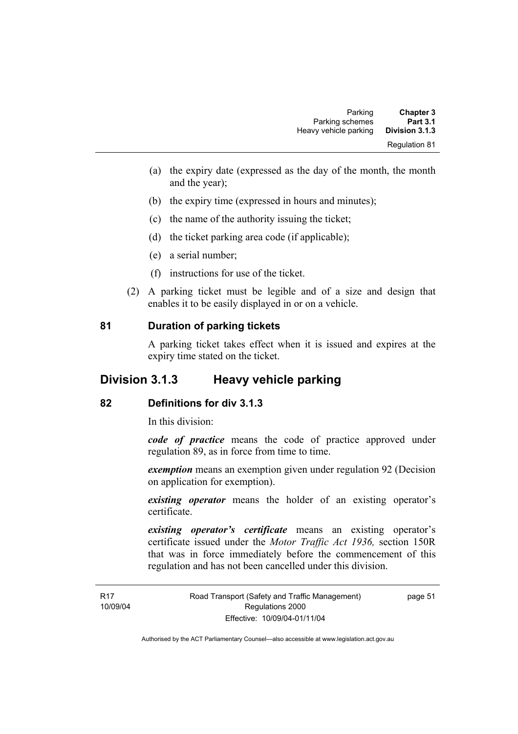| <b>Chapter 3</b>     | Parking               |
|----------------------|-----------------------|
| <b>Part 3.1</b>      | Parking schemes       |
| Division 3.1.3       | Heavy vehicle parking |
| <b>Regulation 81</b> |                       |

- (a) the expiry date (expressed as the day of the month, the month and the year);
- (b) the expiry time (expressed in hours and minutes);
- (c) the name of the authority issuing the ticket;
- (d) the ticket parking area code (if applicable);
- (e) a serial number;
- (f) instructions for use of the ticket.
- (2) A parking ticket must be legible and of a size and design that enables it to be easily displayed in or on a vehicle.

#### **81 Duration of parking tickets**

A parking ticket takes effect when it is issued and expires at the expiry time stated on the ticket.

# **Division 3.1.3 Heavy vehicle parking**

## **82 Definitions for div 3.1.3**

In this division:

*code of practice* means the code of practice approved under regulation 89, as in force from time to time.

*exemption* means an exemption given under regulation 92 (Decision on application for exemption).

*existing operator* means the holder of an existing operator's certificate.

*existing operator's certificate* means an existing operator's certificate issued under the *Motor Traffic Act 1936,* section 150R that was in force immediately before the commencement of this regulation and has not been cancelled under this division.

page 51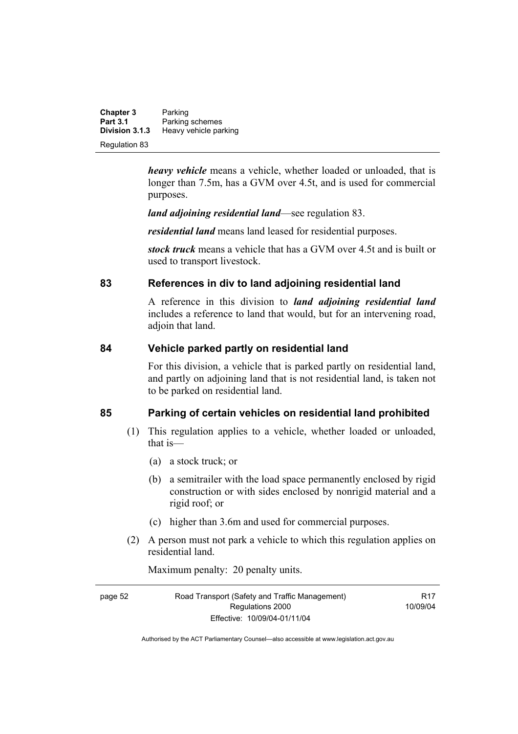**Chapter 3** Parking<br>**Part 3.1** Parking **Part 3.1 Parking schemes**<br>**Division 3.1.3 Heavy vehicle part Division 3.1.3** Heavy vehicle parking Regulation 83

> *heavy vehicle* means a vehicle, whether loaded or unloaded, that is longer than 7.5m, has a GVM over 4.5t, and is used for commercial purposes.

*land adjoining residential land*—see regulation 83.

*residential land* means land leased for residential purposes.

*stock truck* means a vehicle that has a GVM over 4.5t and is built or used to transport livestock.

## **83 References in div to land adjoining residential land**

A reference in this division to *land adjoining residential land* includes a reference to land that would, but for an intervening road, adjoin that land.

## **84 Vehicle parked partly on residential land**

For this division, a vehicle that is parked partly on residential land, and partly on adjoining land that is not residential land, is taken not to be parked on residential land.

## **85 Parking of certain vehicles on residential land prohibited**

- (1) This regulation applies to a vehicle, whether loaded or unloaded, that is—
	- (a) a stock truck; or
	- (b) a semitrailer with the load space permanently enclosed by rigid construction or with sides enclosed by nonrigid material and a rigid roof; or
	- (c) higher than 3.6m and used for commercial purposes.
- (2) A person must not park a vehicle to which this regulation applies on residential land.

Maximum penalty: 20 penalty units.

| page 52 | Road Transport (Safety and Traffic Management) | R <sub>17</sub> |
|---------|------------------------------------------------|-----------------|
|         | Regulations 2000                               | 10/09/04        |
|         | Effective: 10/09/04-01/11/04                   |                 |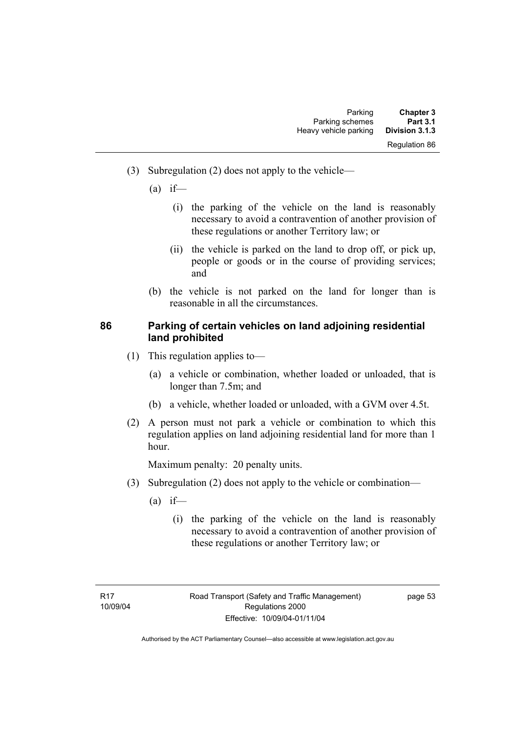- (3) Subregulation (2) does not apply to the vehicle—
	- $(a)$  if—
		- (i) the parking of the vehicle on the land is reasonably necessary to avoid a contravention of another provision of these regulations or another Territory law; or
		- (ii) the vehicle is parked on the land to drop off, or pick up, people or goods or in the course of providing services; and
	- (b) the vehicle is not parked on the land for longer than is reasonable in all the circumstances.

## **86 Parking of certain vehicles on land adjoining residential land prohibited**

- (1) This regulation applies to—
	- (a) a vehicle or combination, whether loaded or unloaded, that is longer than 7.5m; and
	- (b) a vehicle, whether loaded or unloaded, with a GVM over 4.5t.
- (2) A person must not park a vehicle or combination to which this regulation applies on land adjoining residential land for more than 1 hour.

Maximum penalty: 20 penalty units.

- (3) Subregulation (2) does not apply to the vehicle or combination—
	- $(a)$  if—
		- (i) the parking of the vehicle on the land is reasonably necessary to avoid a contravention of another provision of these regulations or another Territory law; or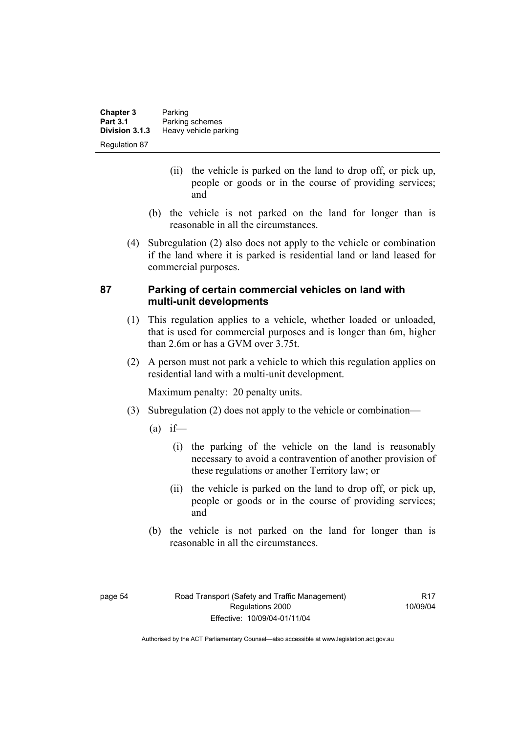| <b>Chapter 3</b> | Parking               |
|------------------|-----------------------|
| <b>Part 3.1</b>  | Parking schemes       |
| Division 3.1.3   | Heavy vehicle parking |
| Regulation 87    |                       |

- (ii) the vehicle is parked on the land to drop off, or pick up, people or goods or in the course of providing services; and
- (b) the vehicle is not parked on the land for longer than is reasonable in all the circumstances.
- (4) Subregulation (2) also does not apply to the vehicle or combination if the land where it is parked is residential land or land leased for commercial purposes.

## **87 Parking of certain commercial vehicles on land with multi-unit developments**

- (1) This regulation applies to a vehicle, whether loaded or unloaded, that is used for commercial purposes and is longer than 6m, higher than 2.6m or has a GVM over 3.75t.
- (2) A person must not park a vehicle to which this regulation applies on residential land with a multi-unit development.

Maximum penalty: 20 penalty units.

- (3) Subregulation (2) does not apply to the vehicle or combination—
	- $(a)$  if—
		- (i) the parking of the vehicle on the land is reasonably necessary to avoid a contravention of another provision of these regulations or another Territory law; or
		- (ii) the vehicle is parked on the land to drop off, or pick up, people or goods or in the course of providing services; and
	- (b) the vehicle is not parked on the land for longer than is reasonable in all the circumstances.

**R17** 10/09/04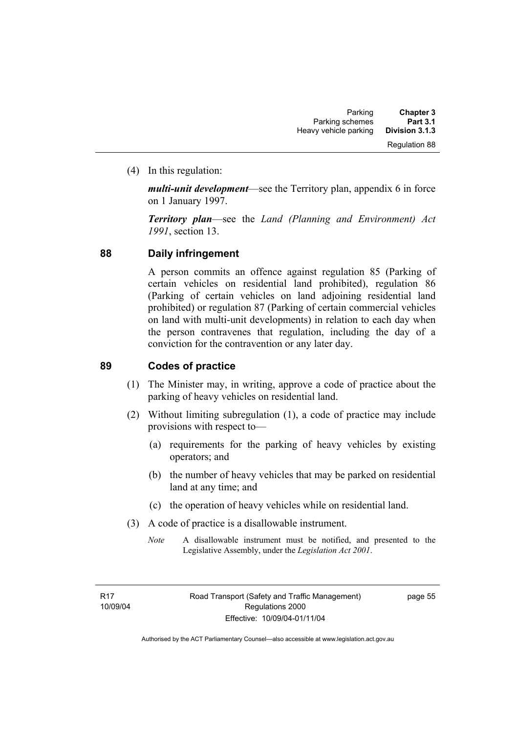(4) In this regulation:

*multi-unit development*—see the Territory plan, appendix 6 in force on 1 January 1997.

*Territory plan*—see the *Land (Planning and Environment) Act 1991*, section 13.

## **88 Daily infringement**

A person commits an offence against regulation 85 (Parking of certain vehicles on residential land prohibited), regulation 86 (Parking of certain vehicles on land adjoining residential land prohibited) or regulation 87 (Parking of certain commercial vehicles on land with multi-unit developments) in relation to each day when the person contravenes that regulation, including the day of a conviction for the contravention or any later day.

## **89 Codes of practice**

- (1) The Minister may, in writing, approve a code of practice about the parking of heavy vehicles on residential land.
- (2) Without limiting subregulation (1), a code of practice may include provisions with respect to—
	- (a) requirements for the parking of heavy vehicles by existing operators; and
	- (b) the number of heavy vehicles that may be parked on residential land at any time; and
	- (c) the operation of heavy vehicles while on residential land.
- (3) A code of practice is a disallowable instrument.
	- *Note* A disallowable instrument must be notified, and presented to the Legislative Assembly, under the *Legislation Act 2001*.

page 55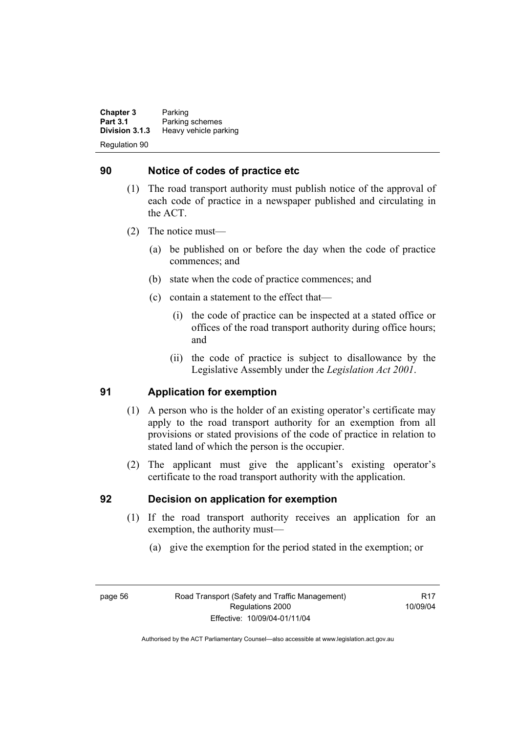**Chapter 3** Parking<br>**Part 3.1** Parking **Part 3.1 Parking schemes**<br>**Division 3.1.3 Heavy vehicle part Division 3.1.3** Heavy vehicle parking Regulation 90

## **90 Notice of codes of practice etc**

- (1) The road transport authority must publish notice of the approval of each code of practice in a newspaper published and circulating in the ACT.
- (2) The notice must—
	- (a) be published on or before the day when the code of practice commences; and
	- (b) state when the code of practice commences; and
	- (c) contain a statement to the effect that—
		- (i) the code of practice can be inspected at a stated office or offices of the road transport authority during office hours; and
		- (ii) the code of practice is subject to disallowance by the Legislative Assembly under the *Legislation Act 2001*.

## **91 Application for exemption**

- (1) A person who is the holder of an existing operator's certificate may apply to the road transport authority for an exemption from all provisions or stated provisions of the code of practice in relation to stated land of which the person is the occupier.
- (2) The applicant must give the applicant's existing operator's certificate to the road transport authority with the application.

#### **92 Decision on application for exemption**

- (1) If the road transport authority receives an application for an exemption, the authority must—
	- (a) give the exemption for the period stated in the exemption; or

**R17** 10/09/04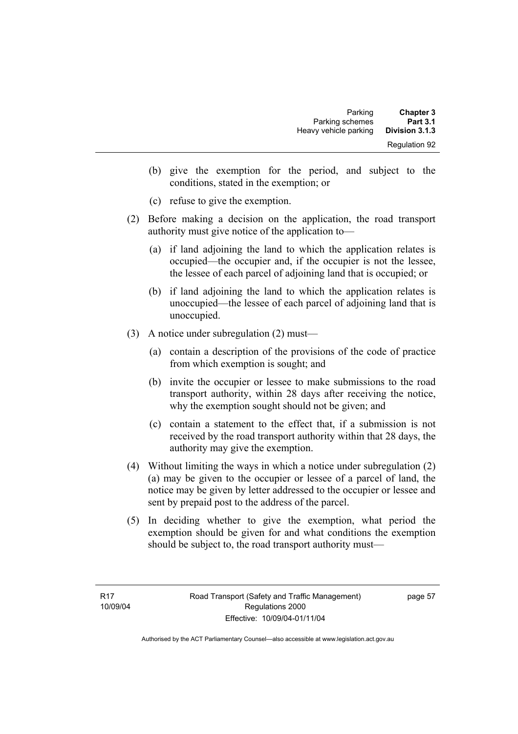| <b>Chapter 3</b><br><b>Part 3.1</b> | Parking<br>Parking schemes |
|-------------------------------------|----------------------------|
| Division 3.1.3                      | Heavy vehicle parking      |
| <b>Regulation 92</b>                |                            |

- (b) give the exemption for the period, and subject to the conditions, stated in the exemption; or
- (c) refuse to give the exemption.
- (2) Before making a decision on the application, the road transport authority must give notice of the application to—
	- (a) if land adjoining the land to which the application relates is occupied—the occupier and, if the occupier is not the lessee, the lessee of each parcel of adjoining land that is occupied; or
	- (b) if land adjoining the land to which the application relates is unoccupied—the lessee of each parcel of adjoining land that is unoccupied.
- (3) A notice under subregulation (2) must—
	- (a) contain a description of the provisions of the code of practice from which exemption is sought; and
	- (b) invite the occupier or lessee to make submissions to the road transport authority, within 28 days after receiving the notice, why the exemption sought should not be given; and
	- (c) contain a statement to the effect that, if a submission is not received by the road transport authority within that 28 days, the authority may give the exemption.
- (4) Without limiting the ways in which a notice under subregulation (2) (a) may be given to the occupier or lessee of a parcel of land, the notice may be given by letter addressed to the occupier or lessee and sent by prepaid post to the address of the parcel.
- (5) In deciding whether to give the exemption, what period the exemption should be given for and what conditions the exemption should be subject to, the road transport authority must—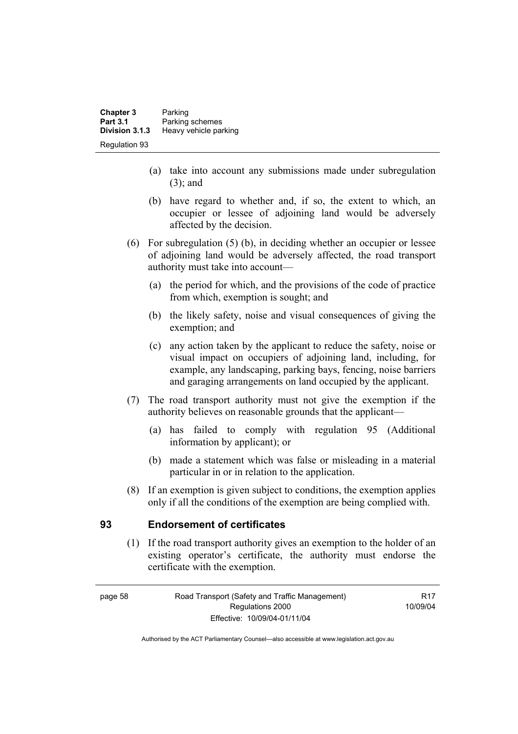| <b>Chapter 3</b><br><b>Part 3.1</b> | Parking<br>Parking schemes |
|-------------------------------------|----------------------------|
| Division 3.1.3                      | Heavy vehicle parking      |
| <b>Regulation 93</b>                |                            |

- (a) take into account any submissions made under subregulation (3); and
- (b) have regard to whether and, if so, the extent to which, an occupier or lessee of adjoining land would be adversely affected by the decision.
- (6) For subregulation (5) (b), in deciding whether an occupier or lessee of adjoining land would be adversely affected, the road transport authority must take into account—
	- (a) the period for which, and the provisions of the code of practice from which, exemption is sought; and
	- (b) the likely safety, noise and visual consequences of giving the exemption; and
	- (c) any action taken by the applicant to reduce the safety, noise or visual impact on occupiers of adjoining land, including, for example, any landscaping, parking bays, fencing, noise barriers and garaging arrangements on land occupied by the applicant.
- (7) The road transport authority must not give the exemption if the authority believes on reasonable grounds that the applicant—
	- (a) has failed to comply with regulation 95 (Additional information by applicant); or
	- (b) made a statement which was false or misleading in a material particular in or in relation to the application.
- (8) If an exemption is given subject to conditions, the exemption applies only if all the conditions of the exemption are being complied with.

#### **93 Endorsement of certificates**

 (1) If the road transport authority gives an exemption to the holder of an existing operator's certificate, the authority must endorse the certificate with the exemption.

**R17** 10/09/04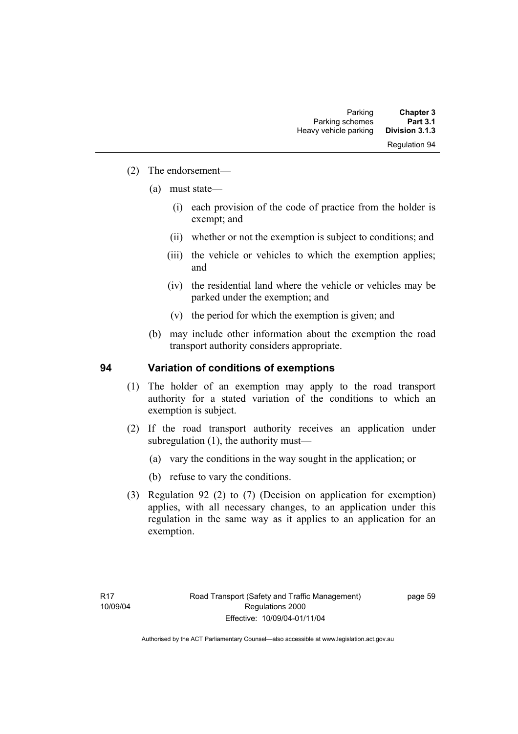- (2) The endorsement—
	- (a) must state—
		- (i) each provision of the code of practice from the holder is exempt; and
		- (ii) whether or not the exemption is subject to conditions; and
		- (iii) the vehicle or vehicles to which the exemption applies; and
		- (iv) the residential land where the vehicle or vehicles may be parked under the exemption; and
		- (v) the period for which the exemption is given; and
	- (b) may include other information about the exemption the road transport authority considers appropriate.

#### **94 Variation of conditions of exemptions**

- (1) The holder of an exemption may apply to the road transport authority for a stated variation of the conditions to which an exemption is subject.
- (2) If the road transport authority receives an application under subregulation (1), the authority must—
	- (a) vary the conditions in the way sought in the application; or
	- (b) refuse to vary the conditions.
- (3) Regulation 92 (2) to (7) (Decision on application for exemption) applies, with all necessary changes, to an application under this regulation in the same way as it applies to an application for an exemption.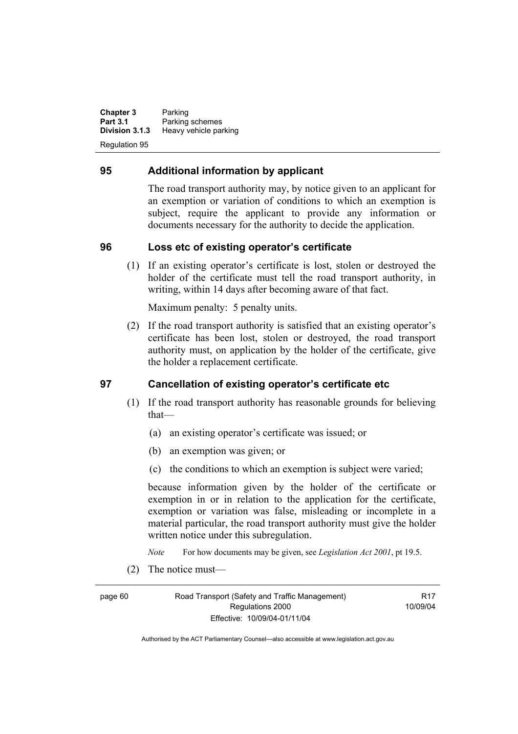**Chapter 3** Parking<br>**Part 3.1** Parking **Part 3.1 Parking schemes**<br>**Division 3.1.3 Heavy vehicle part Division 3.1.3** Heavy vehicle parking Regulation 95

## **95 Additional information by applicant**

The road transport authority may, by notice given to an applicant for an exemption or variation of conditions to which an exemption is subject, require the applicant to provide any information or documents necessary for the authority to decide the application.

#### **96 Loss etc of existing operator's certificate**

 (1) If an existing operator's certificate is lost, stolen or destroyed the holder of the certificate must tell the road transport authority, in writing, within 14 days after becoming aware of that fact.

Maximum penalty: 5 penalty units.

 (2) If the road transport authority is satisfied that an existing operator's certificate has been lost, stolen or destroyed, the road transport authority must, on application by the holder of the certificate, give the holder a replacement certificate.

#### **97 Cancellation of existing operator's certificate etc**

- (1) If the road transport authority has reasonable grounds for believing that—
	- (a) an existing operator's certificate was issued; or
	- (b) an exemption was given; or
	- (c) the conditions to which an exemption is subject were varied;

because information given by the holder of the certificate or exemption in or in relation to the application for the certificate, exemption or variation was false, misleading or incomplete in a material particular, the road transport authority must give the holder written notice under this subregulation.

*Note* For how documents may be given, see *Legislation Act 2001*, pt 19.5.

(2) The notice must—

page 60 Road Transport (Safety and Traffic Management) Regulations 2000 Effective: 10/09/04-01/11/04

**R17** 10/09/04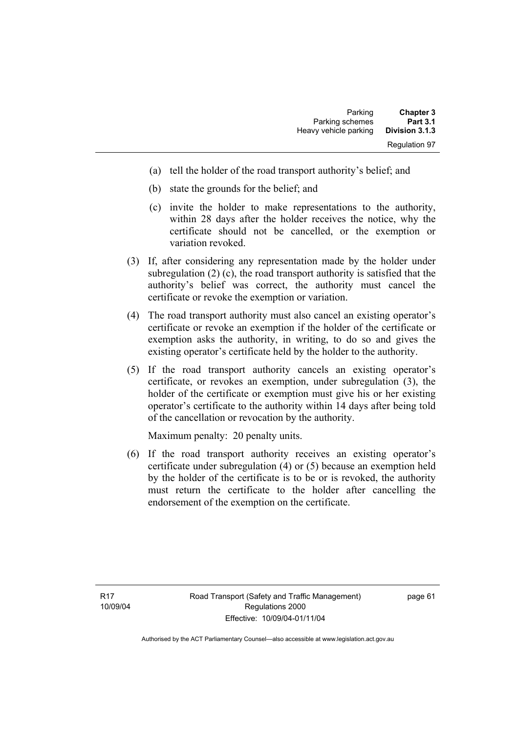| <b>Chapter 3</b>     | Parking               |
|----------------------|-----------------------|
| <b>Part 3.1</b>      | Parking schemes       |
| Division 3.1.3       | Heavy vehicle parking |
| <b>Regulation 97</b> |                       |

- (a) tell the holder of the road transport authority's belief; and
- (b) state the grounds for the belief; and
- (c) invite the holder to make representations to the authority, within 28 days after the holder receives the notice, why the certificate should not be cancelled, or the exemption or variation revoked.
- (3) If, after considering any representation made by the holder under subregulation (2) (c), the road transport authority is satisfied that the authority's belief was correct, the authority must cancel the certificate or revoke the exemption or variation.
- (4) The road transport authority must also cancel an existing operator's certificate or revoke an exemption if the holder of the certificate or exemption asks the authority, in writing, to do so and gives the existing operator's certificate held by the holder to the authority.
- (5) If the road transport authority cancels an existing operator's certificate, or revokes an exemption, under subregulation (3), the holder of the certificate or exemption must give his or her existing operator's certificate to the authority within 14 days after being told of the cancellation or revocation by the authority.

Maximum penalty: 20 penalty units.

 (6) If the road transport authority receives an existing operator's certificate under subregulation (4) or (5) because an exemption held by the holder of the certificate is to be or is revoked, the authority must return the certificate to the holder after cancelling the endorsement of the exemption on the certificate.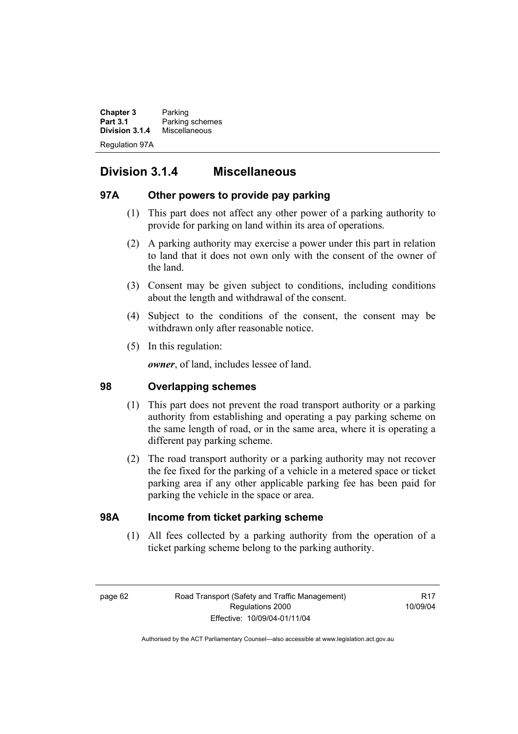**Chapter 3** Parking<br>**Part 3.1** Parking **Part 3.1** Parking schemes<br>**Division 3.1.4** Miscellaneous **Division 3.1.4** Miscellaneous Regulation 97A

# **Division 3.1.4 Miscellaneous**

## **97A Other powers to provide pay parking**

- (1) This part does not affect any other power of a parking authority to provide for parking on land within its area of operations.
- (2) A parking authority may exercise a power under this part in relation to land that it does not own only with the consent of the owner of the land.
- (3) Consent may be given subject to conditions, including conditions about the length and withdrawal of the consent.
- (4) Subject to the conditions of the consent, the consent may be withdrawn only after reasonable notice.
- (5) In this regulation:

*owner*, of land, includes lessee of land.

## **98 Overlapping schemes**

- (1) This part does not prevent the road transport authority or a parking authority from establishing and operating a pay parking scheme on the same length of road, or in the same area, where it is operating a different pay parking scheme.
- (2) The road transport authority or a parking authority may not recover the fee fixed for the parking of a vehicle in a metered space or ticket parking area if any other applicable parking fee has been paid for parking the vehicle in the space or area.

## **98A Income from ticket parking scheme**

 (1) All fees collected by a parking authority from the operation of a ticket parking scheme belong to the parking authority.

R17 10/09/04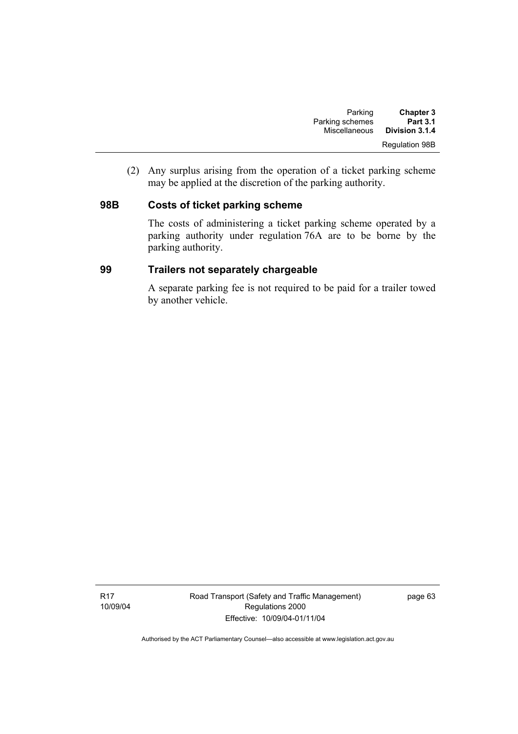| <b>Chapter 3</b>      | Parking         |
|-----------------------|-----------------|
| <b>Part 3.1</b>       | Parking schemes |
| Division 3.1.4        | Miscellaneous   |
| <b>Regulation 98B</b> |                 |

 (2) Any surplus arising from the operation of a ticket parking scheme may be applied at the discretion of the parking authority.

## **98B Costs of ticket parking scheme**

The costs of administering a ticket parking scheme operated by a parking authority under regulation 76A are to be borne by the parking authority.

## **99 Trailers not separately chargeable**

A separate parking fee is not required to be paid for a trailer towed by another vehicle.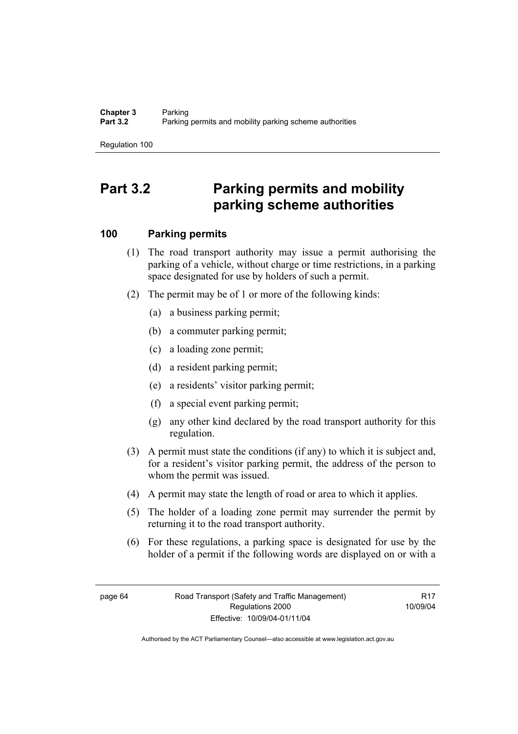Regulation 100

# **Part 3.2 Parking permits and mobility parking scheme authorities**

# **100 Parking permits**

- (1) The road transport authority may issue a permit authorising the parking of a vehicle, without charge or time restrictions, in a parking space designated for use by holders of such a permit.
- (2) The permit may be of 1 or more of the following kinds:
	- (a) a business parking permit;
	- (b) a commuter parking permit;
	- (c) a loading zone permit;
	- (d) a resident parking permit;
	- (e) a residents' visitor parking permit;
	- (f) a special event parking permit;
	- (g) any other kind declared by the road transport authority for this regulation.
- (3) A permit must state the conditions (if any) to which it is subject and, for a resident's visitor parking permit, the address of the person to whom the permit was issued.
- (4) A permit may state the length of road or area to which it applies.
- (5) The holder of a loading zone permit may surrender the permit by returning it to the road transport authority.
- (6) For these regulations, a parking space is designated for use by the holder of a permit if the following words are displayed on or with a

**R17** 10/09/04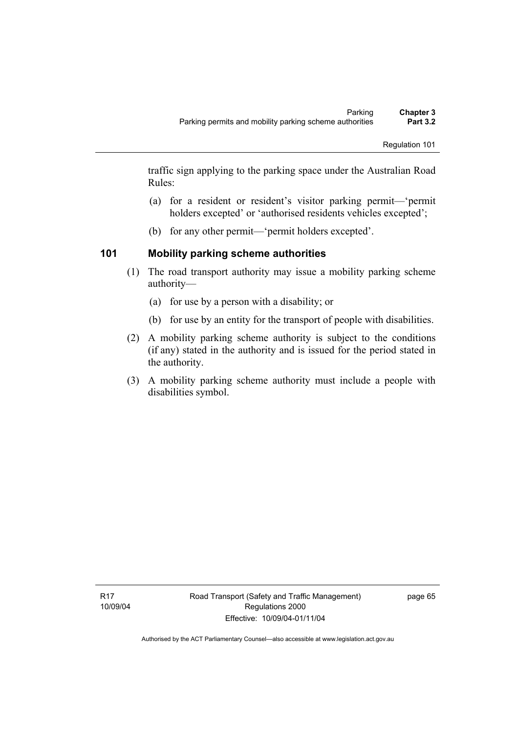traffic sign applying to the parking space under the Australian Road Rules:

- (a) for a resident or resident's visitor parking permit—'permit holders excepted' or 'authorised residents vehicles excepted';
- (b) for any other permit—'permit holders excepted'.

# **101 Mobility parking scheme authorities**

- (1) The road transport authority may issue a mobility parking scheme authority—
	- (a) for use by a person with a disability; or
	- (b) for use by an entity for the transport of people with disabilities.
- (2) A mobility parking scheme authority is subject to the conditions (if any) stated in the authority and is issued for the period stated in the authority.
- (3) A mobility parking scheme authority must include a people with disabilities symbol.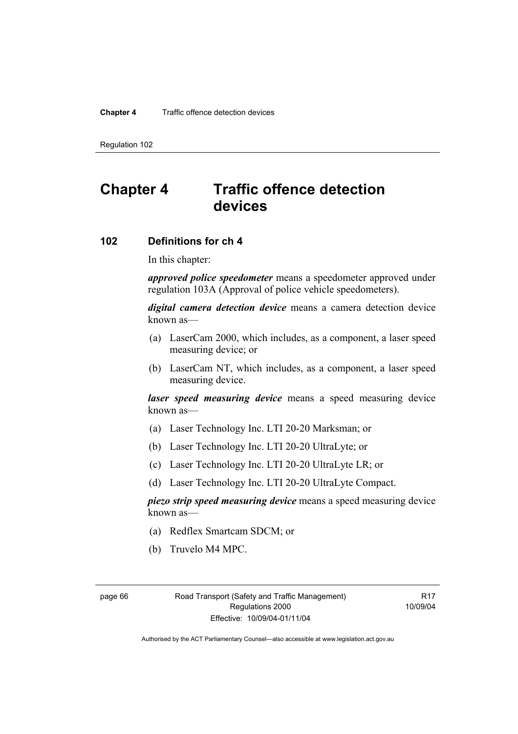### **Chapter 4** Traffic offence detection devices

Regulation 102

# **Chapter 4 Traffic offence detection devices**

## **102 Definitions for ch 4**

In this chapter:

*approved police speedometer* means a speedometer approved under regulation 103A (Approval of police vehicle speedometers).

*digital camera detection device* means a camera detection device known as—

- (a) LaserCam 2000, which includes, as a component, a laser speed measuring device; or
- (b) LaserCam NT, which includes, as a component, a laser speed measuring device.

*laser speed measuring device* means a speed measuring device known as—

- (a) Laser Technology Inc. LTI 20-20 Marksman; or
- (b) Laser Technology Inc. LTI 20-20 UltraLyte; or
- (c) Laser Technology Inc. LTI 20-20 UltraLyte LR; or
- (d) Laser Technology Inc. LTI 20-20 UltraLyte Compact.

*piezo strip speed measuring device* means a speed measuring device known as—

- (a) Redflex Smartcam SDCM; or
- (b) Truvelo M4 MPC.

page 66 Road Transport (Safety and Traffic Management) Regulations 2000 Effective: 10/09/04-01/11/04

R17 10/09/04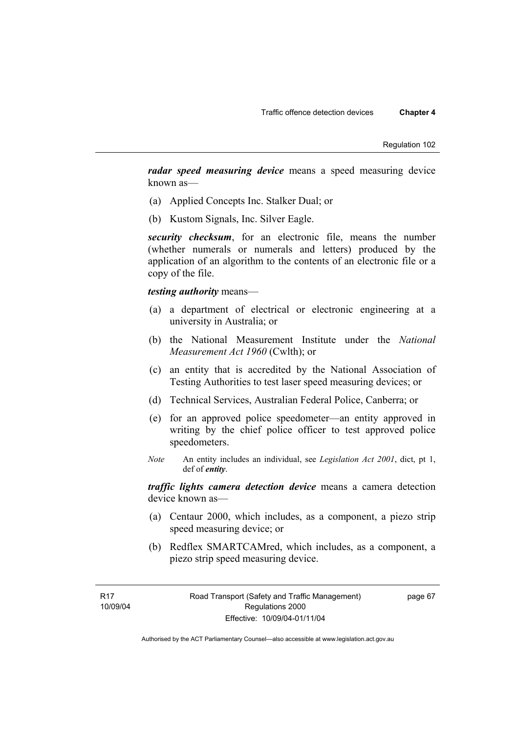*radar speed measuring device* means a speed measuring device known as—

- (a) Applied Concepts Inc. Stalker Dual; or
- (b) Kustom Signals, Inc. Silver Eagle.

*security checksum*, for an electronic file, means the number (whether numerals or numerals and letters) produced by the application of an algorithm to the contents of an electronic file or a copy of the file.

### *testing authority* means—

- (a) a department of electrical or electronic engineering at a university in Australia; or
- (b) the National Measurement Institute under the *National Measurement Act 1960* (Cwlth); or
- (c) an entity that is accredited by the National Association of Testing Authorities to test laser speed measuring devices; or
- (d) Technical Services, Australian Federal Police, Canberra; or
- (e) for an approved police speedometer—an entity approved in writing by the chief police officer to test approved police speedometers.
- *Note* An entity includes an individual, see *Legislation Act 2001*, dict, pt 1, def of *entity*.

*traffic lights camera detection device* means a camera detection device known as—

- (a) Centaur 2000, which includes, as a component, a piezo strip speed measuring device; or
- (b) Redflex SMARTCAMred, which includes, as a component, a piezo strip speed measuring device.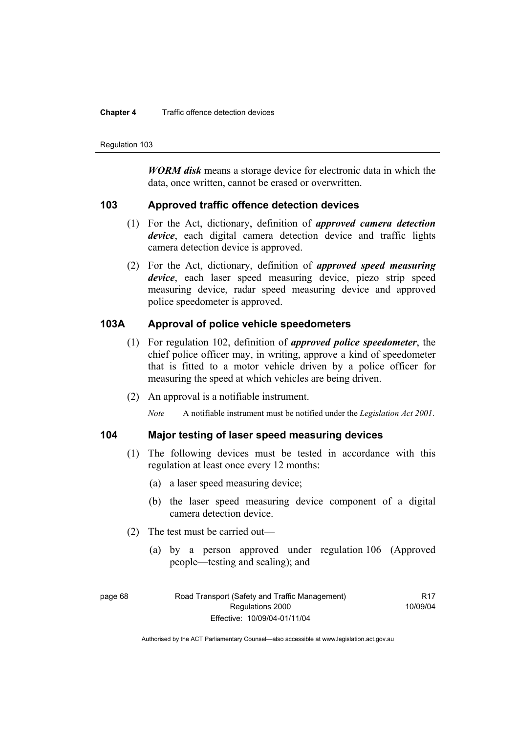#### **Chapter 4** Traffic offence detection devices

Regulation 103

*WORM disk* means a storage device for electronic data in which the data, once written, cannot be erased or overwritten.

## **103 Approved traffic offence detection devices**

- (1) For the Act, dictionary, definition of *approved camera detection device*, each digital camera detection device and traffic lights camera detection device is approved.
- (2) For the Act, dictionary, definition of *approved speed measuring device*, each laser speed measuring device, piezo strip speed measuring device, radar speed measuring device and approved police speedometer is approved.

## **103A Approval of police vehicle speedometers**

- (1) For regulation 102, definition of *approved police speedometer*, the chief police officer may, in writing, approve a kind of speedometer that is fitted to a motor vehicle driven by a police officer for measuring the speed at which vehicles are being driven.
- (2) An approval is a notifiable instrument.

*Note* A notifiable instrument must be notified under the *Legislation Act 2001*.

## **104 Major testing of laser speed measuring devices**

- (1) The following devices must be tested in accordance with this regulation at least once every 12 months:
	- (a) a laser speed measuring device;
	- (b) the laser speed measuring device component of a digital camera detection device.
- (2) The test must be carried out—
	- (a) by a person approved under regulation 106 (Approved people—testing and sealing); and

**R17** 10/09/04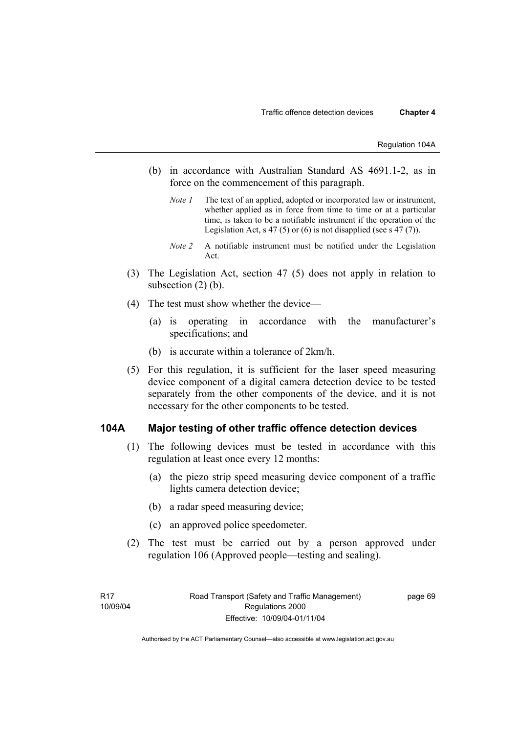- (b) in accordance with Australian Standard AS 4691.1-2, as in force on the commencement of this paragraph.
	- *Note 1* The text of an applied, adopted or incorporated law or instrument, whether applied as in force from time to time or at a particular time, is taken to be a notifiable instrument if the operation of the Legislation Act, s 47 (5) or (6) is not disapplied (see s 47 (7)).
	- *Note 2* A notifiable instrument must be notified under the Legislation Act.
- (3) The Legislation Act, section 47 (5) does not apply in relation to subsection  $(2)$  (b).
- (4) The test must show whether the device—
	- (a) is operating in accordance with the manufacturer's specifications; and
	- (b) is accurate within a tolerance of 2km/h.
- (5) For this regulation, it is sufficient for the laser speed measuring device component of a digital camera detection device to be tested separately from the other components of the device, and it is not necessary for the other components to be tested.

### **104A Major testing of other traffic offence detection devices**

- (1) The following devices must be tested in accordance with this regulation at least once every 12 months:
	- (a) the piezo strip speed measuring device component of a traffic lights camera detection device;
	- (b) a radar speed measuring device;
	- (c) an approved police speedometer.
- (2) The test must be carried out by a person approved under regulation 106 (Approved people—testing and sealing).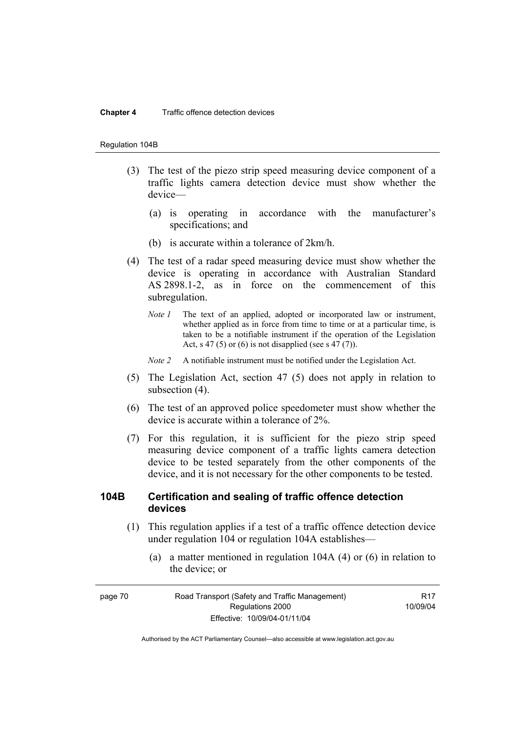#### **Chapter 4** Traffic offence detection devices

#### Regulation 104B

- (3) The test of the piezo strip speed measuring device component of a traffic lights camera detection device must show whether the device—
	- (a) is operating in accordance with the manufacturer's specifications; and
	- (b) is accurate within a tolerance of 2km/h.
- (4) The test of a radar speed measuring device must show whether the device is operating in accordance with Australian Standard AS 2898.1-2, as in force on the commencement of this subregulation.
	- *Note 1* The text of an applied, adopted or incorporated law or instrument, whether applied as in force from time to time or at a particular time, is taken to be a notifiable instrument if the operation of the Legislation Act, s 47 (5) or (6) is not disapplied (see s 47 (7)).
	- *Note 2* A notifiable instrument must be notified under the Legislation Act.
- (5) The Legislation Act, section 47 (5) does not apply in relation to subsection (4).
- (6) The test of an approved police speedometer must show whether the device is accurate within a tolerance of 2%.
- (7) For this regulation, it is sufficient for the piezo strip speed measuring device component of a traffic lights camera detection device to be tested separately from the other components of the device, and it is not necessary for the other components to be tested.

## **104B Certification and sealing of traffic offence detection devices**

- (1) This regulation applies if a test of a traffic offence detection device under regulation 104 or regulation 104A establishes—
	- (a) a matter mentioned in regulation 104A (4) or (6) in relation to the device; or

| page 70 | Road Transport (Safety and Traffic Management) |          |
|---------|------------------------------------------------|----------|
|         | Regulations 2000                               | 10/09/04 |
|         | Effective: 10/09/04-01/11/04                   |          |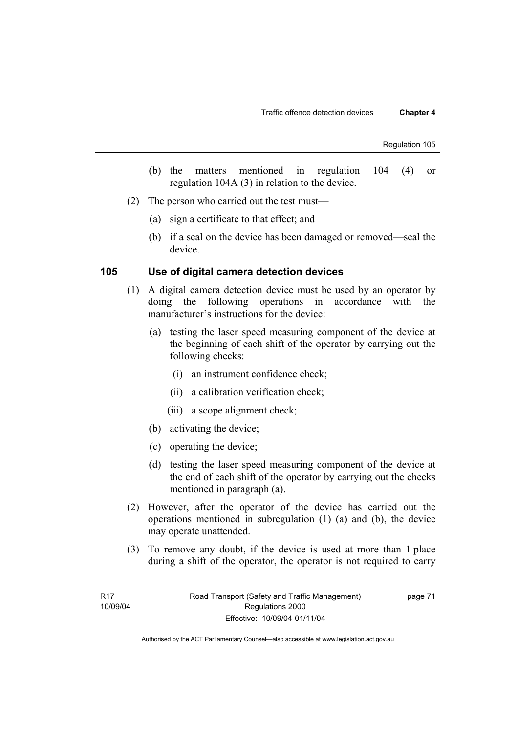- (b) the matters mentioned in regulation 104 (4) or regulation 104A (3) in relation to the device.
- (2) The person who carried out the test must—
	- (a) sign a certificate to that effect; and
	- (b) if a seal on the device has been damaged or removed—seal the device.

## **105 Use of digital camera detection devices**

- (1) A digital camera detection device must be used by an operator by doing the following operations in accordance with the manufacturer's instructions for the device:
	- (a) testing the laser speed measuring component of the device at the beginning of each shift of the operator by carrying out the following checks:
		- (i) an instrument confidence check;
		- (ii) a calibration verification check;
		- (iii) a scope alignment check;
	- (b) activating the device;
	- (c) operating the device;
	- (d) testing the laser speed measuring component of the device at the end of each shift of the operator by carrying out the checks mentioned in paragraph (a).
- (2) However, after the operator of the device has carried out the operations mentioned in subregulation (1) (a) and (b), the device may operate unattended.
- (3) To remove any doubt, if the device is used at more than 1 place during a shift of the operator, the operator is not required to carry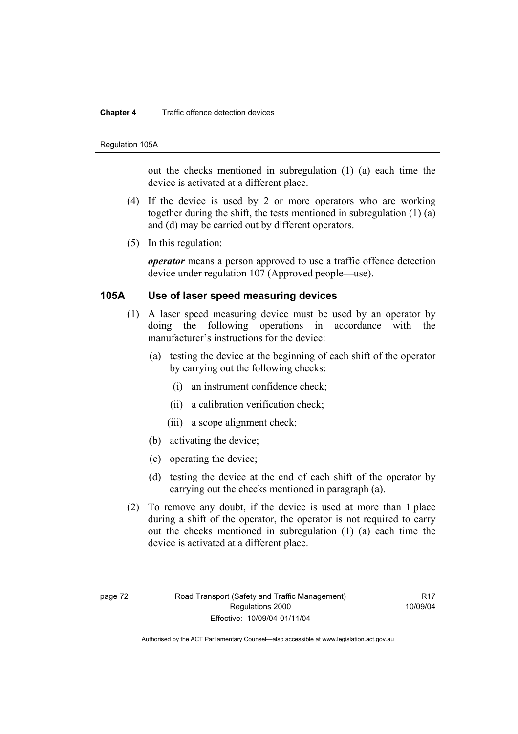#### **Chapter 4** Traffic offence detection devices

#### Regulation 105A

out the checks mentioned in subregulation (1) (a) each time the device is activated at a different place.

- (4) If the device is used by 2 or more operators who are working together during the shift, the tests mentioned in subregulation (1) (a) and (d) may be carried out by different operators.
- (5) In this regulation:

*operator* means a person approved to use a traffic offence detection device under regulation 107 (Approved people—use).

## **105A Use of laser speed measuring devices**

- (1) A laser speed measuring device must be used by an operator by doing the following operations in accordance with the manufacturer's instructions for the device:
	- (a) testing the device at the beginning of each shift of the operator by carrying out the following checks:
		- (i) an instrument confidence check;
		- (ii) a calibration verification check;
		- (iii) a scope alignment check;
	- (b) activating the device;
	- (c) operating the device;
	- (d) testing the device at the end of each shift of the operator by carrying out the checks mentioned in paragraph (a).
- (2) To remove any doubt, if the device is used at more than 1 place during a shift of the operator, the operator is not required to carry out the checks mentioned in subregulation (1) (a) each time the device is activated at a different place.

**R17** 10/09/04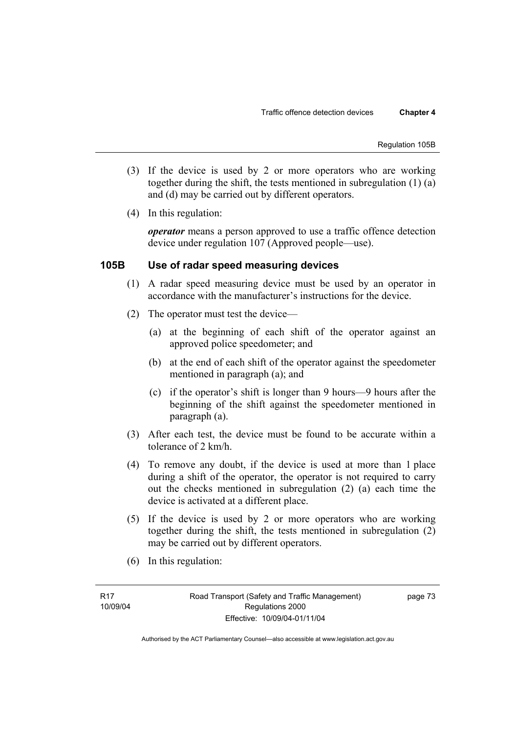Regulation 105B

- (3) If the device is used by 2 or more operators who are working together during the shift, the tests mentioned in subregulation (1) (a) and (d) may be carried out by different operators.
- (4) In this regulation:

*operator* means a person approved to use a traffic offence detection device under regulation 107 (Approved people—use).

## **105B Use of radar speed measuring devices**

- (1) A radar speed measuring device must be used by an operator in accordance with the manufacturer's instructions for the device.
- (2) The operator must test the device—
	- (a) at the beginning of each shift of the operator against an approved police speedometer; and
	- (b) at the end of each shift of the operator against the speedometer mentioned in paragraph (a); and
	- (c) if the operator's shift is longer than 9 hours—9 hours after the beginning of the shift against the speedometer mentioned in paragraph (a).
- (3) After each test, the device must be found to be accurate within a tolerance of 2 km/h.
- (4) To remove any doubt, if the device is used at more than 1 place during a shift of the operator, the operator is not required to carry out the checks mentioned in subregulation (2) (a) each time the device is activated at a different place.
- (5) If the device is used by 2 or more operators who are working together during the shift, the tests mentioned in subregulation (2) may be carried out by different operators.
- (6) In this regulation: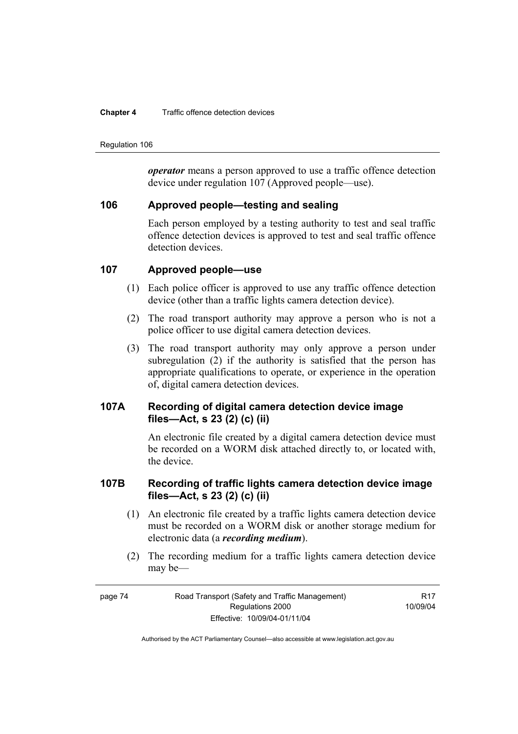#### **Chapter 4** Traffic offence detection devices

Regulation 106

*operator* means a person approved to use a traffic offence detection device under regulation 107 (Approved people—use).

## **106 Approved people—testing and sealing**

Each person employed by a testing authority to test and seal traffic offence detection devices is approved to test and seal traffic offence detection devices.

## **107 Approved people—use**

- (1) Each police officer is approved to use any traffic offence detection device (other than a traffic lights camera detection device).
- (2) The road transport authority may approve a person who is not a police officer to use digital camera detection devices.
- (3) The road transport authority may only approve a person under subregulation (2) if the authority is satisfied that the person has appropriate qualifications to operate, or experience in the operation of, digital camera detection devices.

# **107A Recording of digital camera detection device image files—Act, s 23 (2) (c) (ii)**

An electronic file created by a digital camera detection device must be recorded on a WORM disk attached directly to, or located with, the device.

# **107B Recording of traffic lights camera detection device image files—Act, s 23 (2) (c) (ii)**

- (1) An electronic file created by a traffic lights camera detection device must be recorded on a WORM disk or another storage medium for electronic data (a *recording medium*).
- (2) The recording medium for a traffic lights camera detection device may be—

R17 10/09/04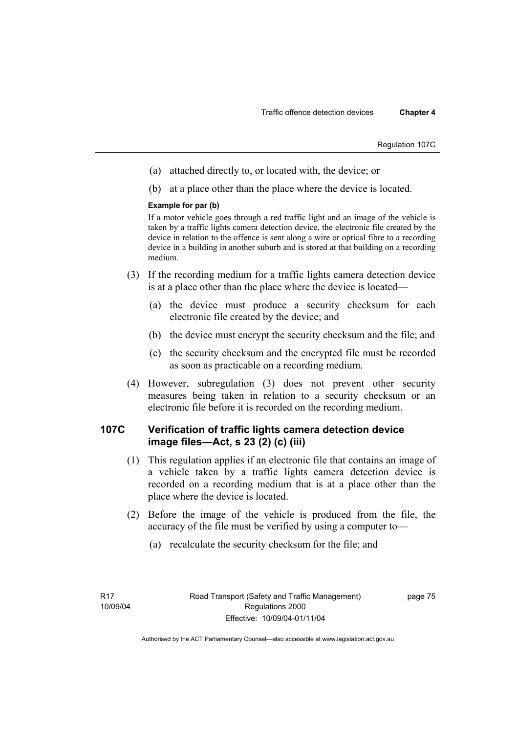Regulation 107C

- (a) attached directly to, or located with, the device; or
- (b) at a place other than the place where the device is located.

### **Example for par (b)**

If a motor vehicle goes through a red traffic light and an image of the vehicle is taken by a traffic lights camera detection device, the electronic file created by the device in relation to the offence is sent along a wire or optical fibre to a recording device in a building in another suburb and is stored at that building on a recording medium.

- (3) If the recording medium for a traffic lights camera detection device is at a place other than the place where the device is located—
	- (a) the device must produce a security checksum for each electronic file created by the device; and
	- (b) the device must encrypt the security checksum and the file; and
	- (c) the security checksum and the encrypted file must be recorded as soon as practicable on a recording medium.
- (4) However, subregulation (3) does not prevent other security measures being taken in relation to a security checksum or an electronic file before it is recorded on the recording medium.

# **107C Verification of traffic lights camera detection device image files—Act, s 23 (2) (c) (iii)**

- (1) This regulation applies if an electronic file that contains an image of a vehicle taken by a traffic lights camera detection device is recorded on a recording medium that is at a place other than the place where the device is located.
- (2) Before the image of the vehicle is produced from the file, the accuracy of the file must be verified by using a computer to—
	- (a) recalculate the security checksum for the file; and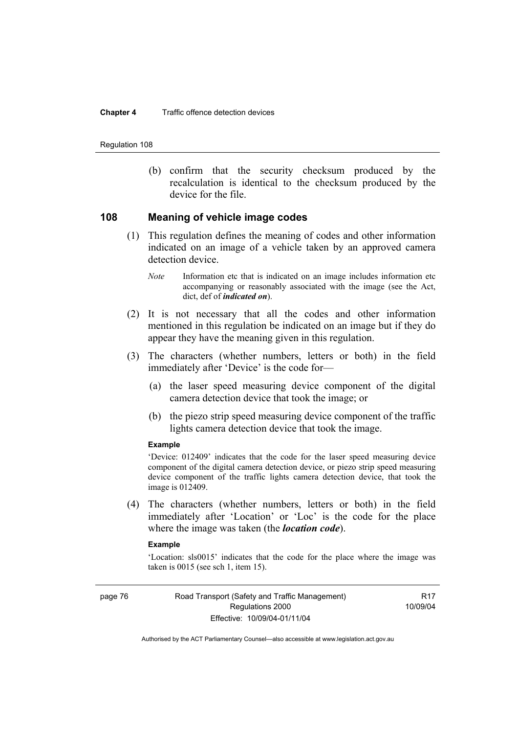#### **Chapter 4** Traffic offence detection devices

Regulation 108

 (b) confirm that the security checksum produced by the recalculation is identical to the checksum produced by the device for the file.

## **108 Meaning of vehicle image codes**

- (1) This regulation defines the meaning of codes and other information indicated on an image of a vehicle taken by an approved camera detection device.
	- *Note* Information etc that is indicated on an image includes information etc accompanying or reasonably associated with the image (see the Act, dict, def of *indicated on*).
- (2) It is not necessary that all the codes and other information mentioned in this regulation be indicated on an image but if they do appear they have the meaning given in this regulation.
- (3) The characters (whether numbers, letters or both) in the field immediately after 'Device' is the code for—
	- (a) the laser speed measuring device component of the digital camera detection device that took the image; or
	- (b) the piezo strip speed measuring device component of the traffic lights camera detection device that took the image.

#### **Example**

'Device: 012409' indicates that the code for the laser speed measuring device component of the digital camera detection device, or piezo strip speed measuring device component of the traffic lights camera detection device, that took the image is 012409.

 (4) The characters (whether numbers, letters or both) in the field immediately after 'Location' or 'Loc' is the code for the place where the image was taken (the *location code*).

#### **Example**

'Location: sls0015' indicates that the code for the place where the image was taken is 0015 (see sch 1, item 15).

page 76 Road Transport (Safety and Traffic Management) Regulations 2000 Effective: 10/09/04-01/11/04

**R17** 10/09/04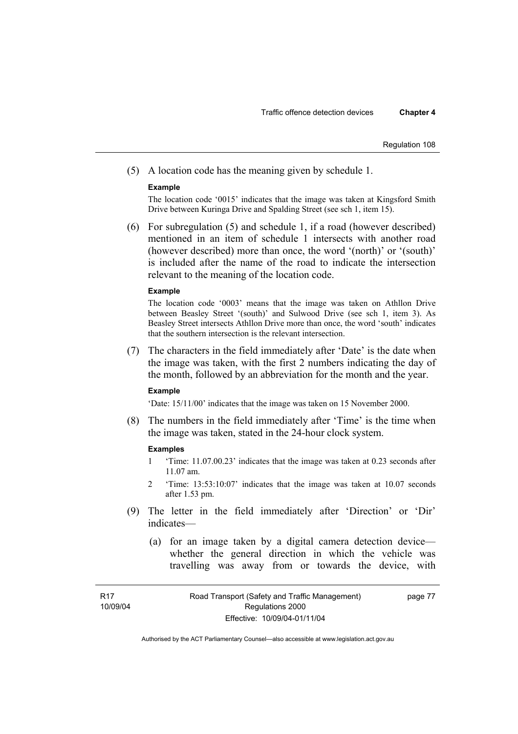#### Regulation 108

(5) A location code has the meaning given by schedule 1.

#### **Example**

The location code '0015' indicates that the image was taken at Kingsford Smith Drive between Kuringa Drive and Spalding Street (see sch 1, item 15).

 (6) For subregulation (5) and schedule 1, if a road (however described) mentioned in an item of schedule 1 intersects with another road (however described) more than once, the word '(north)' or '(south)' is included after the name of the road to indicate the intersection relevant to the meaning of the location code.

#### **Example**

The location code '0003' means that the image was taken on Athllon Drive between Beasley Street '(south)' and Sulwood Drive (see sch 1, item 3). As Beasley Street intersects Athllon Drive more than once, the word 'south' indicates that the southern intersection is the relevant intersection.

 (7) The characters in the field immediately after 'Date' is the date when the image was taken, with the first 2 numbers indicating the day of the month, followed by an abbreviation for the month and the year.

#### **Example**

'Date: 15/11/00' indicates that the image was taken on 15 November 2000.

 (8) The numbers in the field immediately after 'Time' is the time when the image was taken, stated in the 24-hour clock system.

#### **Examples**

- 1 'Time: 11.07.00.23' indicates that the image was taken at 0.23 seconds after 11.07 am.
- 2 'Time: 13:53:10:07' indicates that the image was taken at 10.07 seconds after 1.53 pm.
- (9) The letter in the field immediately after 'Direction' or 'Dir' indicates—
	- (a) for an image taken by a digital camera detection device whether the general direction in which the vehicle was travelling was away from or towards the device, with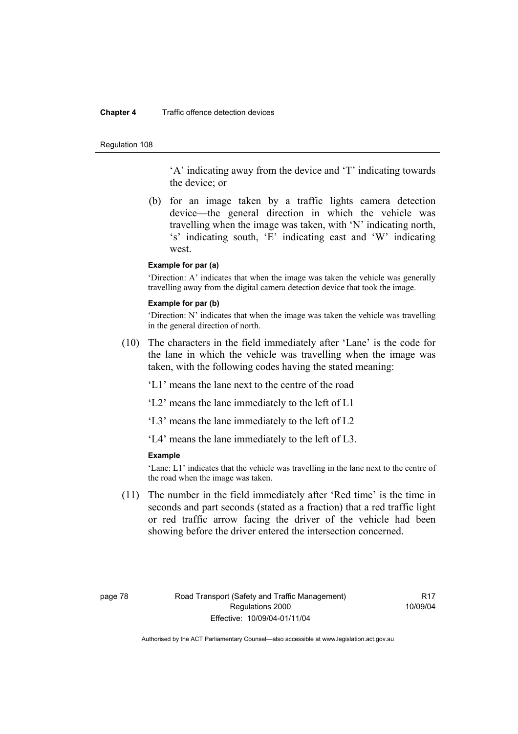#### **Chapter 4** Traffic offence detection devices

#### Regulation 108

'A' indicating away from the device and 'T' indicating towards the device; or

 (b) for an image taken by a traffic lights camera detection device—the general direction in which the vehicle was travelling when the image was taken, with 'N' indicating north, 's' indicating south, 'E' indicating east and 'W' indicating west.

### **Example for par (a)**

'Direction: A' indicates that when the image was taken the vehicle was generally travelling away from the digital camera detection device that took the image.

#### **Example for par (b)**

'Direction: N' indicates that when the image was taken the vehicle was travelling in the general direction of north.

 (10) The characters in the field immediately after 'Lane' is the code for the lane in which the vehicle was travelling when the image was taken, with the following codes having the stated meaning:

'L1' means the lane next to the centre of the road

'L2' means the lane immediately to the left of L1

'L3' means the lane immediately to the left of L2

'L4' means the lane immediately to the left of L3.

### **Example**

'Lane: L1' indicates that the vehicle was travelling in the lane next to the centre of the road when the image was taken.

 (11) The number in the field immediately after 'Red time' is the time in seconds and part seconds (stated as a fraction) that a red traffic light or red traffic arrow facing the driver of the vehicle had been showing before the driver entered the intersection concerned.

R17 10/09/04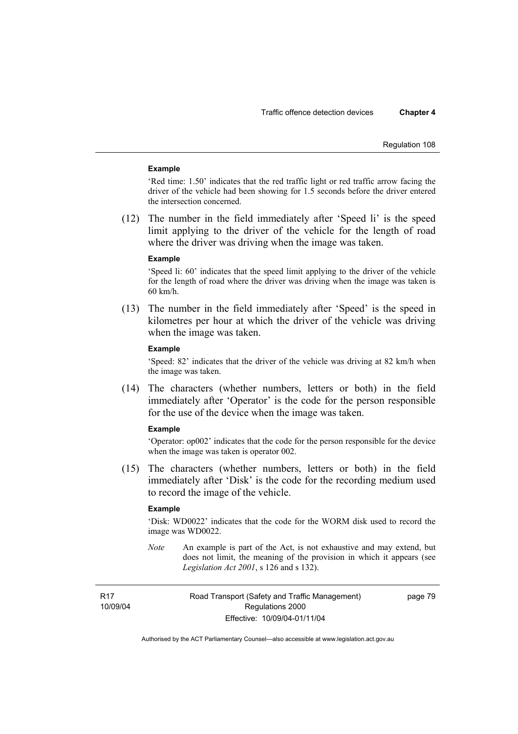#### Regulation 108

#### **Example**

'Red time: 1.50' indicates that the red traffic light or red traffic arrow facing the driver of the vehicle had been showing for 1.5 seconds before the driver entered the intersection concerned.

 (12) The number in the field immediately after 'Speed li' is the speed limit applying to the driver of the vehicle for the length of road where the driver was driving when the image was taken.

#### **Example**

'Speed li: 60' indicates that the speed limit applying to the driver of the vehicle for the length of road where the driver was driving when the image was taken is 60 km/h.

 (13) The number in the field immediately after 'Speed' is the speed in kilometres per hour at which the driver of the vehicle was driving when the image was taken.

### **Example**

'Speed: 82' indicates that the driver of the vehicle was driving at 82 km/h when the image was taken.

 (14) The characters (whether numbers, letters or both) in the field immediately after 'Operator' is the code for the person responsible for the use of the device when the image was taken.

#### **Example**

'Operator: op002' indicates that the code for the person responsible for the device when the image was taken is operator 002.

 (15) The characters (whether numbers, letters or both) in the field immediately after 'Disk' is the code for the recording medium used to record the image of the vehicle.

#### **Example**

'Disk: WD0022' indicates that the code for the WORM disk used to record the image was WD0022.

*Note* An example is part of the Act, is not exhaustive and may extend, but does not limit, the meaning of the provision in which it appears (see *Legislation Act 2001*, s 126 and s 132).

R17 10/09/04 Road Transport (Safety and Traffic Management) Regulations 2000 Effective: 10/09/04-01/11/04

page 79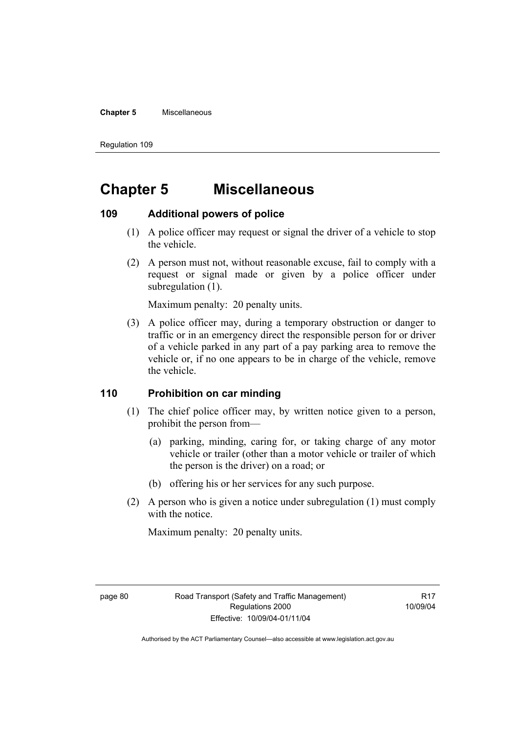#### **Chapter 5** Miscellaneous

Regulation 109

# **Chapter 5 Miscellaneous**

## **109 Additional powers of police**

- (1) A police officer may request or signal the driver of a vehicle to stop the vehicle.
- (2) A person must not, without reasonable excuse, fail to comply with a request or signal made or given by a police officer under subregulation  $(1)$ .

Maximum penalty: 20 penalty units.

 (3) A police officer may, during a temporary obstruction or danger to traffic or in an emergency direct the responsible person for or driver of a vehicle parked in any part of a pay parking area to remove the vehicle or, if no one appears to be in charge of the vehicle, remove the vehicle.

## **110 Prohibition on car minding**

- (1) The chief police officer may, by written notice given to a person, prohibit the person from—
	- (a) parking, minding, caring for, or taking charge of any motor vehicle or trailer (other than a motor vehicle or trailer of which the person is the driver) on a road; or
	- (b) offering his or her services for any such purpose.
- (2) A person who is given a notice under subregulation (1) must comply with the notice.

Maximum penalty: 20 penalty units.

R17 10/09/04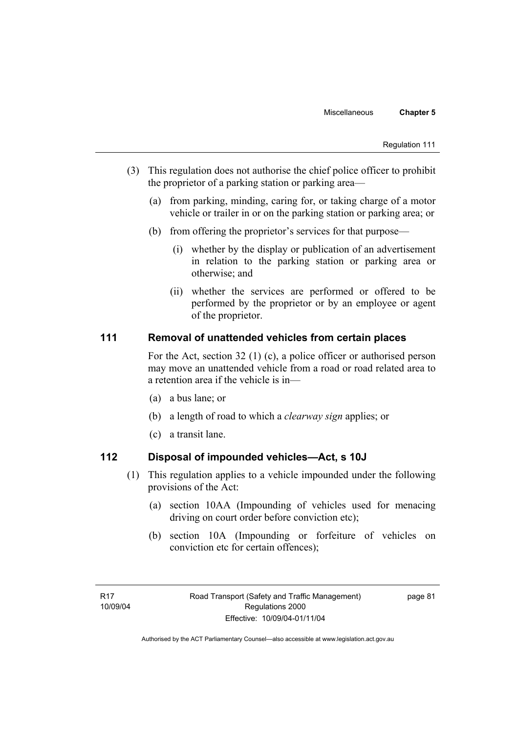- (3) This regulation does not authorise the chief police officer to prohibit the proprietor of a parking station or parking area—
	- (a) from parking, minding, caring for, or taking charge of a motor vehicle or trailer in or on the parking station or parking area; or
	- (b) from offering the proprietor's services for that purpose—
		- (i) whether by the display or publication of an advertisement in relation to the parking station or parking area or otherwise; and
		- (ii) whether the services are performed or offered to be performed by the proprietor or by an employee or agent of the proprietor.

## **111 Removal of unattended vehicles from certain places**

For the Act, section 32 (1) (c), a police officer or authorised person may move an unattended vehicle from a road or road related area to a retention area if the vehicle is in—

- (a) a bus lane; or
- (b) a length of road to which a *clearway sign* applies; or
- (c) a transit lane.

# **112 Disposal of impounded vehicles—Act, s 10J**

- (1) This regulation applies to a vehicle impounded under the following provisions of the Act:
	- (a) section 10AA (Impounding of vehicles used for menacing driving on court order before conviction etc);
	- (b) section 10A (Impounding or forfeiture of vehicles on conviction etc for certain offences);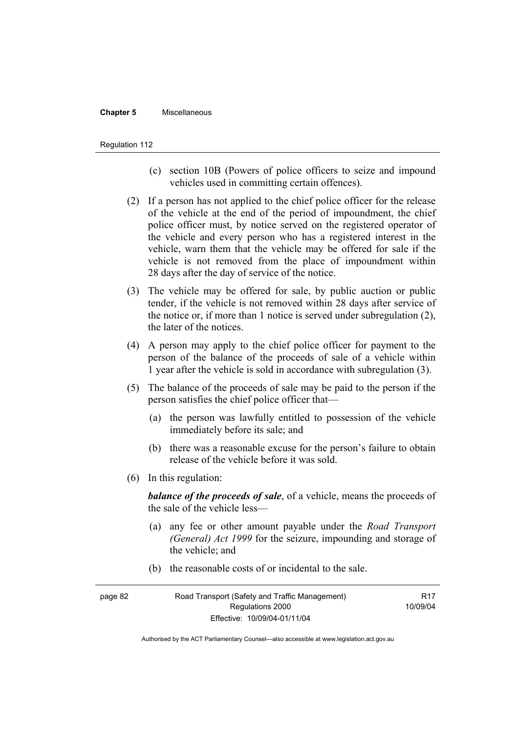#### **Chapter 5** Miscellaneous

#### Regulation 112

- (c) section 10B (Powers of police officers to seize and impound vehicles used in committing certain offences).
- (2) If a person has not applied to the chief police officer for the release of the vehicle at the end of the period of impoundment, the chief police officer must, by notice served on the registered operator of the vehicle and every person who has a registered interest in the vehicle, warn them that the vehicle may be offered for sale if the vehicle is not removed from the place of impoundment within 28 days after the day of service of the notice.
- (3) The vehicle may be offered for sale, by public auction or public tender, if the vehicle is not removed within 28 days after service of the notice or, if more than 1 notice is served under subregulation (2), the later of the notices.
- (4) A person may apply to the chief police officer for payment to the person of the balance of the proceeds of sale of a vehicle within 1 year after the vehicle is sold in accordance with subregulation (3).
- (5) The balance of the proceeds of sale may be paid to the person if the person satisfies the chief police officer that—
	- (a) the person was lawfully entitled to possession of the vehicle immediately before its sale; and
	- (b) there was a reasonable excuse for the person's failure to obtain release of the vehicle before it was sold.
- (6) In this regulation:

*balance of the proceeds of sale*, of a vehicle, means the proceeds of the sale of the vehicle less—

- (a) any fee or other amount payable under the *Road Transport (General) Act 1999* for the seizure, impounding and storage of the vehicle; and
- (b) the reasonable costs of or incidental to the sale.

| page 82 | Road Transport (Safety and Traffic Management) |          |
|---------|------------------------------------------------|----------|
|         | Regulations 2000                               | 10/09/04 |
|         | Effective: 10/09/04-01/11/04                   |          |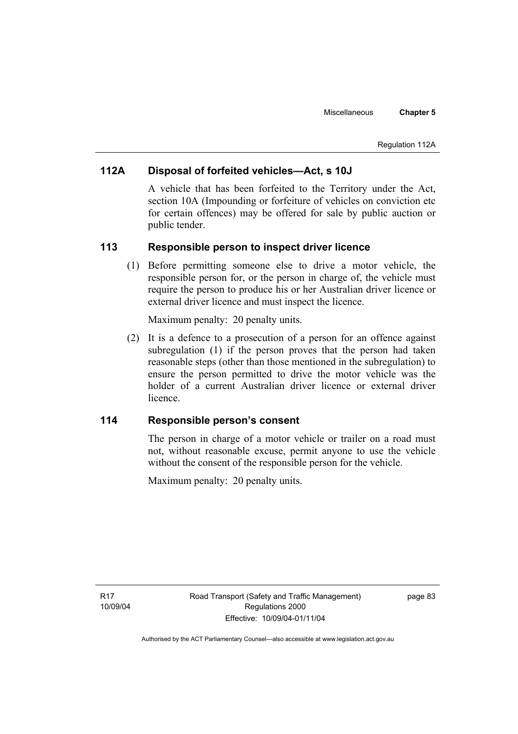# **112A Disposal of forfeited vehicles—Act, s 10J**

A vehicle that has been forfeited to the Territory under the Act, section 10A (Impounding or forfeiture of vehicles on conviction etc for certain offences) may be offered for sale by public auction or public tender.

## **113 Responsible person to inspect driver licence**

 (1) Before permitting someone else to drive a motor vehicle, the responsible person for, or the person in charge of, the vehicle must require the person to produce his or her Australian driver licence or external driver licence and must inspect the licence.

Maximum penalty: 20 penalty units.

 (2) It is a defence to a prosecution of a person for an offence against subregulation (1) if the person proves that the person had taken reasonable steps (other than those mentioned in the subregulation) to ensure the person permitted to drive the motor vehicle was the holder of a current Australian driver licence or external driver licence.

## **114 Responsible person's consent**

The person in charge of a motor vehicle or trailer on a road must not, without reasonable excuse, permit anyone to use the vehicle without the consent of the responsible person for the vehicle.

Maximum penalty: 20 penalty units.

page 83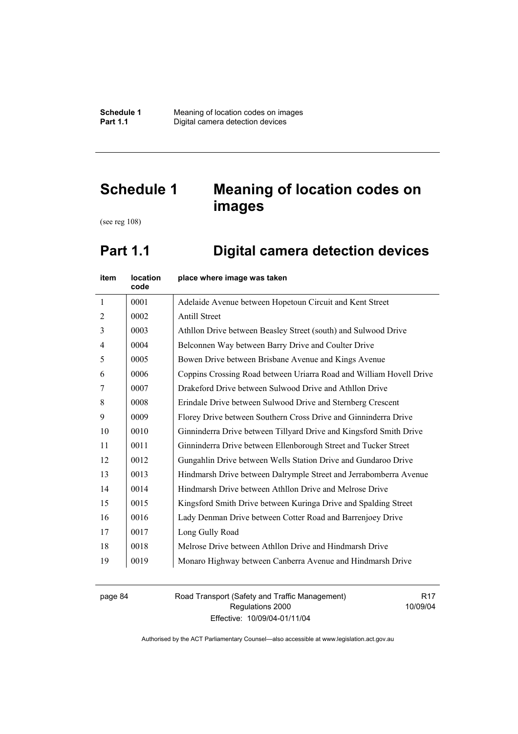# **Schedule 1 Meaning of location codes on images**

(see reg 108)

# **Part 1.1 Digital camera detection devices**

| item           | location<br>code | place where image was taken                                         |
|----------------|------------------|---------------------------------------------------------------------|
| $\mathbf{1}$   | 0001             | Adelaide Avenue between Hopetoun Circuit and Kent Street            |
| $\overline{2}$ | 0002             | <b>Antill Street</b>                                                |
| 3              | 0003             | Athllon Drive between Beasley Street (south) and Sulwood Drive      |
| $\overline{4}$ | 0004             | Belconnen Way between Barry Drive and Coulter Drive                 |
| 5              | 0005             | Bowen Drive between Brisbane Avenue and Kings Avenue                |
| 6              | 0006             | Coppins Crossing Road between Uriarra Road and William Hovell Drive |
| 7              | 0007             | Drakeford Drive between Sulwood Drive and Athllon Drive             |
| 8              | 0008             | Erindale Drive between Sulwood Drive and Sternberg Crescent         |
| 9              | 0009             | Florey Drive between Southern Cross Drive and Ginninderra Drive     |
| 10             | 0010             | Ginninderra Drive between Tillyard Drive and Kingsford Smith Drive  |
| 11             | 0011             | Ginninderra Drive between Ellenborough Street and Tucker Street     |
| 12             | 0012             | Gungahlin Drive between Wells Station Drive and Gundaroo Drive      |
| 13             | 0013             | Hindmarsh Drive between Dalrymple Street and Jerrabomberra Avenue   |
| 14             | 0014             | Hindmarsh Drive between Athllon Drive and Melrose Drive             |
| 15             | 0015             | Kingsford Smith Drive between Kuringa Drive and Spalding Street     |
| 16             | 0016             | Lady Denman Drive between Cotter Road and Barrenjoey Drive          |
| 17             | 0017             | Long Gully Road                                                     |
| 18             | 0018             | Melrose Drive between Athllon Drive and Hindmarsh Drive             |
| 19             | 0019             | Monaro Highway between Canberra Avenue and Hindmarsh Drive          |

page 84 Road Transport (Safety and Traffic Management) Regulations 2000 Effective: 10/09/04-01/11/04

R17 10/09/04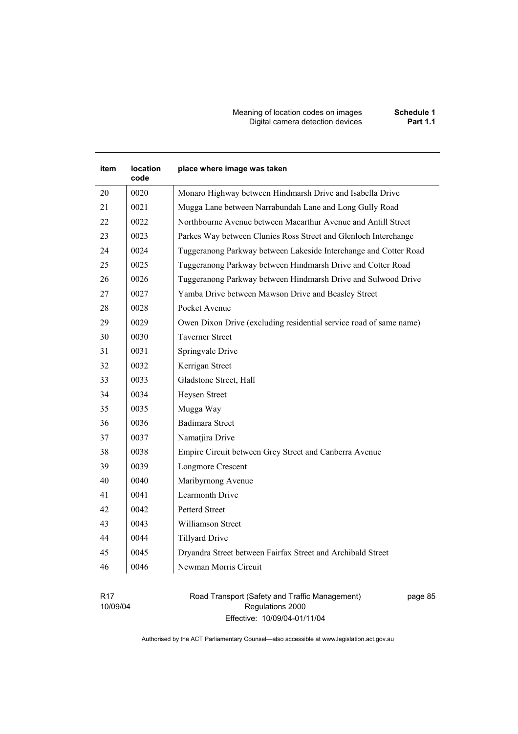Meaning of location codes on images **Schedule 1 Digital camera detection devices** 

# **item location code place where image was taken**  20 | 0020 | Monaro Highway between Hindmarsh Drive and Isabella Drive 21 | 0021 | Mugga Lane between Narrabundah Lane and Long Gully Road 22 | 0022 | Northbourne Avenue between Macarthur Avenue and Antill Street 23 0023 Parkes Way between Clunies Ross Street and Glenloch Interchange 24 | 0024 | Tuggeranong Parkway between Lakeside Interchange and Cotter Road 25 0025 Tuggeranong Parkway between Hindmarsh Drive and Cotter Road 26 | 0026 | Tuggeranong Parkway between Hindmarsh Drive and Sulwood Drive 27 0027 Yamba Drive between Mawson Drive and Beasley Street 28 0028 Pocket Avenue 29 | 0029 | Owen Dixon Drive (excluding residential service road of same name) 30 0030 Taverner Street 31 0031 Springvale Drive 32 0032 Kerrigan Street 33 0033 Gladstone Street, Hall 34 0034 Heysen Street 35 0035 Mugga Way 36 0036 Badimara Street 37 0037 Namatjira Drive 38 0038 Empire Circuit between Grey Street and Canberra Avenue 39 0039 Longmore Crescent 40 0040 Maribyrnong Avenue 41 0041 Learmonth Drive 42 0042 Petterd Street 43 0043 Williamson Street 44 0044 Tillyard Drive 45 0045 Dryandra Street between Fairfax Street and Archibald Street 46 0046 Newman Morris Circuit

R17 10/09/04 Road Transport (Safety and Traffic Management) Regulations 2000 Effective: 10/09/04-01/11/04

page 85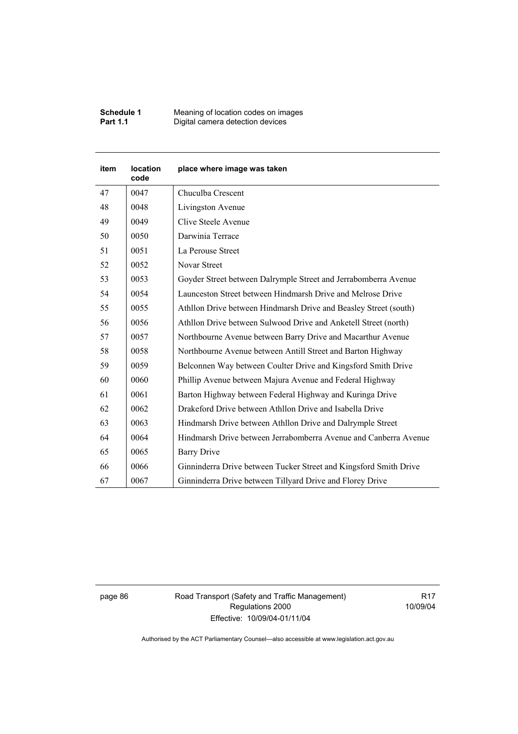| <b>Schedule 1</b> | Meaning of location codes on images |
|-------------------|-------------------------------------|
| <b>Part 1.1</b>   | Digital camera detection devices    |

| <b>item</b> | <b>location</b><br>code | place where image was taken                                       |
|-------------|-------------------------|-------------------------------------------------------------------|
| 47          | 0047                    | Chuculba Crescent                                                 |
| 48          | 0048                    | Livingston Avenue                                                 |
| 49          | 0049                    | Clive Steele Avenue                                               |
| 50          | 0050                    | Darwinia Terrace                                                  |
| 51          | 0051                    | La Perouse Street                                                 |
| 52          | 0052                    | Novar Street                                                      |
| 53          | 0053                    | Goyder Street between Dalrymple Street and Jerrabomberra Avenue   |
| 54          | 0054                    | Launceston Street between Hindmarsh Drive and Melrose Drive       |
| 55          | 0055                    | Athllon Drive between Hindmarsh Drive and Beasley Street (south)  |
| 56          | 0056                    | Athllon Drive between Sulwood Drive and Anketell Street (north)   |
| 57          | 0057                    | Northbourne Avenue between Barry Drive and Macarthur Avenue       |
| 58          | 0058                    | Northbourne Avenue between Antill Street and Barton Highway       |
| 59          | 0059                    | Belconnen Way between Coulter Drive and Kingsford Smith Drive     |
| 60          | 0060                    | Phillip Avenue between Majura Avenue and Federal Highway          |
| 61          | 0061                    | Barton Highway between Federal Highway and Kuringa Drive          |
| 62          | 0062                    | Drakeford Drive between Athllon Drive and Isabella Drive          |
| 63          | 0063                    | Hindmarsh Drive between Athllon Drive and Dalrymple Street        |
| 64          | 0064                    | Hindmarsh Drive between Jerrabomberra Avenue and Canberra Avenue  |
| 65          | 0065                    | <b>Barry Drive</b>                                                |
| 66          | 0066                    | Ginninderra Drive between Tucker Street and Kingsford Smith Drive |
| 67          | 0067                    | Ginninderra Drive between Tillyard Drive and Florey Drive         |

page 86 Road Transport (Safety and Traffic Management) Regulations 2000 Effective: 10/09/04-01/11/04

R17 10/09/04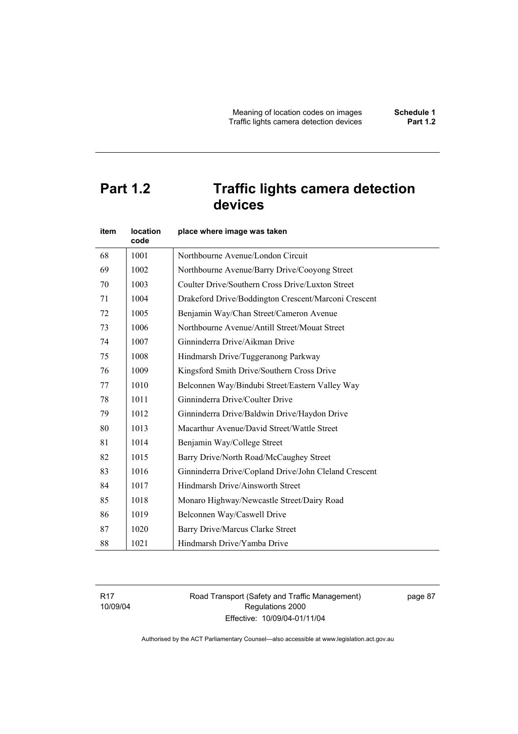# **Part 1.2 Traffic lights camera detection devices**

| item | <b>location</b><br>code | place where image was taken                           |
|------|-------------------------|-------------------------------------------------------|
| 68   | 1001                    | Northbourne Avenue/London Circuit                     |
| 69   | 1002                    | Northbourne Avenue/Barry Drive/Cooyong Street         |
| 70   | 1003                    | Coulter Drive/Southern Cross Drive/Luxton Street      |
| 71   | 1004                    | Drakeford Drive/Boddington Crescent/Marconi Crescent  |
| 72   | 1005                    | Benjamin Way/Chan Street/Cameron Avenue               |
| 73   | 1006                    | Northbourne Avenue/Antill Street/Mouat Street         |
| 74   | 1007                    | Ginninderra Drive/Aikman Drive                        |
| 75   | 1008                    | Hindmarsh Drive/Tuggeranong Parkway                   |
| 76   | 1009                    | Kingsford Smith Drive/Southern Cross Drive            |
| 77   | 1010                    | Belconnen Way/Bindubi Street/Eastern Valley Way       |
| 78   | 1011                    | Ginninderra Drive/Coulter Drive                       |
| 79   | 1012                    | Ginninderra Drive/Baldwin Drive/Haydon Drive          |
| 80   | 1013                    | Macarthur Avenue/David Street/Wattle Street           |
| 81   | 1014                    | Benjamin Way/College Street                           |
| 82   | 1015                    | Barry Drive/North Road/McCaughey Street               |
| 83   | 1016                    | Ginninderra Drive/Copland Drive/John Cleland Crescent |
| 84   | 1017                    | Hindmarsh Drive/Ainsworth Street                      |
| 85   | 1018                    | Monaro Highway/Newcastle Street/Dairy Road            |
| 86   | 1019                    | Belconnen Way/Caswell Drive                           |
| 87   | 1020                    | Barry Drive/Marcus Clarke Street                      |
| 88   | 1021                    | Hindmarsh Drive/Yamba Drive                           |

R17 10/09/04 Road Transport (Safety and Traffic Management) Regulations 2000 Effective: 10/09/04-01/11/04

page 87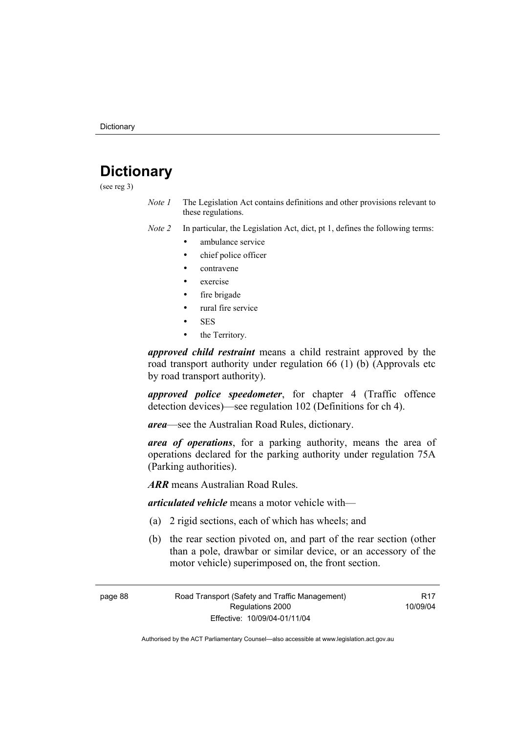# **Dictionary**

(see reg 3)

*Note 1* The Legislation Act contains definitions and other provisions relevant to these regulations.

*Note 2* In particular, the Legislation Act, dict, pt 1, defines the following terms:

- ambulance service
- chief police officer
- contravene
- exercise
- fire brigade
- rural fire service
- SES
- the Territory.

*approved child restraint* means a child restraint approved by the road transport authority under regulation 66 (1) (b) (Approvals etc by road transport authority).

*approved police speedometer*, for chapter 4 (Traffic offence detection devices)—see regulation 102 (Definitions for ch 4).

*area*—see the Australian Road Rules, dictionary.

*area of operations*, for a parking authority, means the area of operations declared for the parking authority under regulation 75A (Parking authorities).

*ARR* means Australian Road Rules.

*articulated vehicle* means a motor vehicle with—

- (a) 2 rigid sections, each of which has wheels; and
- (b) the rear section pivoted on, and part of the rear section (other than a pole, drawbar or similar device, or an accessory of the motor vehicle) superimposed on, the front section.

page 88 Road Transport (Safety and Traffic Management) Regulations 2000 Effective: 10/09/04-01/11/04

R17 10/09/04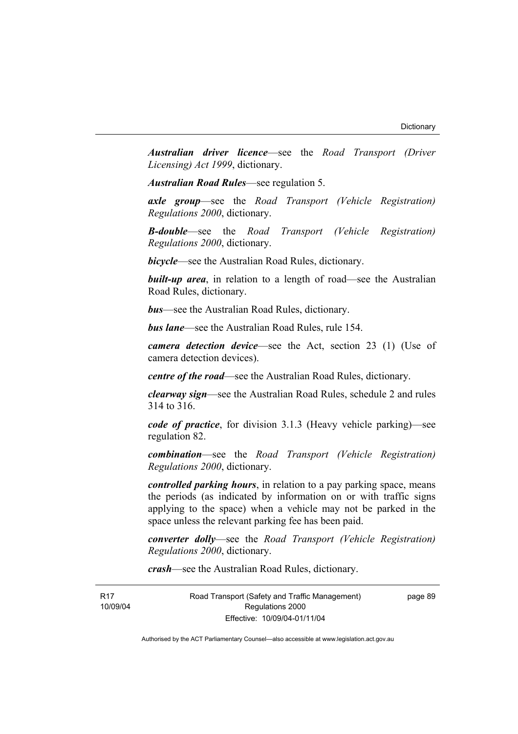*Australian driver licence*—see the *Road Transport (Driver Licensing) Act 1999*, dictionary.

*Australian Road Rules*—see regulation 5.

*axle group*—see the *Road Transport (Vehicle Registration) Regulations 2000*, dictionary.

*B-double*—see the *Road Transport (Vehicle Registration) Regulations 2000*, dictionary.

*bicycle*—see the Australian Road Rules, dictionary.

**built-up area**, in relation to a length of road—see the Australian Road Rules, dictionary.

*bus*—see the Australian Road Rules, dictionary.

*bus lane*—see the Australian Road Rules, rule 154.

*camera detection device*—see the Act, section 23 (1) (Use of camera detection devices).

*centre of the road*—see the Australian Road Rules, dictionary.

*clearway sign*—see the Australian Road Rules, schedule 2 and rules 314 to 316.

*code of practice*, for division 3.1.3 (Heavy vehicle parking)—see regulation 82.

*combination*—see the *Road Transport (Vehicle Registration) Regulations 2000*, dictionary.

*controlled parking hours*, in relation to a pay parking space, means the periods (as indicated by information on or with traffic signs applying to the space) when a vehicle may not be parked in the space unless the relevant parking fee has been paid.

*converter dolly*—see the *Road Transport (Vehicle Registration) Regulations 2000*, dictionary.

*crash*—see the Australian Road Rules, dictionary.

R17 10/09/04 Road Transport (Safety and Traffic Management) Regulations 2000 Effective: 10/09/04-01/11/04

page 89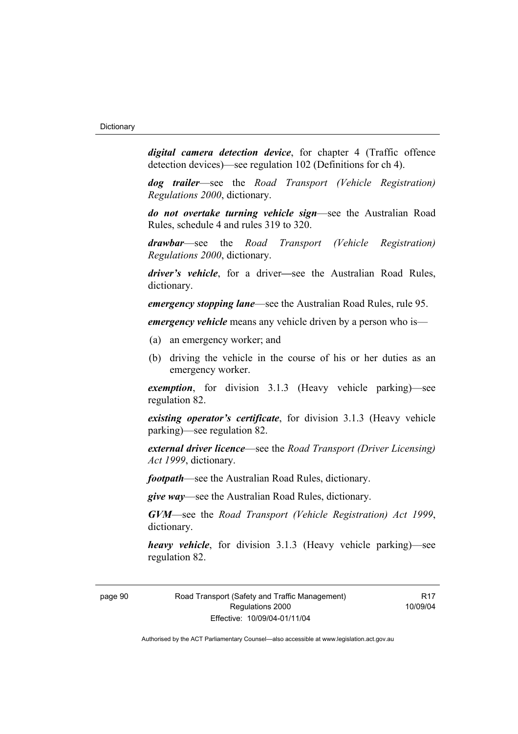*digital camera detection device*, for chapter 4 (Traffic offence detection devices)—see regulation 102 (Definitions for ch 4).

*dog trailer*—see the *Road Transport (Vehicle Registration) Regulations 2000*, dictionary.

*do not overtake turning vehicle sign*—see the Australian Road Rules, schedule 4 and rules 319 to 320.

*drawbar*—see the *Road Transport (Vehicle Registration) Regulations 2000*, dictionary.

*driver's vehicle*, for a driver*—*see the Australian Road Rules, dictionary.

*emergency stopping lane*—see the Australian Road Rules, rule 95.

*emergency vehicle* means any vehicle driven by a person who is—

- (a) an emergency worker; and
- (b) driving the vehicle in the course of his or her duties as an emergency worker.

*exemption*, for division 3.1.3 (Heavy vehicle parking)—see regulation 82.

*existing operator's certificate*, for division 3.1.3 (Heavy vehicle parking)—see regulation 82.

*external driver licence*—see the *Road Transport (Driver Licensing) Act 1999*, dictionary.

*footpath*—see the Australian Road Rules, dictionary.

*give way*—see the Australian Road Rules, dictionary.

*GVM*—see the *Road Transport (Vehicle Registration) Act 1999*, dictionary.

*heavy vehicle*, for division 3.1.3 (Heavy vehicle parking)—see regulation 82.

R17 10/09/04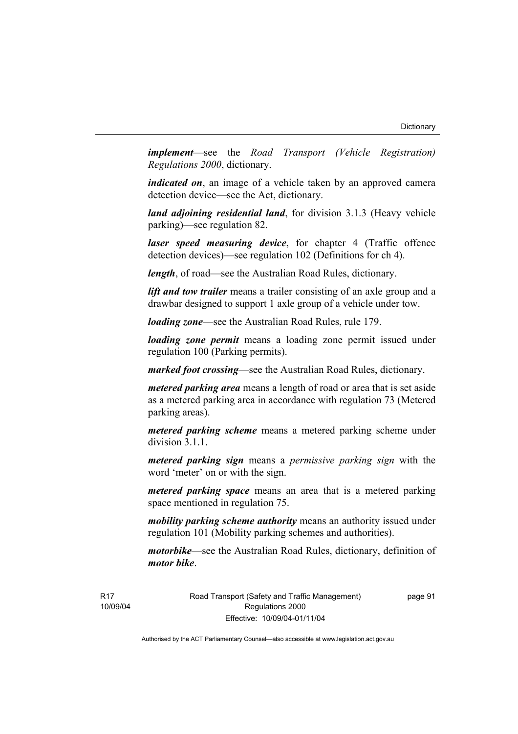*implement*—see the *Road Transport (Vehicle Registration) Regulations 2000*, dictionary.

*indicated on*, an image of a vehicle taken by an approved camera detection device—see the Act, dictionary.

*land adjoining residential land*, for division 3.1.3 (Heavy vehicle parking)—see regulation 82.

*laser speed measuring device*, for chapter 4 (Traffic offence detection devices)—see regulation 102 (Definitions for ch 4).

*length*, of road—see the Australian Road Rules, dictionary.

*lift and tow trailer* means a trailer consisting of an axle group and a drawbar designed to support 1 axle group of a vehicle under tow.

*loading zone*—see the Australian Road Rules, rule 179.

*loading zone permit* means a loading zone permit issued under regulation 100 (Parking permits).

*marked foot crossing*—see the Australian Road Rules, dictionary.

*metered parking area* means a length of road or area that is set aside as a metered parking area in accordance with regulation 73 (Metered parking areas).

*metered parking scheme* means a metered parking scheme under division 3.1.1.

*metered parking sign* means a *permissive parking sign* with the word 'meter' on or with the sign.

*metered parking space* means an area that is a metered parking space mentioned in regulation 75.

*mobility parking scheme authority* means an authority issued under regulation 101 (Mobility parking schemes and authorities).

*motorbike*—see the Australian Road Rules, dictionary, definition of *motor bike*.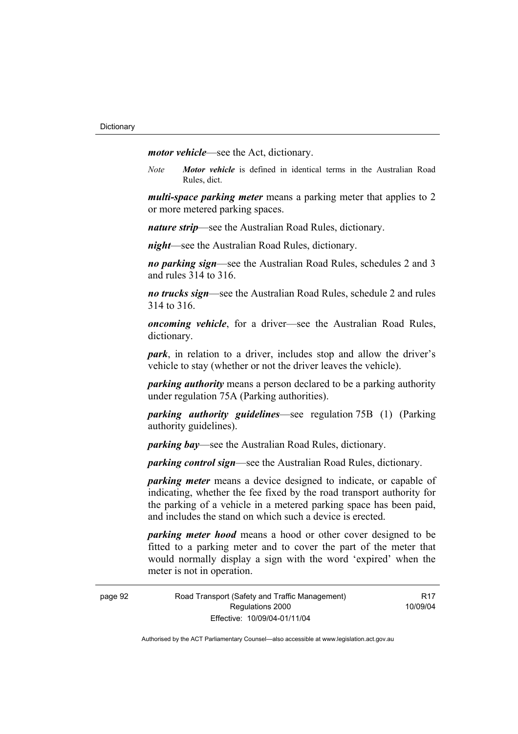*motor vehicle*—see the Act, dictionary.

*Note Motor vehicle* is defined in identical terms in the Australian Road Rules, dict.

*multi-space parking meter* means a parking meter that applies to 2 or more metered parking spaces.

*nature strip*—see the Australian Road Rules, dictionary.

*night*—see the Australian Road Rules, dictionary.

*no parking sign*—see the Australian Road Rules, schedules 2 and 3 and rules 314 to 316.

*no trucks sign*—see the Australian Road Rules, schedule 2 and rules 314 to 316.

*oncoming vehicle*, for a driver—see the Australian Road Rules, dictionary.

*park*, in relation to a driver, includes stop and allow the driver's vehicle to stay (whether or not the driver leaves the vehicle).

*parking authority* means a person declared to be a parking authority under regulation 75A (Parking authorities).

*parking authority guidelines*—see regulation 75B (1) (Parking authority guidelines).

*parking bay*—see the Australian Road Rules, dictionary.

*parking control sign*—see the Australian Road Rules, dictionary.

*parking meter* means a device designed to indicate, or capable of indicating, whether the fee fixed by the road transport authority for the parking of a vehicle in a metered parking space has been paid, and includes the stand on which such a device is erected.

*parking meter hood* means a hood or other cover designed to be fitted to a parking meter and to cover the part of the meter that would normally display a sign with the word 'expired' when the meter is not in operation.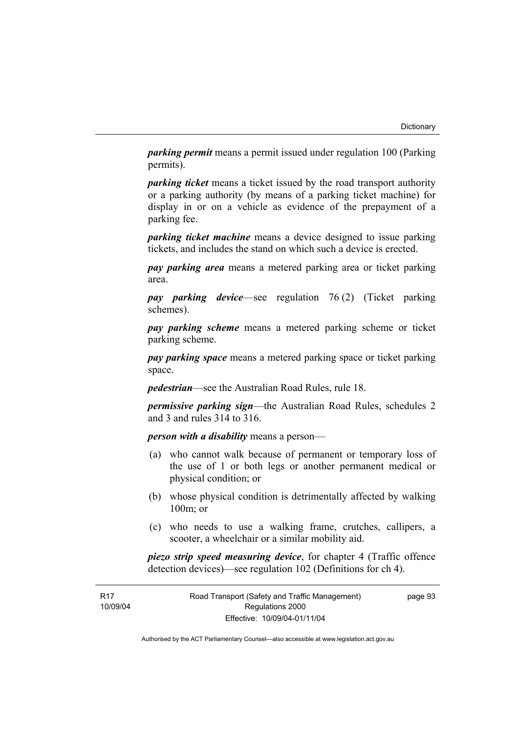*parking permit* means a permit issued under regulation 100 (Parking permits).

*parking ticket* means a ticket issued by the road transport authority or a parking authority (by means of a parking ticket machine) for display in or on a vehicle as evidence of the prepayment of a parking fee.

*parking ticket machine* means a device designed to issue parking tickets, and includes the stand on which such a device is erected.

*pay parking area* means a metered parking area or ticket parking area.

*pay parking device*—see regulation 76 (2) (Ticket parking schemes).

*pay parking scheme* means a metered parking scheme or ticket parking scheme.

*pay parking space* means a metered parking space or ticket parking space.

*pedestrian*—see the Australian Road Rules, rule 18.

*permissive parking sign*—the Australian Road Rules, schedules 2 and 3 and rules 314 to 316.

*person with a disability* means a person—

- (a) who cannot walk because of permanent or temporary loss of the use of 1 or both legs or another permanent medical or physical condition; or
- (b) whose physical condition is detrimentally affected by walking 100m; or
- (c) who needs to use a walking frame, crutches, callipers, a scooter, a wheelchair or a similar mobility aid.

*piezo strip speed measuring device*, for chapter 4 (Traffic offence detection devices)—see regulation 102 (Definitions for ch 4).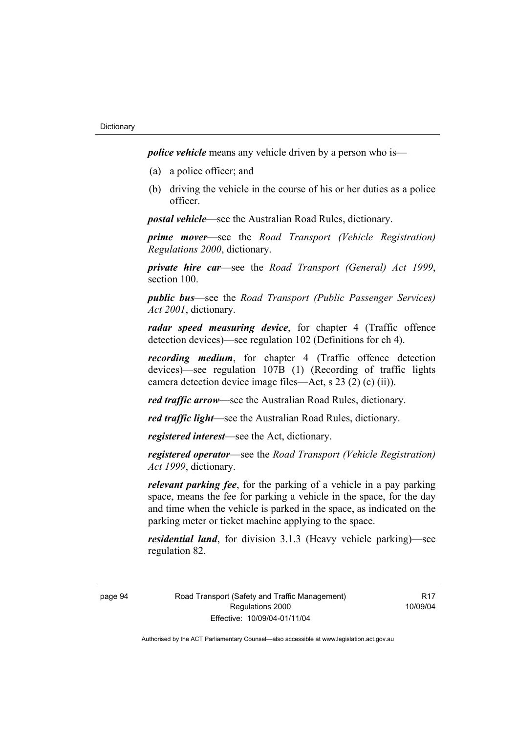*police vehicle* means any vehicle driven by a person who is—

- (a) a police officer; and
- (b) driving the vehicle in the course of his or her duties as a police officer.

*postal vehicle*—see the Australian Road Rules, dictionary.

*prime mover*—see the *Road Transport (Vehicle Registration) Regulations 2000*, dictionary.

*private hire car*—see the *Road Transport (General) Act 1999*, section 100.

*public bus*—see the *Road Transport (Public Passenger Services) Act 2001*, dictionary.

*radar speed measuring device*, for chapter 4 (Traffic offence detection devices)—see regulation 102 (Definitions for ch 4).

*recording medium*, for chapter 4 (Traffic offence detection devices)—see regulation 107B (1) (Recording of traffic lights camera detection device image files—Act, s 23 (2) (c) (ii)).

*red traffic arrow*—see the Australian Road Rules, dictionary.

*red traffic light*—see the Australian Road Rules, dictionary.

*registered interest*—see the Act, dictionary.

*registered operator*—see the *Road Transport (Vehicle Registration) Act 1999*, dictionary.

*relevant parking fee*, for the parking of a vehicle in a pay parking space, means the fee for parking a vehicle in the space, for the day and time when the vehicle is parked in the space, as indicated on the parking meter or ticket machine applying to the space.

*residential land*, for division 3.1.3 (Heavy vehicle parking)—see regulation 82.

**R17** 10/09/04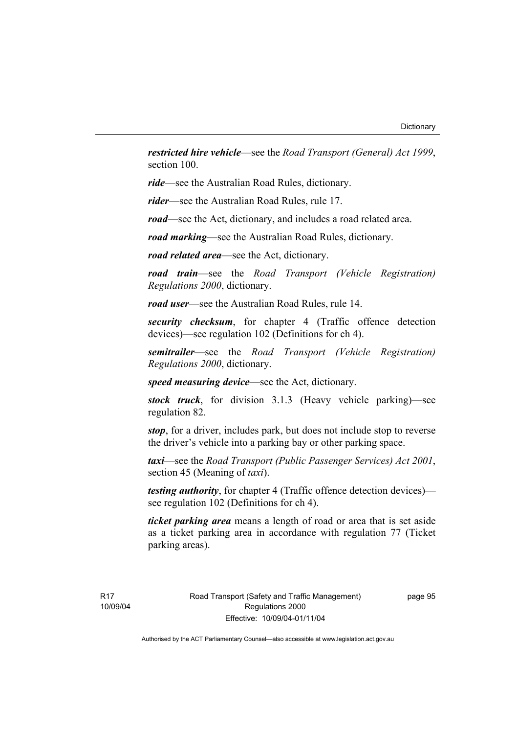*restricted hire vehicle*—see the *Road Transport (General) Act 1999*, section 100.

*ride*—see the Australian Road Rules, dictionary.

*rider*—see the Australian Road Rules, rule 17.

*road*—see the Act, dictionary, and includes a road related area.

*road marking*—see the Australian Road Rules, dictionary.

*road related area*—see the Act, dictionary.

*road train*—see the *Road Transport (Vehicle Registration) Regulations 2000*, dictionary.

*road user*—see the Australian Road Rules, rule 14.

*security checksum*, for chapter 4 (Traffic offence detection devices)—see regulation 102 (Definitions for ch 4).

*semitrailer*—see the *Road Transport (Vehicle Registration) Regulations 2000*, dictionary.

*speed measuring device*—see the Act, dictionary.

*stock truck*, for division 3.1.3 (Heavy vehicle parking)—see regulation 82.

*stop*, for a driver, includes park, but does not include stop to reverse the driver's vehicle into a parking bay or other parking space.

*taxi*—see the *Road Transport (Public Passenger Services) Act 2001*, section 45 (Meaning of *taxi*).

*testing authority*, for chapter 4 (Traffic offence detection devices) see regulation 102 (Definitions for ch 4).

*ticket parking area* means a length of road or area that is set aside as a ticket parking area in accordance with regulation 77 (Ticket parking areas).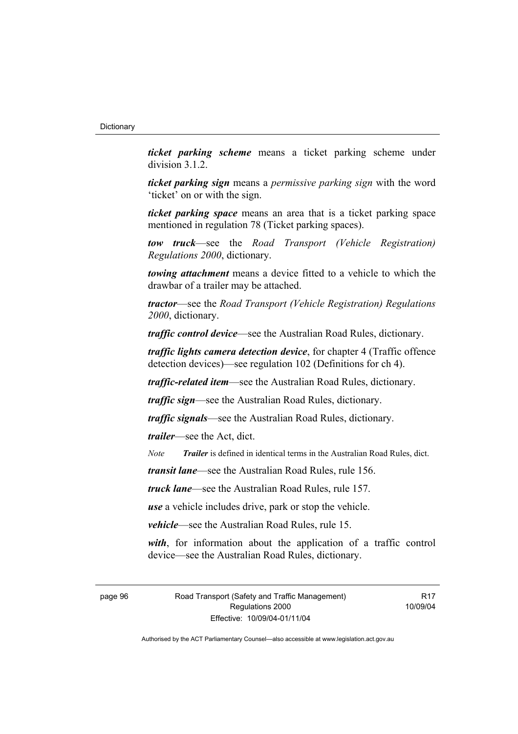*ticket parking scheme* means a ticket parking scheme under division 3.1.2.

*ticket parking sign* means a *permissive parking sign* with the word 'ticket' on or with the sign.

*ticket parking space* means an area that is a ticket parking space mentioned in regulation 78 (Ticket parking spaces).

*tow truck*—see the *Road Transport (Vehicle Registration) Regulations 2000*, dictionary.

*towing attachment* means a device fitted to a vehicle to which the drawbar of a trailer may be attached.

*tractor*—see the *Road Transport (Vehicle Registration) Regulations 2000*, dictionary.

*traffic control device*—see the Australian Road Rules, dictionary.

*traffic lights camera detection device*, for chapter 4 (Traffic offence detection devices)—see regulation 102 (Definitions for ch 4).

*traffic-related item*—see the Australian Road Rules, dictionary.

*traffic sign*—see the Australian Road Rules, dictionary.

*traffic signals*—see the Australian Road Rules, dictionary.

*trailer*—see the Act, dict.

*Note Trailer* is defined in identical terms in the Australian Road Rules, dict.

*transit lane*—see the Australian Road Rules, rule 156.

*truck lane*—see the Australian Road Rules, rule 157.

*use* a vehicle includes drive, park or stop the vehicle.

*vehicle*—see the Australian Road Rules, rule 15.

*with*, for information about the application of a traffic control device—see the Australian Road Rules, dictionary.

page 96 Road Transport (Safety and Traffic Management) Regulations 2000 Effective: 10/09/04-01/11/04

**R17** 10/09/04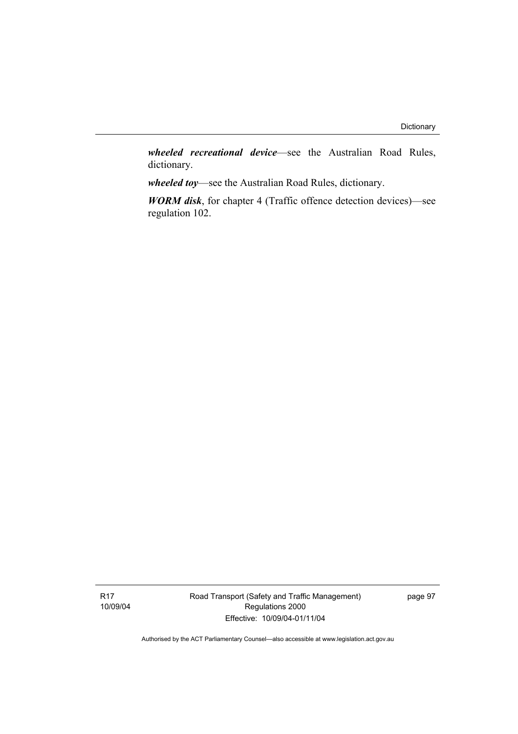*wheeled recreational device*—see the Australian Road Rules, dictionary.

*wheeled toy*—see the Australian Road Rules, dictionary.

*WORM disk*, for chapter 4 (Traffic offence detection devices)—see regulation 102.

Road Transport (Safety and Traffic Management) Regulations 2000 Effective: 10/09/04-01/11/04

page 97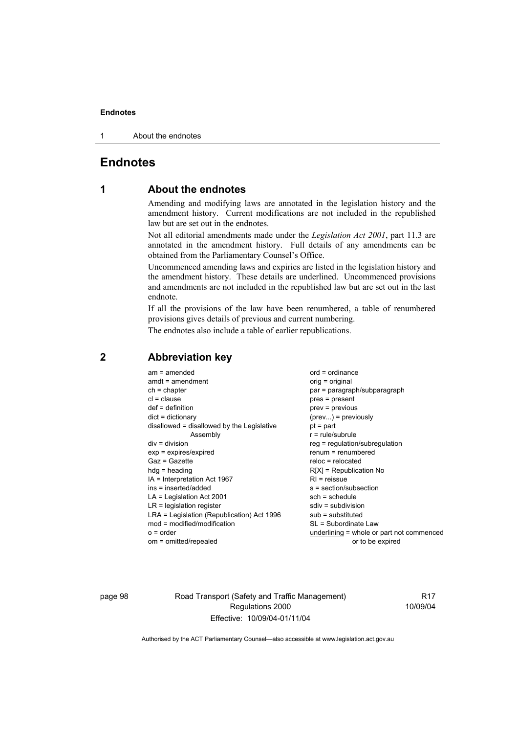#### **Endnotes**

1 About the endnotes

# **Endnotes**

# **1 About the endnotes**

Amending and modifying laws are annotated in the legislation history and the amendment history. Current modifications are not included in the republished law but are set out in the endnotes.

Not all editorial amendments made under the *Legislation Act 2001*, part 11.3 are annotated in the amendment history. Full details of any amendments can be obtained from the Parliamentary Counsel's Office.

Uncommenced amending laws and expiries are listed in the legislation history and the amendment history. These details are underlined. Uncommenced provisions and amendments are not included in the republished law but are set out in the last endnote.

If all the provisions of the law have been renumbered, a table of renumbered provisions gives details of previous and current numbering.

The endnotes also include a table of earlier republications.

| $am = amended$<br>$amdt = amendment$<br>$ch = chapter$<br>$cl = clause$<br>$def = definition$<br>$dict = dictionary$<br>disallowed = disallowed by the Legislative<br>Assembly<br>$div =$ division<br>$exp = expires/expired$<br>$Gaz = Gazette$<br>$hda =$ heading<br>IA = Interpretation Act 1967<br>ins = inserted/added<br>$LA =$ Legislation Act 2001<br>$LR =$ legislation register<br>LRA = Legislation (Republication) Act 1996<br>$mod = modified/modification$ | $ord = ordinance$<br>orig = original<br>par = paragraph/subparagraph<br>$pres = present$<br>$prev = previous$<br>$(\text{prev})$ = previously<br>$pt = part$<br>$r = rule/subrule$<br>reg = regulation/subregulation<br>$renum = renumbered$<br>$reloc = relocated$<br>$R[X]$ = Republication No<br>$RI = reissue$<br>$s = section/subsection$<br>$sch = schedule$<br>$sdiv = subdivision$<br>$sub =$ substituted<br>SL = Subordinate Law |
|--------------------------------------------------------------------------------------------------------------------------------------------------------------------------------------------------------------------------------------------------------------------------------------------------------------------------------------------------------------------------------------------------------------------------------------------------------------------------|-------------------------------------------------------------------------------------------------------------------------------------------------------------------------------------------------------------------------------------------------------------------------------------------------------------------------------------------------------------------------------------------------------------------------------------------|
| $o = order$<br>om = omitted/repealed                                                                                                                                                                                                                                                                                                                                                                                                                                     | underlining = whole or part not commenced<br>or to be expired                                                                                                                                                                                                                                                                                                                                                                             |
|                                                                                                                                                                                                                                                                                                                                                                                                                                                                          |                                                                                                                                                                                                                                                                                                                                                                                                                                           |

## **2 Abbreviation key**

page 98 Road Transport (Safety and Traffic Management) Regulations 2000 Effective: 10/09/04-01/11/04

R17 10/09/04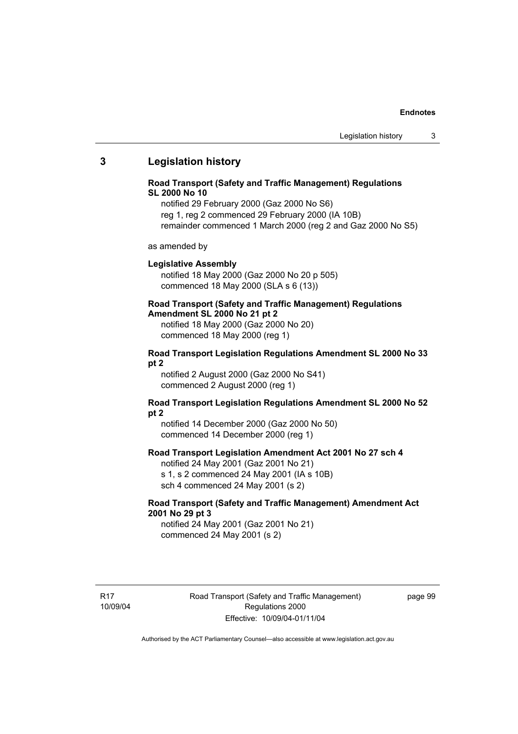# **3 Legislation history**

#### **Road Transport (Safety and Traffic Management) Regulations SL 2000 No 10**

notified 29 February 2000 (Gaz 2000 No S6) reg 1, reg 2 commenced 29 February 2000 (IA 10B) remainder commenced 1 March 2000 (reg 2 and Gaz 2000 No S5)

as amended by

#### **Legislative Assembly**

notified 18 May 2000 (Gaz 2000 No 20 p 505) commenced 18 May 2000 (SLA s 6 (13))

# **Road Transport (Safety and Traffic Management) Regulations**

**Amendment SL 2000 No 21 pt 2** 

notified 18 May 2000 (Gaz 2000 No 20) commenced 18 May 2000 (reg 1)

#### **Road Transport Legislation Regulations Amendment SL 2000 No 33 pt 2**

notified 2 August 2000 (Gaz 2000 No S41) commenced 2 August 2000 (reg 1)

### **Road Transport Legislation Regulations Amendment SL 2000 No 52 pt 2**

notified 14 December 2000 (Gaz 2000 No 50) commenced 14 December 2000 (reg 1)

# **Road Transport Legislation Amendment Act 2001 No 27 sch 4**

notified 24 May 2001 (Gaz 2001 No 21) s 1, s 2 commenced 24 May 2001 (IA s 10B) sch 4 commenced 24 May 2001 (s 2)

### **Road Transport (Safety and Traffic Management) Amendment Act 2001 No 29 pt 3**

notified 24 May 2001 (Gaz 2001 No 21) commenced 24 May 2001 (s 2)

R17 10/09/04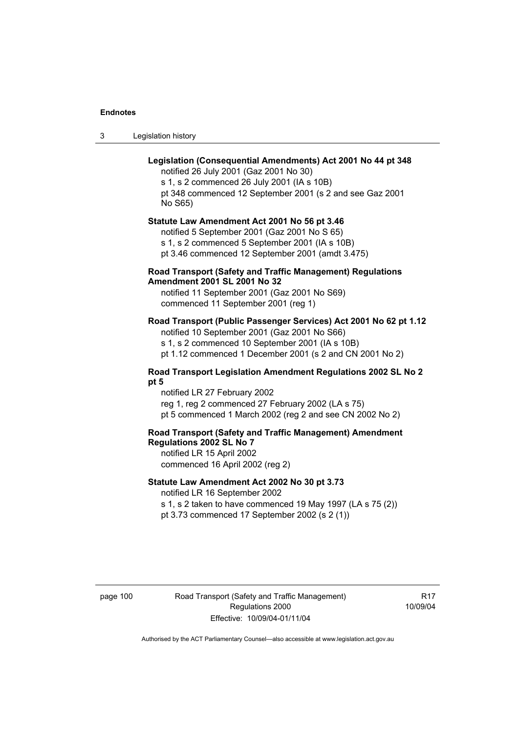3 Legislation history

# **Legislation (Consequential Amendments) Act 2001 No 44 pt 348**

notified 26 July 2001 (Gaz 2001 No 30) s 1, s 2 commenced 26 July 2001 (IA s 10B) pt 348 commenced 12 September 2001 (s 2 and see Gaz 2001 No S65)

**Statute Law Amendment Act 2001 No 56 pt 3.46** 

notified 5 September 2001 (Gaz 2001 No S 65) s 1, s 2 commenced 5 September 2001 (IA s 10B)

pt 3.46 commenced 12 September 2001 (amdt 3.475)

### **Road Transport (Safety and Traffic Management) Regulations Amendment 2001 SL 2001 No 32**

notified 11 September 2001 (Gaz 2001 No S69) commenced 11 September 2001 (reg 1)

# **Road Transport (Public Passenger Services) Act 2001 No 62 pt 1.12**

notified 10 September 2001 (Gaz 2001 No S66) s 1, s 2 commenced 10 September 2001 (IA s 10B)

pt 1.12 commenced 1 December 2001 (s 2 and CN 2001 No 2)

#### **Road Transport Legislation Amendment Regulations 2002 SL No 2 pt 5**

notified LR 27 February 2002 reg 1, reg 2 commenced 27 February 2002 (LA s 75) pt 5 commenced 1 March 2002 (reg 2 and see CN 2002 No 2)

# **Road Transport (Safety and Traffic Management) Amendment Regulations 2002 SL No 7**

notified LR 15 April 2002 commenced 16 April 2002 (reg 2)

### **Statute Law Amendment Act 2002 No 30 pt 3.73**

notified LR 16 September 2002

s 1, s 2 taken to have commenced 19 May 1997 (LA s 75 (2)) pt 3.73 commenced 17 September 2002 (s 2 (1))

page 100 Road Transport (Safety and Traffic Management) Regulations 2000 Effective: 10/09/04-01/11/04

**R17** 10/09/04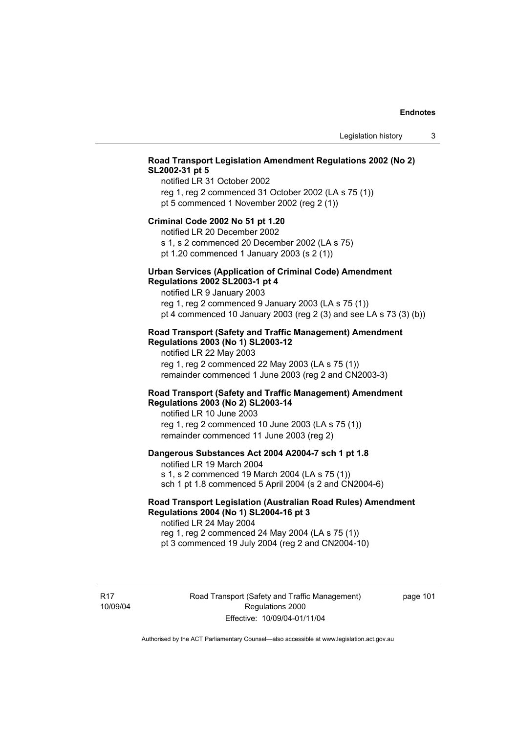# **Road Transport Legislation Amendment Regulations 2002 (No 2) SL2002-31 pt 5**

notified LR 31 October 2002 reg 1, reg 2 commenced 31 October 2002 (LA s 75 (1)) pt 5 commenced 1 November 2002 (reg 2 (1))

#### **Criminal Code 2002 No 51 pt 1.20**

notified LR 20 December 2002 s 1, s 2 commenced 20 December 2002 (LA s 75)

pt 1.20 commenced 1 January 2003 (s 2 (1))

# **Urban Services (Application of Criminal Code) Amendment**

**Regulations 2002 SL2003-1 pt 4**  notified LR 9 January 2003

reg 1, reg 2 commenced 9 January 2003 (LA s 75 (1)) pt 4 commenced 10 January 2003 (reg 2 (3) and see LA s 73 (3) (b))

#### **Road Transport (Safety and Traffic Management) Amendment Regulations 2003 (No 1) SL2003-12**

notified LR 22 May 2003 reg 1, reg 2 commenced 22 May 2003 (LA s 75 (1)) remainder commenced 1 June 2003 (reg 2 and CN2003-3)

### **Road Transport (Safety and Traffic Management) Amendment Regulations 2003 (No 2) SL2003-14**

notified LR 10 June 2003 reg 1, reg 2 commenced 10 June 2003 (LA s 75 (1)) remainder commenced 11 June 2003 (reg 2)

#### **Dangerous Substances Act 2004 A2004-7 sch 1 pt 1.8**

notified LR 19 March 2004 s 1, s 2 commenced 19 March 2004 (LA s 75 (1)) sch 1 pt 1.8 commenced 5 April 2004 (s 2 and CN2004-6)

# **Road Transport Legislation (Australian Road Rules) Amendment Regulations 2004 (No 1) SL2004-16 pt 3**

notified LR 24 May 2004 reg 1, reg 2 commenced 24 May 2004 (LA s 75 (1)) pt 3 commenced 19 July 2004 (reg 2 and CN2004-10)

R17 10/09/04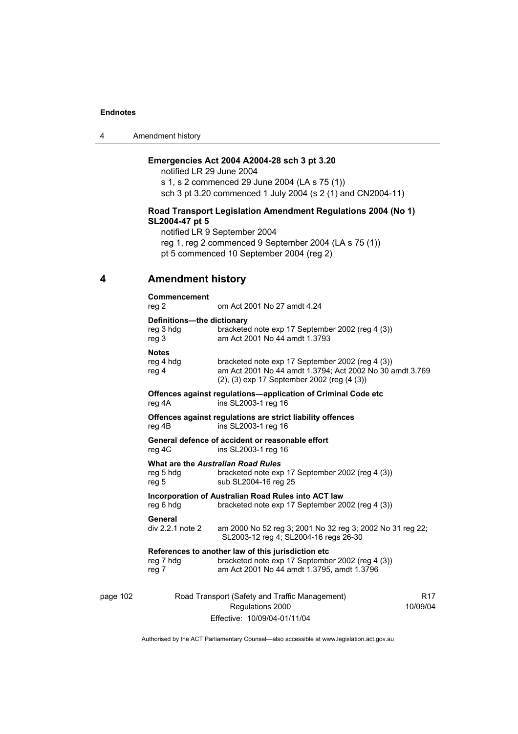| 4 | Amendment history |
|---|-------------------|
|---|-------------------|

# **Emergencies Act 2004 A2004-28 sch 3 pt 3.20**

notified LR 29 June 2004 s 1, s 2 commenced 29 June 2004 (LA s 75 (1)) sch 3 pt 3.20 commenced 1 July 2004 (s 2 (1) and CN2004-11)

### **Road Transport Legislation Amendment Regulations 2004 (No 1) SL2004-47 pt 5**

notified LR 9 September 2004 reg 1, reg 2 commenced 9 September 2004 (LA s 75 (1)) pt 5 commenced 10 September 2004 (reg 2)

# **4 Amendment history**

|          | Commencement<br>reg 2                                    | om Act 2001 No 27 amdt 4.24                                                                                                                                 |                             |
|----------|----------------------------------------------------------|-------------------------------------------------------------------------------------------------------------------------------------------------------------|-----------------------------|
|          | Definitions-the dictionary<br>reg 3 hdg<br>reg 3         | bracketed note exp 17 September 2002 (reg 4 (3))<br>am Act 2001 No 44 amdt 1.3793                                                                           |                             |
|          | <b>Notes</b><br>reg 4 hdg<br>reg 4                       | bracketed note exp 17 September 2002 (reg 4 (3))<br>am Act 2001 No 44 amdt 1.3794; Act 2002 No 30 amdt 3.769<br>(2), (3) exp 17 September 2002 (reg (4 (3)) |                             |
|          | reg 4A                                                   | Offences against regulations-application of Criminal Code etc<br>ins SL2003-1 reg 16                                                                        |                             |
|          | reg 4B                                                   | Offences against regulations are strict liability offences<br>ins SL2003-1 reg 16                                                                           |                             |
|          | reg 4C                                                   | General defence of accident or reasonable effort<br>ins SL2003-1 reg 16                                                                                     |                             |
|          | What are the Australian Road Rules<br>reg 5 hdg<br>reg 5 | bracketed note exp 17 September 2002 (reg 4 (3))<br>sub SL2004-16 reg 25                                                                                    |                             |
|          | reg 6 hdg                                                | Incorporation of Australian Road Rules into ACT law<br>bracketed note exp 17 September 2002 (reg 4 (3))                                                     |                             |
|          | General<br>div 2.2.1 note 2                              | am 2000 No 52 reg 3; 2001 No 32 reg 3; 2002 No 31 reg 22;<br>SL2003-12 reg 4; SL2004-16 regs 26-30                                                          |                             |
|          | reg 7 hdg<br>reg 7                                       | References to another law of this jurisdiction etc<br>bracketed note exp 17 September 2002 (reg 4 (3))<br>am Act 2001 No 44 amdt 1.3795, amdt 1.3796        |                             |
| page 102 |                                                          | Road Transport (Safety and Traffic Management)<br>Regulations 2000                                                                                          | R <sub>17</sub><br>10/09/04 |

Effective: 10/09/04-01/11/04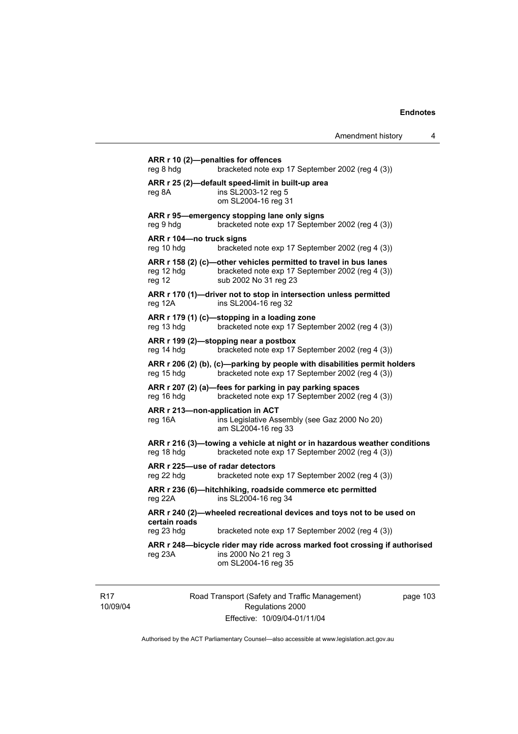```
ARR r 10 (2)—penalties for offences 
reg 8 hdg bracketed note exp 17 September 2002 (reg 4 (3))
ARR r 25 (2)—default speed-limit in built-up area 
reg 8A ins SL2003-12 reg 5 
                  om SL2004-16 reg 31 
ARR r 95—emergency stopping lane only signs 
reg 9 hdg bracketed note exp 17 September 2002 (reg 4 (3)) 
ARR r 104—no truck signs 
reg 10 hdg bracketed note exp 17 September 2002 (reg 4 (3)) 
ARR r 158 (2) (c)—other vehicles permitted to travel in bus lanes 
reg 12 hdg bracketed note exp 17 September 2002 (reg 4 (3)) 
reg 12 sub 2002 No 31 reg 23 
ARR r 170 (1)—driver not to stop in intersection unless permitted 
reg 12A ins SL2004-16 reg 32 
ARR r 179 (1) (c)—stopping in a loading zone 
reg 13 hdg bracketed note exp 17 September 2002 (reg 4 (3)) 
ARR r 199 (2)—stopping near a postbox 
reg 14 hdg bracketed note exp 17 September 2002 (reg 4 (3)) 
ARR r 206 (2) (b), (c)—parking by people with disabilities permit holders 
reg 15 hdg bracketed note exp 17 September 2002 (reg 4 (3)) 
ARR r 207 (2) (a)—fees for parking in pay parking spaces 
reg 16 hdg bracketed note exp 17 September 2002 (reg 4 (3)) 
ARR r 213—non-application in ACT 
reg 16A ins Legislative Assembly (see Gaz 2000 No 20) 
                  am SL2004-16 reg 33 
ARR r 216 (3)—towing a vehicle at night or in hazardous weather conditions 
reg 18 hdg bracketed note exp 17 September 2002 (reg 4 (3)) 
ARR r 225—use of radar detectors 
reg 22 hdg bracketed note exp 17 September 2002 (reg 4 (3)) 
ARR r 236 (6)—hitchhiking, roadside commerce etc permitted 
reg 22A ins SL2004-16 reg 34 
ARR r 240 (2)—wheeled recreational devices and toys not to be used on 
certain roads 
reg 23 hdg bracketed note exp 17 September 2002 (reg 4 (3)) 
ARR r 248—bicycle rider may ride across marked foot crossing if authorised 
reg 23A ins 2000 No 21 reg 3 
                  om SL2004-16 reg 35
```
R17 10/09/04 Road Transport (Safety and Traffic Management) Regulations 2000 Effective: 10/09/04-01/11/04

page 103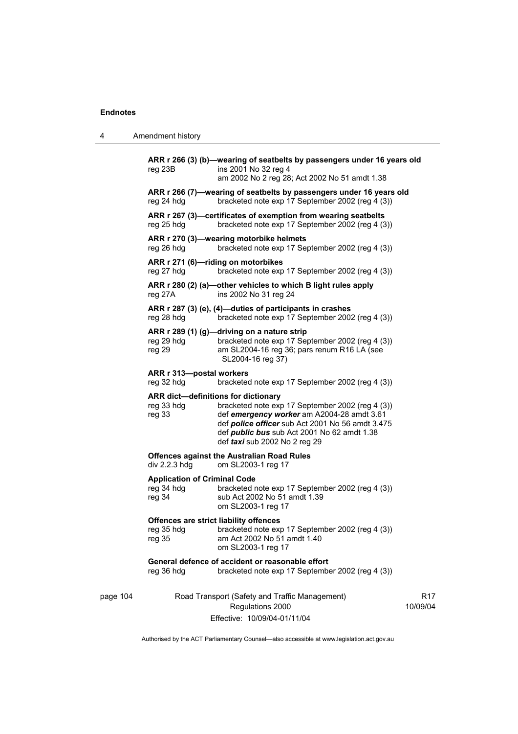| 4        | Amendment history                                           |                                                                                                                                                                                                                                                                                         |                 |
|----------|-------------------------------------------------------------|-----------------------------------------------------------------------------------------------------------------------------------------------------------------------------------------------------------------------------------------------------------------------------------------|-----------------|
|          | reg 23B                                                     | ARR r 266 (3) (b)-wearing of seatbelts by passengers under 16 years old<br>ins 2001 No 32 reg 4<br>am 2002 No 2 reg 28; Act 2002 No 51 amdt 1.38                                                                                                                                        |                 |
|          | reg 24 hdg                                                  | ARR r 266 (7)-wearing of seatbelts by passengers under 16 years old<br>bracketed note exp 17 September 2002 (reg 4 (3))                                                                                                                                                                 |                 |
|          | reg 25 hdg                                                  | ARR r 267 (3)-certificates of exemption from wearing seatbelts<br>bracketed note exp 17 September 2002 (reg 4 (3))                                                                                                                                                                      |                 |
|          | reg 26 hdg                                                  | ARR r 270 (3)-wearing motorbike helmets<br>bracketed note exp 17 September 2002 (reg 4 (3))                                                                                                                                                                                             |                 |
|          | reg 27 hdg                                                  | ARR r 271 (6)-riding on motorbikes<br>bracketed note exp 17 September 2002 (reg 4 (3))                                                                                                                                                                                                  |                 |
|          | reg 27A                                                     | ARR r 280 (2) (a)-other vehicles to which B light rules apply<br>ins 2002 No 31 reg 24                                                                                                                                                                                                  |                 |
|          | reg 28 hdg                                                  | ARR r 287 (3) (e), (4)-duties of participants in crashes<br>bracketed note exp 17 September 2002 (reg 4 (3))                                                                                                                                                                            |                 |
|          | reg 29 hdg<br>reg 29                                        | ARR r 289 (1) (g)—driving on a nature strip<br>bracketed note exp 17 September 2002 (reg 4 (3))<br>am SL2004-16 reg 36; pars renum R16 LA (see<br>SL2004-16 reg 37)                                                                                                                     |                 |
|          | ARR r 313-postal workers<br>reg 32 hdg                      | bracketed note exp 17 September 2002 (reg 4 (3))                                                                                                                                                                                                                                        |                 |
|          | reg 33 hdg<br>reg 33                                        | ARR dict-definitions for dictionary<br>bracketed note exp 17 September 2002 (reg 4 (3))<br>def emergency worker am A2004-28 amdt 3.61<br>def <i>police officer</i> sub Act 2001 No 56 amdt 3.475<br>def <i>public bus</i> sub Act 2001 No 62 amdt 1.38<br>def taxi sub 2002 No 2 reg 29 |                 |
|          | div 2.2.3 hdg                                               | <b>Offences against the Australian Road Rules</b><br>om SL2003-1 reg 17                                                                                                                                                                                                                 |                 |
|          | <b>Application of Criminal Code</b><br>reg 34 hdg<br>reg 34 | bracketed note exp 17 September 2002 (reg 4 (3))<br>sub Act 2002 No 51 amdt 1.39<br>om SL2003-1 reg 17                                                                                                                                                                                  |                 |
|          | reg 35 hdg<br>reg 35                                        | Offences are strict liability offences<br>bracketed note exp 17 September 2002 (reg 4 (3))<br>am Act 2002 No 51 amdt 1.40<br>om SL2003-1 reg 17                                                                                                                                         |                 |
|          | reg 36 hdg                                                  | General defence of accident or reasonable effort<br>bracketed note exp 17 September 2002 (reg 4 (3))                                                                                                                                                                                    |                 |
| page 104 |                                                             | Road Transport (Safety and Traffic Management)<br>Regulations 2000<br>Effective: 10/09/04-01/11/04                                                                                                                                                                                      | R17<br>10/09/04 |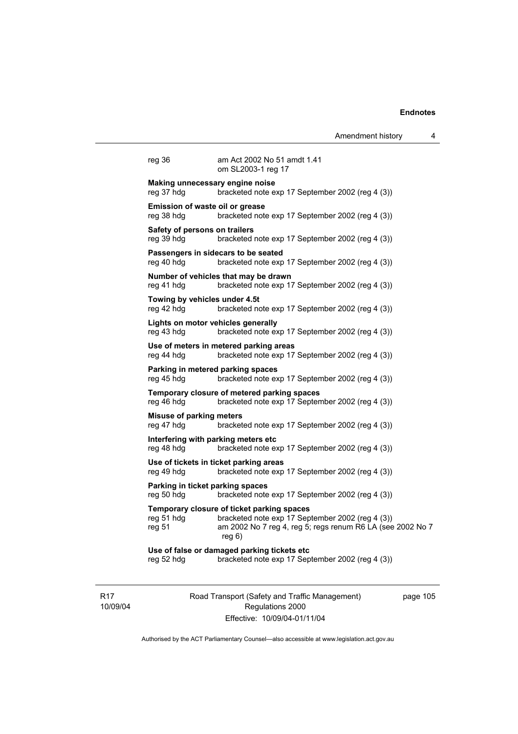Amendment history 4

| reg 36                                               | am Act 2002 No 51 amdt 1.41<br>om SL2003-1 reg 17                                        |
|------------------------------------------------------|------------------------------------------------------------------------------------------|
| Making unnecessary engine noise<br>reg 37 hdg        | bracketed note exp 17 September 2002 (reg 4 (3))                                         |
| <b>Emission of waste oil or grease</b><br>reg 38 hdg | bracketed note exp 17 September 2002 (reg 4 (3))                                         |
| Safety of persons on trailers<br>reg 39 hdg          | bracketed note exp 17 September 2002 (reg 4 (3))                                         |
| reg 40 hdg                                           | Passengers in sidecars to be seated<br>bracketed note exp 17 September 2002 (reg 4 (3))  |
| reg 41 hdg                                           | Number of vehicles that may be drawn<br>bracketed note exp 17 September 2002 (reg 4 (3)) |
| Towing by vehicles under 4.5t<br>reg 42 hdg          | bracketed note exp 17 September 2002 (reg 4 (3))                                         |
| Lights on motor vehicles generally<br>reg 43 hdg     | bracketed note exp 17 September 2002 (reg 4 (3))                                         |

reg 43 hdg bracketed note **Use of meters in metered parking areas**  reg 44 hdg bracketed note exp 17 September 2002 (reg 4 (3)) **Parking in metered parking spaces**  reg 45 hdg bracketed note exp 17 September 2002 (reg 4 (3)) **Temporary closure of metered parking spaces**  reg 46 hdg bracketed note exp 17 September 2002 (reg 4 (3)) **Misuse of parking meters**  reg 47 hdg bracketed note exp 17 September 2002 (reg 4 (3)) **Interfering with parking meters etc**  reg 48 hdg bracketed note exp 17 September 2002 (reg 4 (3)) **Use of tickets in ticket parking areas** 

reg 49 hdg bracketed note exp 17 September 2002 (reg 4 (3))

#### **Parking in ticket parking spaces**  reg 50 hdg bracketed note exp 17 September 2002 (reg 4 (3))

#### **Temporary closure of ticket parking spaces**

reg 51 hdg bracketed note exp 17 September 2002 (reg 4 (3)) reg 51 am 2002 No 7 reg 4, reg 5; regs renum R6 LA (see 2002 No 7 reg 6)

**Use of false or damaged parking tickets etc**  reg 52 hdg bracketed note exp 17 September 2002 (reg 4 (3))

R17 10/09/04 Road Transport (Safety and Traffic Management) Regulations 2000 Effective: 10/09/04-01/11/04

page 105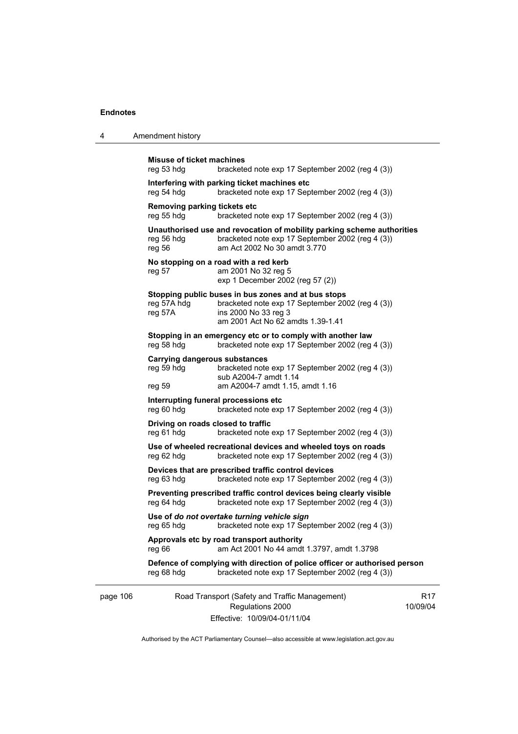| 4        | Amendment history                                                                                                                                                                              |            |
|----------|------------------------------------------------------------------------------------------------------------------------------------------------------------------------------------------------|------------|
|          | Misuse of ticket machines<br>reg 53 hdg<br>bracketed note exp 17 September 2002 (reg 4 (3))                                                                                                    |            |
|          | Interfering with parking ticket machines etc<br>reg 54 hdg<br>bracketed note exp 17 September 2002 (reg 4 (3))                                                                                 |            |
|          | Removing parking tickets etc<br>reg 55 hdg<br>bracketed note exp 17 September 2002 (reg 4 (3))                                                                                                 |            |
|          | Unauthorised use and revocation of mobility parking scheme authorities<br>bracketed note exp 17 September 2002 (reg 4 (3))<br>reg 56 hdg<br>am Act 2002 No 30 amdt 3.770<br>reg 56             |            |
|          | No stopping on a road with a red kerb<br>am 2001 No 32 reg 5<br>reg 57<br>exp 1 December 2002 (reg 57 (2))                                                                                     |            |
|          | Stopping public buses in bus zones and at bus stops<br>reg 57A hdg<br>bracketed note exp 17 September 2002 (reg 4 (3))<br>ins 2000 No 33 reg 3<br>reg 57A<br>am 2001 Act No 62 amdts 1.39-1.41 |            |
|          | Stopping in an emergency etc or to comply with another law<br>reg 58 hdg<br>bracketed note exp 17 September 2002 (reg 4 (3))                                                                   |            |
|          | <b>Carrying dangerous substances</b><br>bracketed note exp 17 September 2002 (reg 4 (3))<br>reg 59 hdg<br>sub A2004-7 amdt 1.14<br>am A2004-7 amdt 1.15, amdt 1.16<br>reg 59                   |            |
|          | Interrupting funeral processions etc<br>reg 60 hdg<br>bracketed note exp 17 September 2002 (reg 4 (3))                                                                                         |            |
|          | Driving on roads closed to traffic<br>reg 61 hdg<br>bracketed note exp 17 September 2002 (reg 4 (3))                                                                                           |            |
|          | Use of wheeled recreational devices and wheeled toys on roads<br>bracketed note exp 17 September 2002 (reg 4 (3))<br>reg 62 hdg                                                                |            |
|          | Devices that are prescribed traffic control devices<br>reg 63 hdg<br>bracketed note exp 17 September 2002 (reg 4 (3))                                                                          |            |
|          | Preventing prescribed traffic control devices being clearly visible<br>bracketed note exp 17 September 2002 (reg 4 (3))<br>reg 64 hdg                                                          |            |
|          | Use of do not overtake turning vehicle sign<br>reg 65 hdg<br>bracketed note exp 17 September 2002 (reg 4 (3))                                                                                  |            |
|          | Approvals etc by road transport authority<br>am Act 2001 No 44 amdt 1.3797, amdt 1.3798<br>reg 66                                                                                              |            |
|          | Defence of complying with direction of police officer or authorised person<br>bracketed note exp 17 September 2002 (reg 4 (3))<br>reg 68 hdg                                                   |            |
| page 106 | Road Transport (Safety and Traffic Management)<br>Regulations 2000<br>Effective: 10/09/04-01/11/04                                                                                             | R<br>10/09 |

Authorised by the ACT Parliamentary Counsel—also accessible at www.legislation.act.gov.au

R17 10/09/04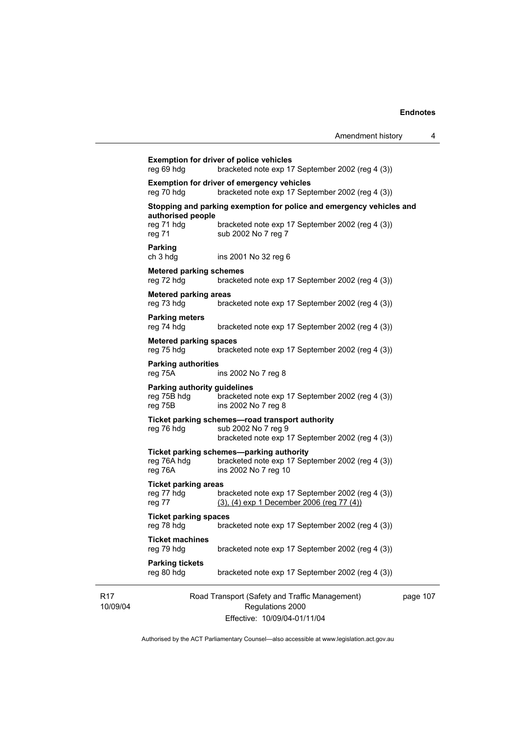|                                                               | Amendment history                                                                                                          | 4        |
|---------------------------------------------------------------|----------------------------------------------------------------------------------------------------------------------------|----------|
| reg 69 hdg                                                    | <b>Exemption for driver of police vehicles</b><br>bracketed note exp 17 September 2002 (reg 4 (3))                         |          |
| reg 70 hdg                                                    | <b>Exemption for driver of emergency vehicles</b><br>bracketed note exp 17 September 2002 (reg 4 (3))                      |          |
|                                                               | Stopping and parking exemption for police and emergency vehicles and                                                       |          |
| authorised people<br>reg 71 hdg<br>reg 71                     | bracketed note exp 17 September 2002 (reg 4 (3))<br>sub 2002 No 7 reg 7                                                    |          |
| <b>Parking</b><br>ch 3 hda                                    | ins 2001 No 32 reg 6                                                                                                       |          |
| <b>Metered parking schemes</b><br>reg 72 hdg                  | bracketed note exp 17 September 2002 (reg 4 (3))                                                                           |          |
| <b>Metered parking areas</b><br>reg 73 hdg                    | bracketed note exp 17 September 2002 (reg 4 (3))                                                                           |          |
| <b>Parking meters</b><br>reg 74 hdg                           | bracketed note exp 17 September 2002 (reg 4 (3))                                                                           |          |
| <b>Metered parking spaces</b><br>reg 75 hdg                   | bracketed note exp 17 September 2002 (reg 4 (3))                                                                           |          |
| <b>Parking authorities</b><br>reg 75A                         | ins 2002 No 7 reg 8                                                                                                        |          |
| <b>Parking authority guidelines</b><br>reg 75B hdg<br>reg 75B | bracketed note exp 17 September 2002 (reg 4 (3))<br>ins 2002 No 7 reg 8                                                    |          |
| reg 76 hdg                                                    | Ticket parking schemes—road transport authority<br>sub 2002 No 7 reg 9<br>bracketed note exp 17 September 2002 (reg 4 (3)) |          |
| reg 76A hdg<br>reg 76A                                        | Ticket parking schemes—parking authority<br>bracketed note exp 17 September 2002 (reg 4 (3))<br>ins 2002 No 7 reg 10       |          |
| <b>Ticket parking areas</b><br>reg 77 hdg<br>reg 77           | bracketed note exp 17 September 2002 (reg 4 (3))<br>$(3)$ , $(4)$ exp 1 December 2006 (reg 77 $(4)$ )                      |          |
| <b>Ticket parking spaces</b><br>reg 78 hdg                    | bracketed note exp 17 September 2002 (reg 4 (3))                                                                           |          |
| <b>Ticket machines</b><br>reg 79 hdg                          | bracketed note exp 17 September 2002 (reg 4 (3))                                                                           |          |
| <b>Parking tickets</b><br>reg 80 hdg                          | bracketed note exp 17 September 2002 (reg 4 (3))                                                                           |          |
|                                                               | Road Transport (Safety and Traffic Management)<br>Regulations 2000                                                         | page 107 |

Effective: 10/09/04-01/11/04

 $\overline{7}$ 

Authorised by the ACT Parliamentary Counsel—also accessible at www.legislation.act.gov.au

R17 10/09/04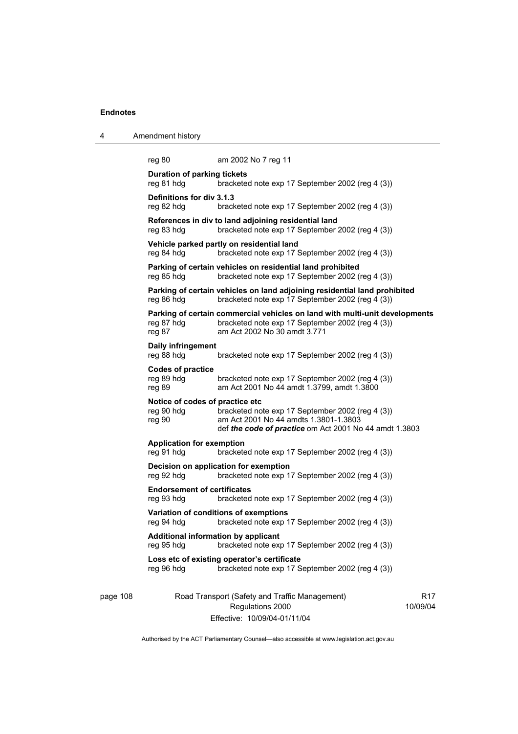| 4        | Amendment history                                       |                                                                                                                                                                 |                             |
|----------|---------------------------------------------------------|-----------------------------------------------------------------------------------------------------------------------------------------------------------------|-----------------------------|
|          | reg 80<br><b>Duration of parking tickets</b>            | am 2002 No 7 reg 11                                                                                                                                             |                             |
|          | reg 81 hdg                                              | bracketed note exp 17 September 2002 (reg 4 (3))                                                                                                                |                             |
|          | Definitions for div 3.1.3<br>reg 82 hdg                 | bracketed note exp 17 September 2002 (reg 4 (3))                                                                                                                |                             |
|          | reg 83 hdg                                              | References in div to land adjoining residential land<br>bracketed note exp 17 September 2002 (reg 4 (3))                                                        |                             |
|          | reg 84 hdg                                              | Vehicle parked partly on residential land<br>bracketed note exp 17 September 2002 (reg 4 (3))                                                                   |                             |
|          | reg 85 hdg                                              | Parking of certain vehicles on residential land prohibited<br>bracketed note exp 17 September 2002 (reg 4 (3))                                                  |                             |
|          | reg 86 hdg                                              | Parking of certain vehicles on land adjoining residential land prohibited<br>bracketed note exp 17 September 2002 (reg 4 (3))                                   |                             |
|          | reg 87 hdg<br>reg 87                                    | Parking of certain commercial vehicles on land with multi-unit developments<br>bracketed note exp 17 September 2002 (reg 4 (3))<br>am Act 2002 No 30 amdt 3.771 |                             |
|          | Daily infringement<br>reg 88 hdg                        | bracketed note exp 17 September 2002 (reg 4 (3))                                                                                                                |                             |
|          | <b>Codes of practice</b><br>reg 89 hdg<br>reg 89        | bracketed note exp 17 September 2002 (reg 4 (3))<br>am Act 2001 No 44 amdt 1.3799, amdt 1.3800                                                                  |                             |
|          | Notice of codes of practice etc<br>reg 90 hdg<br>reg 90 | bracketed note exp 17 September 2002 (reg 4 (3))<br>am Act 2001 No 44 amdts 1.3801-1.3803<br>def the code of practice om Act 2001 No 44 amdt 1.3803             |                             |
|          | <b>Application for exemption</b><br>reg 91 hdg          | bracketed note exp 17 September 2002 (reg 4 (3))                                                                                                                |                             |
|          | reg 92 hdg                                              | Decision on application for exemption<br>bracketed note exp 17 September 2002 (reg 4 (3))                                                                       |                             |
|          | <b>Endorsement of certificates</b><br>reg 93 hdg        | bracketed note exp 17 September 2002 (reg 4 (3))                                                                                                                |                             |
|          |                                                         | Variation of conditions of exemptions<br>reg 94 hdg bracketed note exp 17 September 2002 (reg 4 (3))                                                            |                             |
|          | Additional information by applicant<br>reg 95 hdg       | bracketed note exp 17 September 2002 (reg 4 (3))                                                                                                                |                             |
|          | reg 96 hdg                                              | Loss etc of existing operator's certificate<br>bracketed note exp 17 September 2002 (reg 4 (3))                                                                 |                             |
| page 108 |                                                         | Road Transport (Safety and Traffic Management)<br>Regulations 2000                                                                                              | R <sub>17</sub><br>10/09/04 |

Effective: 10/09/04-01/11/04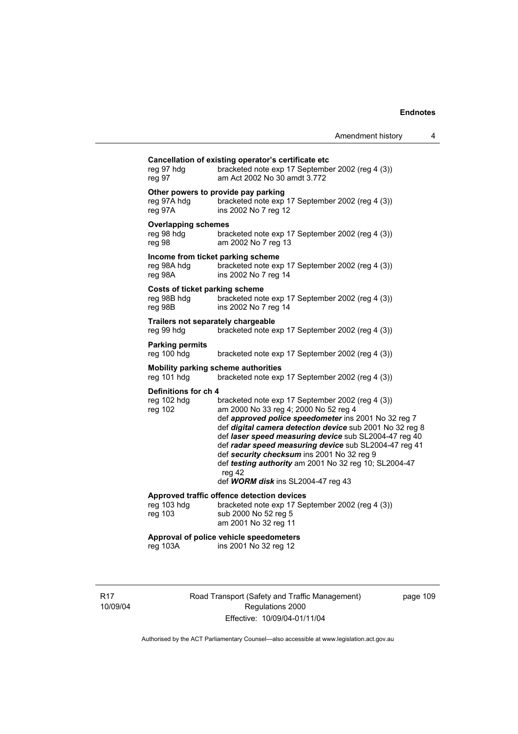| reg 97 hdg<br>reg 97                               | Cancellation of existing operator's certificate etc<br>bracketed note exp 17 September 2002 (reg 4 (3))<br>am Act 2002 No 30 amdt 3.772                                                                                                                                                                                                                                                                                                                                                |
|----------------------------------------------------|----------------------------------------------------------------------------------------------------------------------------------------------------------------------------------------------------------------------------------------------------------------------------------------------------------------------------------------------------------------------------------------------------------------------------------------------------------------------------------------|
| reg 97A hdg<br>reg 97A                             | Other powers to provide pay parking<br>bracketed note exp 17 September 2002 (reg 4 (3))<br>ins 2002 No 7 reg 12                                                                                                                                                                                                                                                                                                                                                                        |
| <b>Overlapping schemes</b><br>reg 98 hdg<br>reg 98 | bracketed note exp 17 September 2002 (reg 4 (3))<br>am 2002 No 7 reg 13                                                                                                                                                                                                                                                                                                                                                                                                                |
| Income from ticket parking scheme<br>reg 98A       | reg 98A hdg bracketed note exp 17 September 2002 (reg 4 (3))<br>ins 2002 No 7 reg 14                                                                                                                                                                                                                                                                                                                                                                                                   |
| Costs of ticket parking scheme<br>reg 98B          | reg 98B hdg bracketed note exp 17 September 2002 (reg 4 (3))<br>ins 2002 No 7 reg 14                                                                                                                                                                                                                                                                                                                                                                                                   |
| Trailers not separately chargeable<br>reg 99 hdg   | bracketed note exp 17 September 2002 (reg 4 (3))                                                                                                                                                                                                                                                                                                                                                                                                                                       |
| <b>Parking permits</b><br>reg 100 hdg              | bracketed note exp 17 September 2002 (reg 4 (3))                                                                                                                                                                                                                                                                                                                                                                                                                                       |
| reg 101 hdg                                        | <b>Mobility parking scheme authorities</b><br>bracketed note exp 17 September 2002 (reg 4 (3))                                                                                                                                                                                                                                                                                                                                                                                         |
| Definitions for ch 4<br>reg 102 hdg<br>reg 102     | bracketed note exp 17 September 2002 (reg 4 (3))<br>am 2000 No 33 reg 4; 2000 No 52 reg 4<br>def approved police speedometer ins 2001 No 32 reg 7<br>def digital camera detection device sub 2001 No 32 reg 8<br>def laser speed measuring device sub SL2004-47 reg 40<br>def radar speed measuring device sub SL2004-47 reg 41<br>def security checksum ins 2001 No 32 reg 9<br>def testing authority am 2001 No 32 reg 10; SL2004-47<br>reg 42<br>def WORM disk ins SL2004-47 reg 43 |
| reg 103 hdg<br>reg 103                             | Approved traffic offence detection devices<br>bracketed note exp 17 September 2002 (reg 4 (3))<br>sub 2000 No 52 reg 5<br>am 2001 No 32 reg 11                                                                                                                                                                                                                                                                                                                                         |
| reg 103A                                           | Approval of police vehicle speedometers<br>ins 2001 No 32 reg 12                                                                                                                                                                                                                                                                                                                                                                                                                       |
|                                                    |                                                                                                                                                                                                                                                                                                                                                                                                                                                                                        |

R17 10/09/04 Road Transport (Safety and Traffic Management) Regulations 2000 Effective: 10/09/04-01/11/04

page 109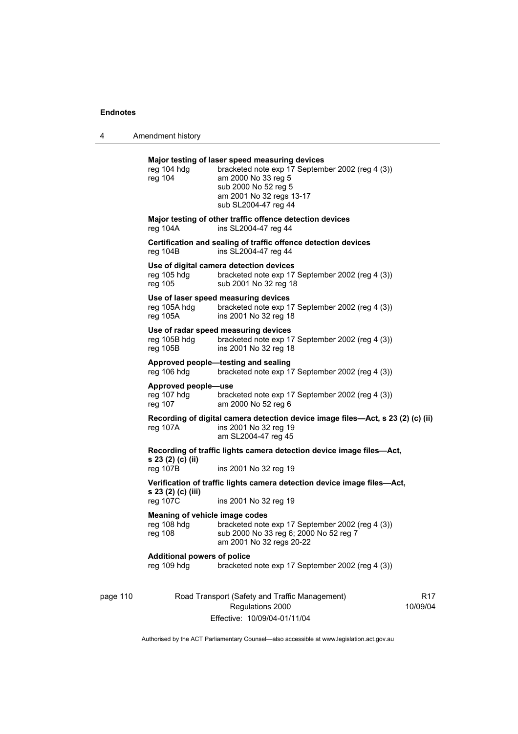4 Amendment history

|          | reg 104 hdg                                                                                            | Major testing of laser speed measuring devices<br>bracketed note exp 17 September 2002 (reg 4 (3))                              |                             |  |
|----------|--------------------------------------------------------------------------------------------------------|---------------------------------------------------------------------------------------------------------------------------------|-----------------------------|--|
|          | reg 104                                                                                                | am 2000 No 33 reg 5<br>sub 2000 No 52 reg 5<br>am 2001 No 32 regs 13-17<br>sub SL2004-47 reg 44                                 |                             |  |
|          | reg 104A                                                                                               | Major testing of other traffic offence detection devices<br>ins SL2004-47 reg 44                                                |                             |  |
|          | rea 104B                                                                                               | Certification and sealing of traffic offence detection devices<br>ins SL2004-47 reg 44                                          |                             |  |
|          | reg 105 hdg<br>reg 105                                                                                 | Use of digital camera detection devices<br>bracketed note exp 17 September 2002 (reg 4 (3))<br>sub 2001 No 32 reg 18            |                             |  |
|          | reg 105A                                                                                               | Use of laser speed measuring devices<br>reg 105A hdg bracketed note exp 17 September 2002 (reg 4 (3))<br>ins 2001 No 32 reg 18  |                             |  |
|          | reg 105B hdg<br>reg 105B                                                                               | Use of radar speed measuring devices<br>bracketed note exp 17 September 2002 (reg 4 (3))<br>ins 2001 No 32 reg 18               |                             |  |
|          | Approved people-testing and sealing<br>reg 106 hdg<br>bracketed note exp 17 September 2002 (reg 4 (3)) |                                                                                                                                 |                             |  |
|          | Approved people-use<br>reg 107 hdg<br>reg 107                                                          | bracketed note exp 17 September 2002 (reg 4 (3))<br>am 2000 No 52 reg 6                                                         |                             |  |
|          | reg 107A                                                                                               | Recording of digital camera detection device image files—Act, s 23 (2) (c) (ii)<br>ins 2001 No 32 reg 19<br>am SL2004-47 reg 45 |                             |  |
|          | s 23 (2) (c) (ii)                                                                                      | Recording of traffic lights camera detection device image files-Act,                                                            |                             |  |
|          | $reg$ 107B                                                                                             | ins 2001 No 32 reg 19                                                                                                           |                             |  |
|          | s 23 (2) (c) (iii)<br>reg 107C                                                                         | Verification of traffic lights camera detection device image files—Act,<br>ins 2001 No 32 reg 19                                |                             |  |
|          | Meaning of vehicle image codes<br>reg 108 hdg<br>reg 108                                               | bracketed note exp 17 September 2002 (reg 4 (3))<br>sub 2000 No 33 reg 6; 2000 No 52 reg 7<br>am 2001 No 32 regs 20-22          |                             |  |
|          | <b>Additional powers of police</b><br>reg 109 hdg                                                      | bracketed note exp 17 September 2002 (reg 4 (3))                                                                                |                             |  |
| page 110 |                                                                                                        | Road Transport (Safety and Traffic Management)<br>Regulations 2000                                                              | R <sub>17</sub><br>10/09/04 |  |

Effective: 10/09/04-01/11/04

17 10/09/04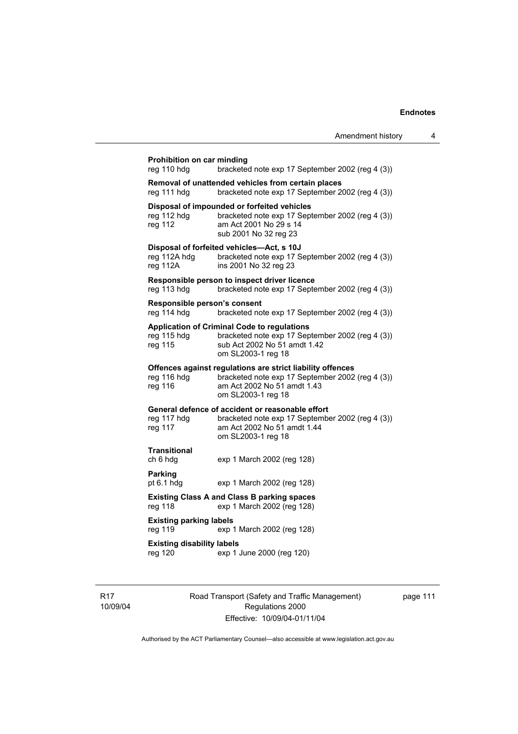# **Prohibition on car minding**<br>reg 110 hdg brackete

bracketed note exp 17 September 2002 (reg 4 (3)) **Removal of unattended vehicles from certain places**  reg 111 hdg bracketed note exp 17 September 2002 (reg 4 (3))

#### **Disposal of impounded or forfeited vehicles**

| reg 112 hdg | bracketed note exp 17 September 2002 (reg 4 (3)) |
|-------------|--------------------------------------------------|
| reg 112     | am Act 2001 No 29 s 14                           |
|             | sub 2001 No 32 reg 23                            |

#### **Disposal of forfeited vehicles—Act, s 10J**

| reg 112A hdg | bracketed note exp 17 September 2002 (reg 4 (3)) |
|--------------|--------------------------------------------------|
| reg 112A     | ins 2001 No 32 reg 23                            |

#### **Responsible person to inspect driver licence**

reg 113 hdg bracketed note exp 17 September 2002 (reg 4 (3))

#### **Responsible person's consent**

reg 114 hdg bracketed note exp 17 September 2002 (reg 4 (3))

#### **Application of Criminal Code to regulations**

| reg 115 hdg | bracketed note exp 17 September 2002 (reg 4 (3)) |
|-------------|--------------------------------------------------|
| reg 115     | sub Act 2002 No 51 amdt 1.42                     |
|             | om SL2003-1 reg 18                               |

#### **Offences against regulations are strict liability offences**

| reg 116 hdg | bracketed note exp 17 September 2002 (reg 4 (3)) |
|-------------|--------------------------------------------------|
| reg 116     | am Act 2002 No 51 amdt 1.43                      |
|             | om SL2003-1 reg 18                               |

#### **General defence of accident or reasonable effort**

| reg 117 hdg | bracketed note exp 17 September 2002 (reg 4 (3)) |
|-------------|--------------------------------------------------|
| reg 117     | am Act 2002 No 51 amdt 1.44                      |
|             | om SL2003-1 reg 18                               |

# **Transitional**

ch 6 hdg exp 1 March 2002 (reg 128)

# **Parking**<br>pt 6.1 hdq

exp 1 March 2002 (reg 128)

# **Existing Class A and Class B parking spaces**  reg 118 exp 1 March 2002 (reg 128)

**Existing parking labels**  reg 119 exp 1 March 2002 (reg 128)

### **Existing disability labels**

reg 120 exp 1 June 2000 (reg 120)

R17 10/09/04 Road Transport (Safety and Traffic Management) Regulations 2000 Effective: 10/09/04-01/11/04

page 111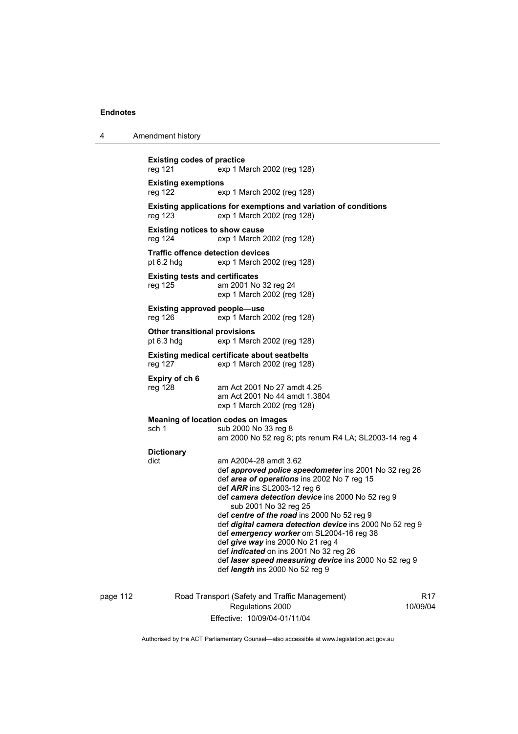| 4                                                                                            | Amendment history                                                                    |                                                                                                                                                                                                                                                                                                                                                                                                                                                                                                                                                                             |  |
|----------------------------------------------------------------------------------------------|--------------------------------------------------------------------------------------|-----------------------------------------------------------------------------------------------------------------------------------------------------------------------------------------------------------------------------------------------------------------------------------------------------------------------------------------------------------------------------------------------------------------------------------------------------------------------------------------------------------------------------------------------------------------------------|--|
|                                                                                              | <b>Existing codes of practice</b><br>reg 121<br>exp 1 March 2002 (reg 128)           |                                                                                                                                                                                                                                                                                                                                                                                                                                                                                                                                                                             |  |
|                                                                                              | reg 122                                                                              | <b>Existing exemptions</b><br>exp 1 March 2002 (reg 128)                                                                                                                                                                                                                                                                                                                                                                                                                                                                                                                    |  |
|                                                                                              | reg 123                                                                              | Existing applications for exemptions and variation of conditions<br>exp 1 March 2002 (reg 128)                                                                                                                                                                                                                                                                                                                                                                                                                                                                              |  |
| <b>Existing notices to show cause</b><br>reg 124<br>exp 1 March 2002 (reg 128)               |                                                                                      |                                                                                                                                                                                                                                                                                                                                                                                                                                                                                                                                                                             |  |
|                                                                                              | <b>Traffic offence detection devices</b><br>pt 6.2 hdg<br>exp 1 March 2002 (reg 128) |                                                                                                                                                                                                                                                                                                                                                                                                                                                                                                                                                                             |  |
|                                                                                              | <b>Existing tests and certificates</b><br>reg 125                                    | am 2001 No 32 reg 24<br>exp 1 March 2002 (reg 128)                                                                                                                                                                                                                                                                                                                                                                                                                                                                                                                          |  |
| Existing approved people—use<br>reg 126<br>exp 1 March 2002 (reg 128)                        |                                                                                      |                                                                                                                                                                                                                                                                                                                                                                                                                                                                                                                                                                             |  |
|                                                                                              | <b>Other transitional provisions</b><br>pt $6.3$ hdg<br>exp 1 March 2002 (reg 128)   |                                                                                                                                                                                                                                                                                                                                                                                                                                                                                                                                                                             |  |
| <b>Existing medical certificate about seatbelts</b><br>reg 127<br>exp 1 March 2002 (reg 128) |                                                                                      |                                                                                                                                                                                                                                                                                                                                                                                                                                                                                                                                                                             |  |
|                                                                                              | Expiry of ch 6<br>reg 128                                                            | am Act 2001 No 27 amdt 4.25<br>am Act 2001 No 44 amdt 1.3804<br>exp 1 March 2002 (reg 128)                                                                                                                                                                                                                                                                                                                                                                                                                                                                                  |  |
|                                                                                              | sch 1                                                                                | <b>Meaning of location codes on images</b><br>sub 2000 No 33 reg 8<br>am 2000 No 52 reg 8; pts renum R4 LA; SL2003-14 reg 4                                                                                                                                                                                                                                                                                                                                                                                                                                                 |  |
|                                                                                              | <b>Dictionary</b><br>dict                                                            | am A2004-28 amdt 3.62<br>def approved police speedometer ins 2001 No 32 reg 26<br>def area of operations ins 2002 No 7 reg 15<br>def ARR ins SL2003-12 reg 6<br>def camera detection device ins 2000 No 52 reg 9<br>sub 2001 No 32 reg 25<br>def centre of the road ins 2000 No 52 reg 9<br>def digital camera detection device ins 2000 No 52 reg 9<br>def emergency worker om SL2004-16 reg 38<br>def give way ins 2000 No 21 reg 4<br>def indicated on ins 2001 No 32 reg 26<br>def laser speed measuring device ins 2000 No 52 reg 9<br>def length ins 2000 No 52 reg 9 |  |

page 112 Road Transport (Safety and Traffic Management) Regulations 2000 Effective: 10/09/04-01/11/04

R17 10/09/04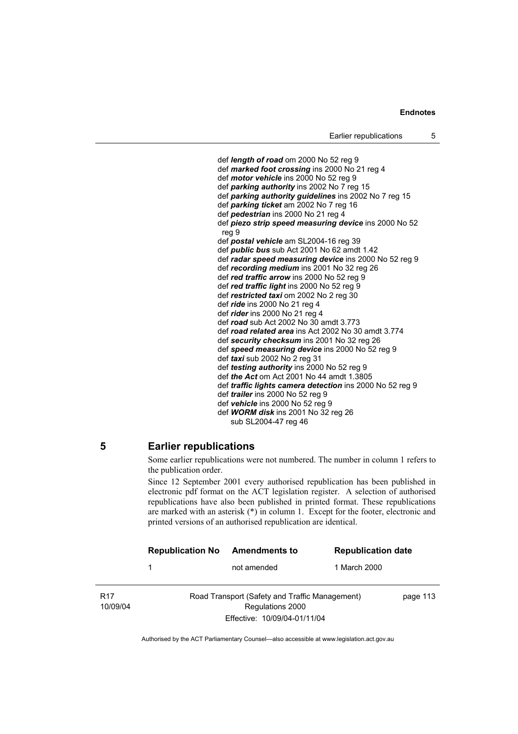def *length of road* om 2000 No 52 reg 9 def *marked foot crossing* ins 2000 No 21 reg 4 def *motor vehicle* ins 2000 No 52 reg 9 def *parking authority* ins 2002 No 7 reg 15 def *parking authority guidelines* ins 2002 No 7 reg 15 def *parking ticket* am 2002 No 7 reg 16 def *pedestrian* ins 2000 No 21 reg 4 def *piezo strip speed measuring device* ins 2000 No 52 reg 9 def *postal vehicle* am SL2004-16 reg 39 def *public bus* sub Act 2001 No 62 amdt 1.42 def *radar speed measuring device* ins 2000 No 52 reg 9 def *recording medium* ins 2001 No 32 reg 26 def *red traffic arrow* ins 2000 No 52 reg 9 def *red traffic light* ins 2000 No 52 reg 9 def *restricted taxi* om 2002 No 2 reg 30 def *ride* ins 2000 No 21 reg 4 def *rider* ins 2000 No 21 reg 4 def *road* sub Act 2002 No 30 amdt 3.773 def *road related area* ins Act 2002 No 30 amdt 3.774 def *security checksum* ins 2001 No 32 reg 26 def *speed measuring device* ins 2000 No 52 reg 9 def *taxi* sub 2002 No 2 reg 31 def *testing authority* ins 2000 No 52 reg 9 def *the Act* om Act 2001 No 44 amdt 1.3805 def *traffic lights camera detection* ins 2000 No 52 reg 9 def *trailer* ins 2000 No 52 reg 9 def *vehicle* ins 2000 No 52 reg 9 def *WORM disk* ins 2001 No 32 reg 26 sub SL2004-47 reg 46

# **5 Earlier republications**

Some earlier republications were not numbered. The number in column 1 refers to the publication order.

Since 12 September 2001 every authorised republication has been published in electronic pdf format on the ACT legislation register. A selection of authorised republications have also been published in printed format. These republications are marked with an asterisk (\*) in column 1. Except for the footer, electronic and printed versions of an authorised republication are identical.

|                             | <b>Republication No</b> | <b>Amendments to</b>                                               | <b>Republication date</b> |          |
|-----------------------------|-------------------------|--------------------------------------------------------------------|---------------------------|----------|
|                             |                         | not amended                                                        | 1 March 2000              |          |
| R <sub>17</sub><br>10/09/04 |                         | Road Transport (Safety and Traffic Management)<br>Regulations 2000 |                           | page 113 |
|                             |                         | Effective: 10/09/04-01/11/04                                       |                           |          |